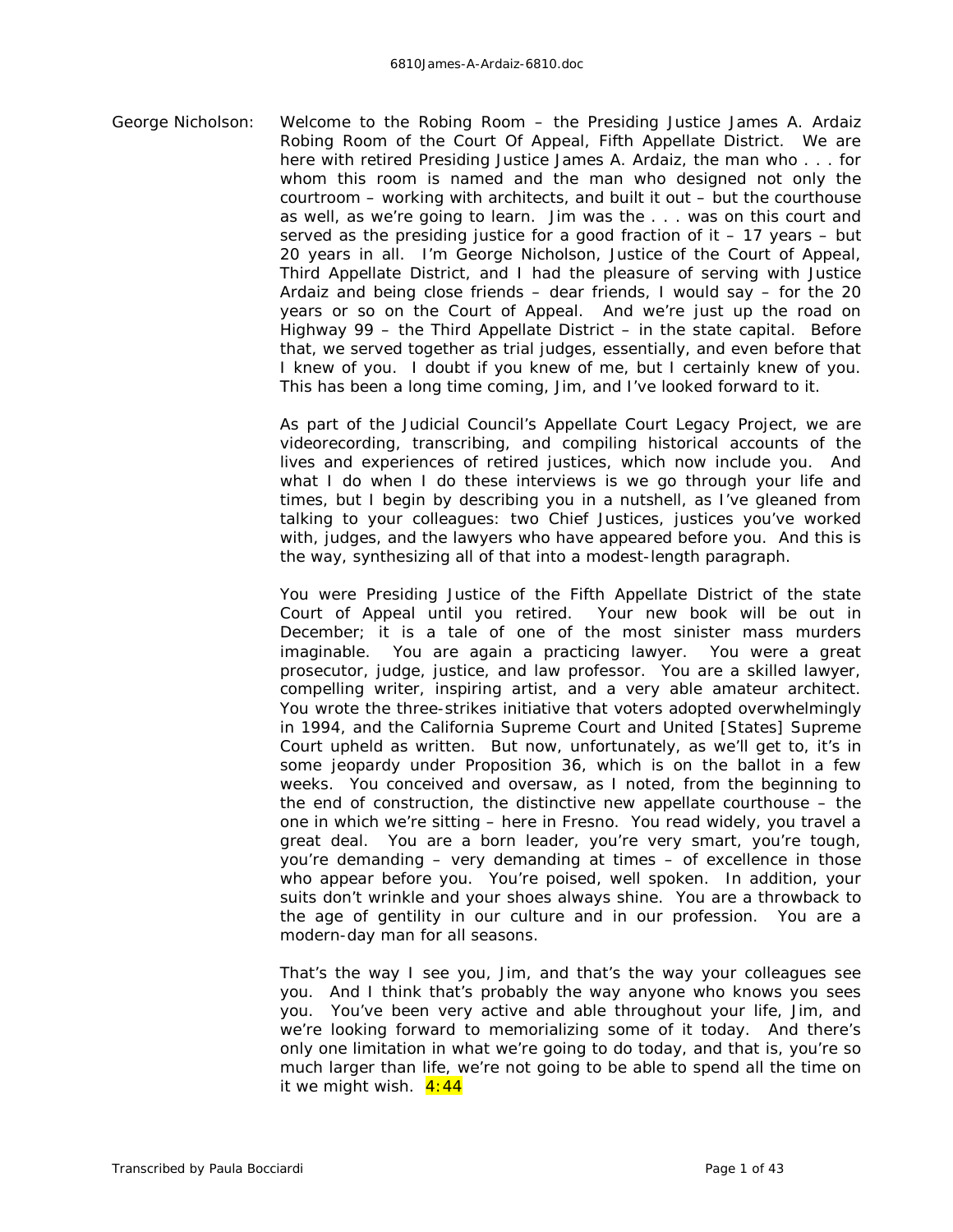George Nicholson: Welcome to the Robing Room – the Presiding Justice James A. Ardaiz Robing Room of the Court Of Appeal, Fifth Appellate District. We are here with retired Presiding Justice James A. Ardaiz, the man who . . . for whom this room is named and the man who designed not only the courtroom – working with architects, and built it out – but the courthouse as well, as we're going to learn. Jim was the . . . was on this court and served as the presiding justice for a good fraction of it  $-17$  years  $-$  but 20 years in all. I'm George Nicholson, Justice of the Court of Appeal, Third Appellate District, and I had the pleasure of serving with Justice Ardaiz and being close friends – dear friends, I would say – for the 20 years or so on the Court of Appeal. And we're just up the road on Highway  $99 -$  the Third Appellate District – in the state capital. Before that, we served together as trial judges, essentially, and even before that I knew of you. I doubt if you knew of me, but I certainly knew of you. This has been a long time coming, Jim, and I've looked forward to it.

> As part of the Judicial Council's Appellate Court Legacy Project, we are videorecording, transcribing, and compiling historical accounts of the lives and experiences of retired justices, which now include you. And what I do when I do these interviews is we go through your life and times, but I begin by describing you in a nutshell, as I've gleaned from talking to your colleagues: two Chief Justices, justices you've worked with, judges, and the lawyers who have appeared before you. And this is the way, synthesizing all of that into a modest-length paragraph.

> You were Presiding Justice of the Fifth Appellate District of the state Court of Appeal until you retired. Your new book will be out in December; it is a tale of one of the most sinister mass murders imaginable. You are again a practicing lawyer. You were a great prosecutor, judge, justice, and law professor. You are a skilled lawyer, compelling writer, inspiring artist, and a very able amateur architect. You wrote the three-strikes initiative that voters adopted overwhelmingly in 1994, and the California Supreme Court and United [States] Supreme Court upheld as written. But now, unfortunately, as we'll get to, it's in some jeopardy under Proposition 36, which is on the ballot in a few weeks. You conceived and oversaw, as I noted, from the beginning to the end of construction, the distinctive new appellate courthouse – the one in which we're sitting – here in Fresno. You read widely, you travel a great deal. You are a born leader, you're very smart, you're tough, you're demanding – very demanding at times – of excellence in those who appear before you. You're poised, well spoken. In addition, your suits don't wrinkle and your shoes always shine. You are a throwback to the age of gentility in our culture and in our profession. You are a modern-day man for all seasons.

> That's the way I see you, Jim, and that's the way your colleagues see you. And I think that's probably the way anyone who knows you sees you. You've been very active and able throughout your life, Jim, and we're looking forward to memorializing some of it today. And there's only one limitation in what we're going to do today, and that is, you're so much larger than life, we're not going to be able to spend all the time on it we might wish.  $4:44$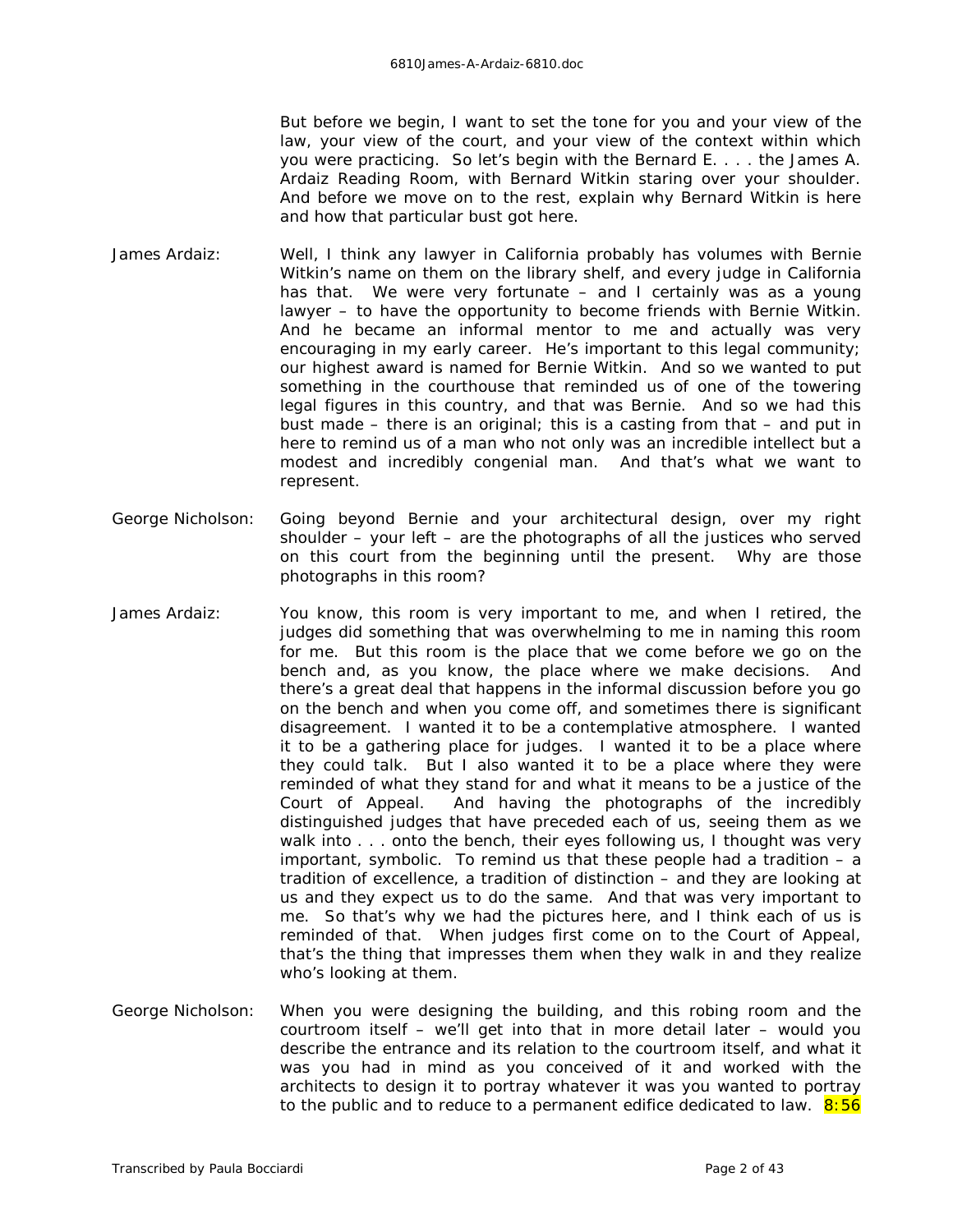But before we begin, I want to set the tone for you and your view of the law, your view of the court, and your view of the context within which you were practicing. So let's begin with the Bernard E. . . . the James A. Ardaiz Reading Room, with Bernard Witkin staring over your shoulder. And before we move on to the rest, explain why Bernard Witkin is here and how that particular bust got here.

- James Ardaiz: Well, I think any lawyer in California probably has volumes with Bernie Witkin's name on them on the library shelf, and every judge in California has that. We were very fortunate – and I certainly was as a young lawyer – to have the opportunity to become friends with Bernie Witkin. And he became an informal mentor to me and actually was very encouraging in my early career. He's important to this legal community; our highest award is named for Bernie Witkin. And so we wanted to put something in the courthouse that reminded us of one of the towering legal figures in this country, and that was Bernie. And so we had this bust made – there is an original; this is a casting from that – and put in here to remind us of a man who not only was an incredible intellect but a modest and incredibly congenial man. And that's what we want to represent.
- George Nicholson: Going beyond Bernie and your architectural design, over my right shoulder – your left – are the photographs of all the justices who served on this court from the beginning until the present. Why are those photographs in this room?
- James Ardaiz: You know, this room is very important to me, and when I retired, the judges did something that was overwhelming to me in naming this room for me. But this room is the place that we come before we go on the bench and, as you know, the place where we make decisions. And there's a great deal that happens in the informal discussion before you go on the bench and when you come off, and sometimes there is significant disagreement. I wanted it to be a contemplative atmosphere. I wanted it to be a gathering place for judges. I wanted it to be a place where they could talk. But I also wanted it to be a place where they were reminded of what they stand for and what it means to be a justice of the Court of Appeal. And having the photographs of the incredibly distinguished judges that have preceded each of us, seeing them as we walk into . . . onto the bench, their eyes following us, I thought was very important, symbolic. To remind us that these people had a tradition – a tradition of excellence, a tradition of distinction – and they are looking at us and they expect us to do the same. And that was very important to me. So that's why we had the pictures here, and I think each of us is reminded of that. When judges first come on to the Court of Appeal, that's the thing that impresses them when they walk in and they realize who's looking at them.
- George Nicholson: When you were designing the building, and this robing room and the courtroom itself – we'll get into that in more detail later – would you describe the entrance and its relation to the courtroom itself, and what it was you had in mind as you conceived of it and worked with the architects to design it to portray whatever it was you wanted to portray to the public and to reduce to a permanent edifice dedicated to law.  $8:56$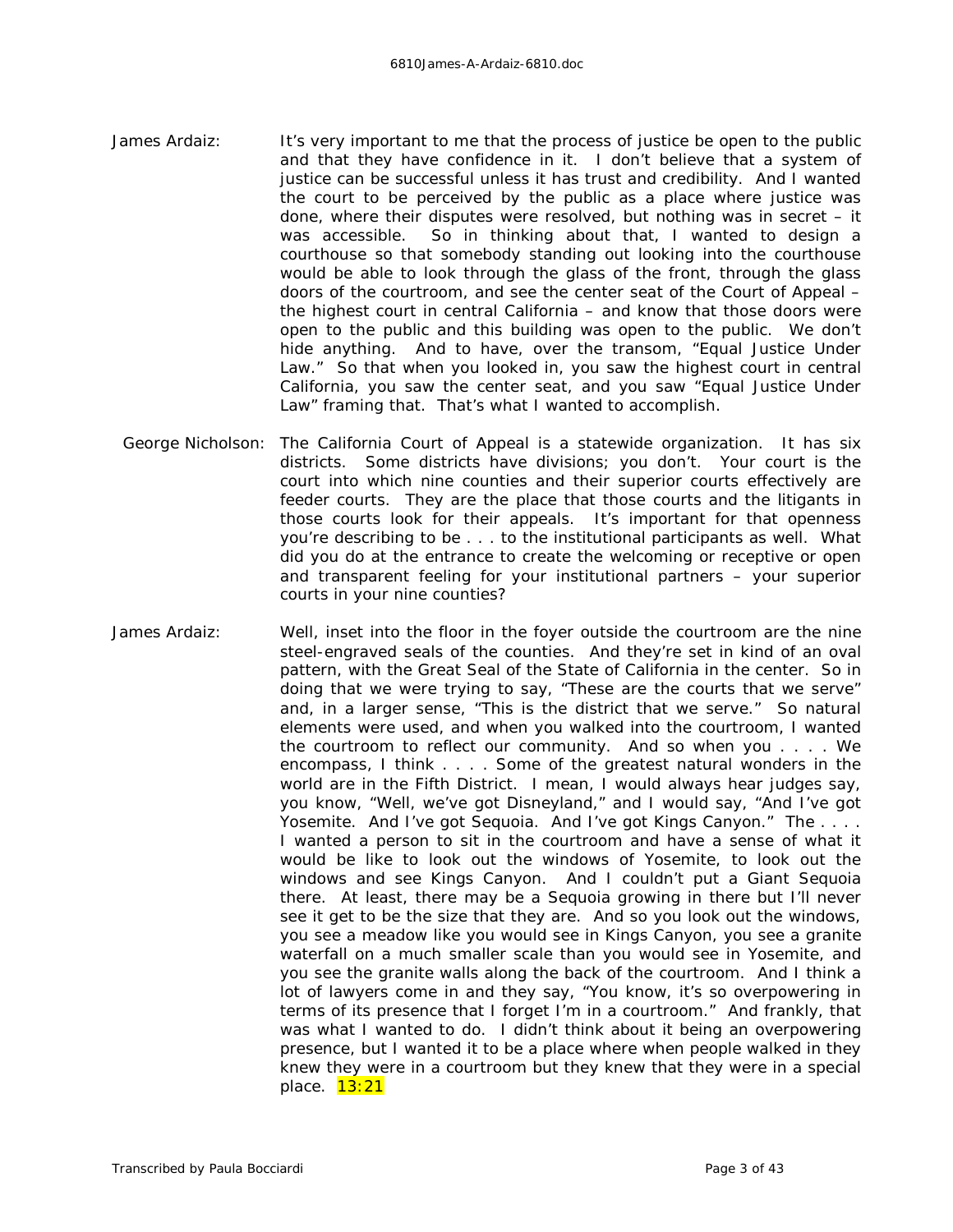- James Ardaiz: It's very important to me that the process of justice be open to the public and that they have confidence in it. I don't believe that a system of justice can be successful unless it has trust and credibility. And I wanted the court to be perceived by the public as a place where justice was done, where their disputes were resolved, but nothing was in secret – it was accessible. So in thinking about that, I wanted to design a courthouse so that somebody standing out looking into the courthouse would be able to look through the glass of the front, through the glass doors of the courtroom, and see the center seat of the Court of Appeal – the highest court in central California – and know that those doors were open to the public and this building was open to the public. We don't hide anything. And to have, over the transom, "Equal Justice Under Law." So that when you looked in, you saw the highest court in central California, you saw the center seat, and you saw "Equal Justice Under Law" framing that. That's what I wanted to accomplish.
- George Nicholson: The California Court of Appeal is a statewide organization. It has six districts. Some districts have divisions; you don't. Your court is the court into which nine counties and their superior courts effectively are feeder courts. They are the place that those courts and the litigants in those courts look for their appeals. It's important for that openness you're describing to be . . . to the institutional participants as well. What did you do at the entrance to create the welcoming or receptive or open and transparent feeling for your institutional partners – your superior courts in your nine counties?
- James Ardaiz: Well, inset into the floor in the foyer outside the courtroom are the nine steel-engraved seals of the counties. And they're set in kind of an oval pattern, with the Great Seal of the State of California in the center. So in doing that we were trying to say, "These are the courts that we serve" and, in a larger sense, "This is the district that we serve." So natural elements were used, and when you walked into the courtroom, I wanted the courtroom to reflect our community. And so when you . . . . We encompass, I think . . . . Some of the greatest natural wonders in the world are in the Fifth District. I mean, I would always hear judges say, you know, "Well, we've got Disneyland," and I would say, "And I've got Yosemite. And I've got Sequoia. And I've got Kings Canyon." The .... I wanted a person to sit in the courtroom and have a sense of what it would be like to look out the windows of Yosemite, to look out the windows and see Kings Canyon. And I couldn't put a Giant Sequoia there. At least, there may be a Sequoia growing in there but I'll never see it get to be the size that they are. And so you look out the windows, you see a meadow like you would see in Kings Canyon, you see a granite waterfall on a much smaller scale than you would see in Yosemite, and you see the granite walls along the back of the courtroom. And I think a lot of lawyers come in and they say, "You know, it's so overpowering in terms of its presence that I forget I'm in a courtroom." And frankly, that was what I wanted to do. I didn't think about it being an overpowering presence, but I wanted it to be a place where when people walked in they knew they were in a courtroom but they knew that they were in a special place. **13:21**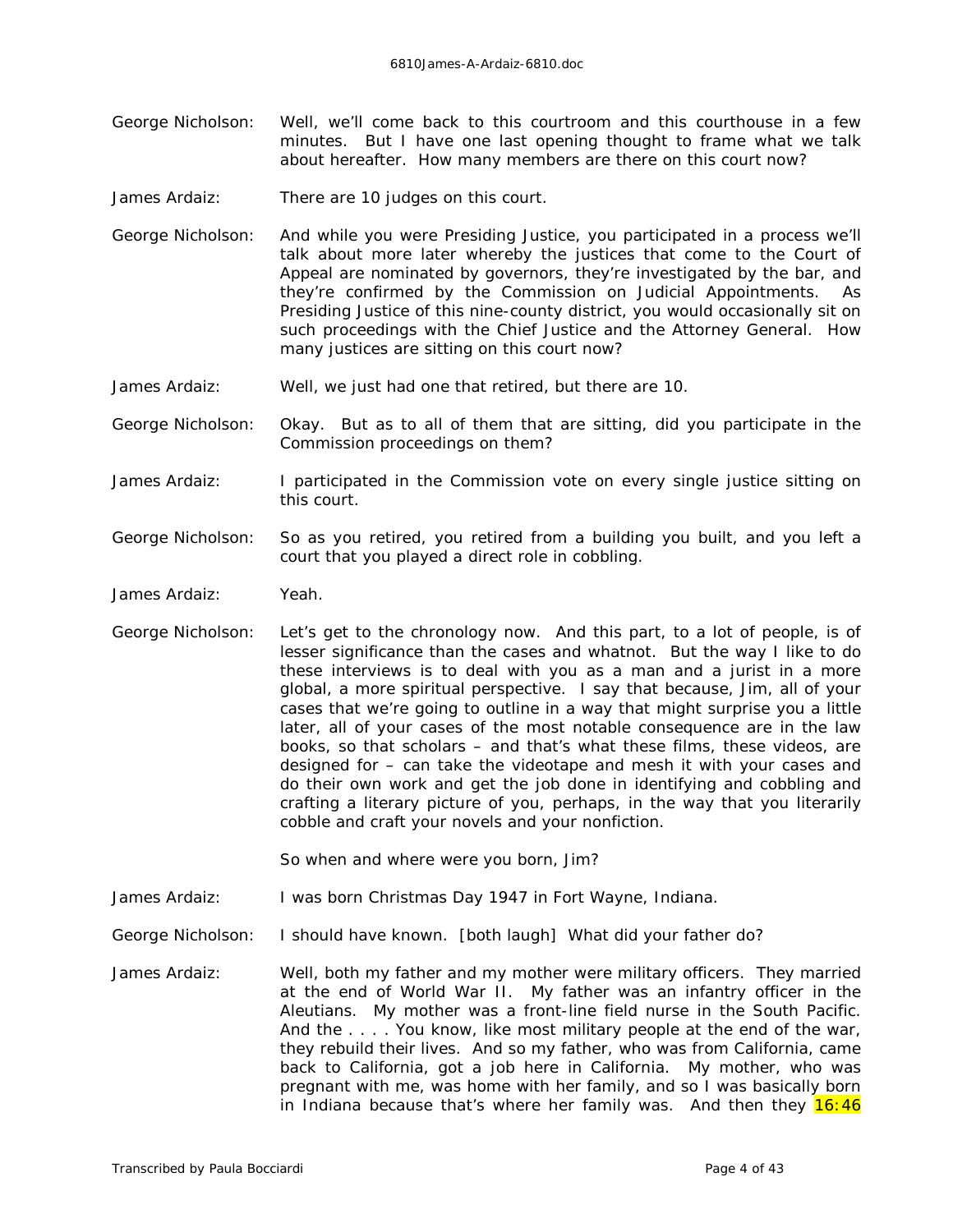- George Nicholson: Well, we'll come back to this courtroom and this courthouse in a few minutes. But I have one last opening thought to frame what we talk about hereafter. How many members are there on this court now?
- James Ardaiz: There are 10 judges on this court.
- George Nicholson: And while you were Presiding Justice, you participated in a process we'll talk about more later whereby the justices that come to the Court of Appeal are nominated by governors, they're investigated by the bar, and they're confirmed by the Commission on Judicial Appointments. As Presiding Justice of this nine-county district, you would occasionally sit on such proceedings with the Chief Justice and the Attorney General. How many justices are sitting on this court now?
- James Ardaiz: Well, we just had one that retired, but there are 10.
- George Nicholson: Okay. But as to all of them that are sitting, did you participate in the Commission proceedings on them?
- James Ardaiz: I participated in the Commission vote on every single justice sitting on this court.
- George Nicholson: So as you retired, you retired from a building you built, and you left a court that you played a direct role in cobbling.
- James Ardaiz: Yeah.
- George Nicholson: Let's get to the chronology now. And this part, to a lot of people, is of lesser significance than the cases and whatnot. But the way I like to do these interviews is to deal with you as a man and a jurist in a more global, a more spiritual perspective. I say that because, Jim, all of your cases that we're going to outline in a way that might surprise you a little later, all of your cases of the most notable consequence are in the law books, so that scholars – and that's what these films, these videos, are designed for – can take the videotape and mesh it with your cases and do their own work and get the job done in identifying and cobbling and crafting a literary picture of you, perhaps, in the way that you literarily cobble and craft your novels and your nonfiction.

So when and where were you born, Jim?

- James Ardaiz: I was born Christmas Day 1947 in Fort Wayne, Indiana.
- George Nicholson: I should have known. *[both laugh]* What did your father do?
- James Ardaiz: Well, both my father and my mother were military officers. They married at the end of World War II. My father was an infantry officer in the Aleutians. My mother was a front-line field nurse in the South Pacific. And the . . . . You know, like most military people at the end of the war, they rebuild their lives. And so my father, who was from California, came back to California, got a job here in California. My mother, who was pregnant with me, was home with her family, and so I was basically born in Indiana because that's where her family was. And then they  $16:46$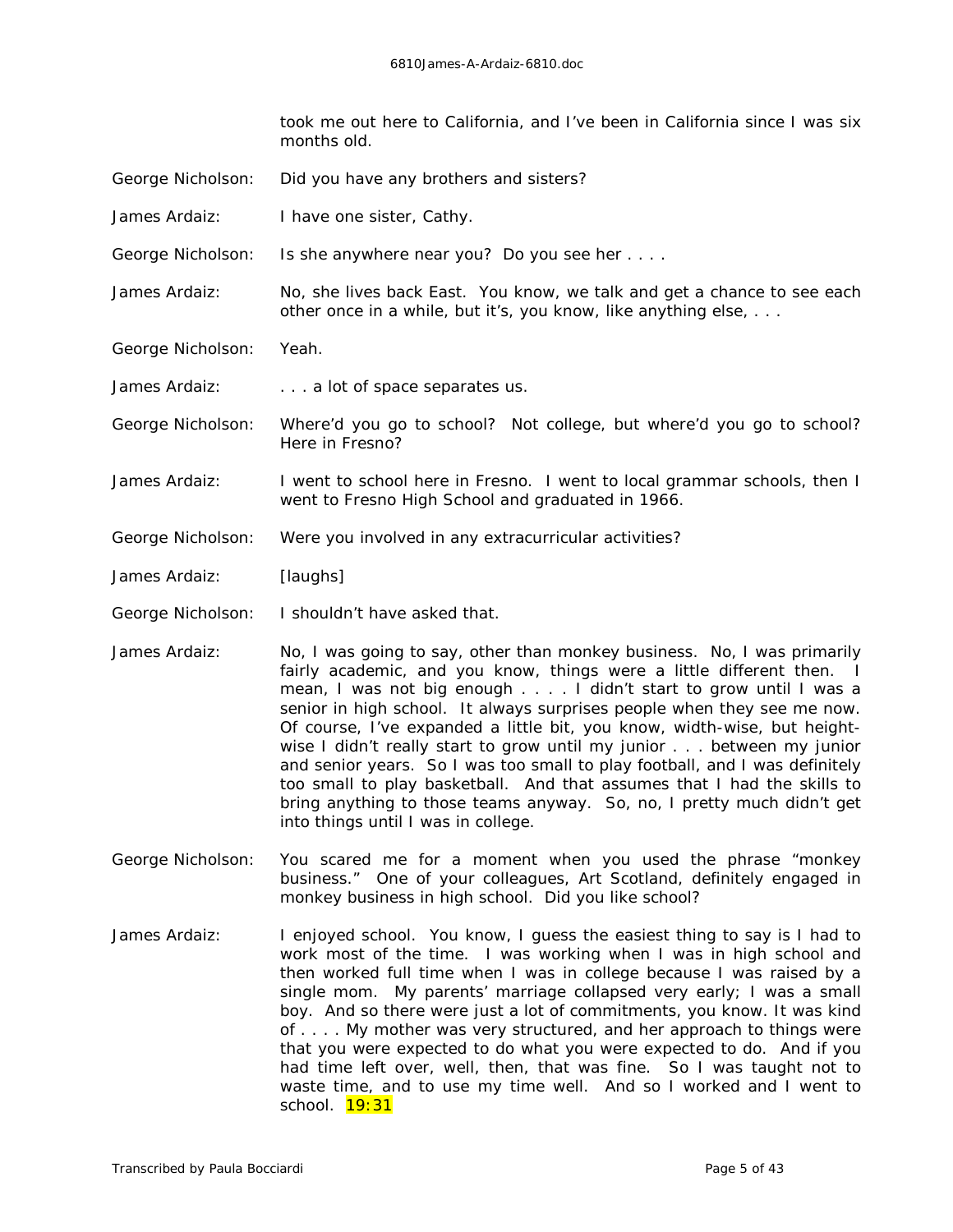took me out here to California, and I've been in California since I was six months old.

- George Nicholson: Did you have any brothers and sisters?
- James Ardaiz: I have one sister, Cathy.
- George Nicholson: Is she anywhere near you? Do you see her . . . .
- James Ardaiz: No, she lives back East. You know, we talk and get a chance to see each other once in a while, but it's, you know, like anything else, . . .
- George Nicholson: Yeah.
- James Ardaiz: . . . . . . . a lot of space separates us.
- George Nicholson: Where'd you go to school? Not college, but where'd you go to school? Here in Fresno?
- James Ardaiz: I went to school here in Fresno. I went to local grammar schools, then I went to Fresno High School and graduated in 1966.
- George Nicholson: Were you involved in any extracurricular activities?
- James Ardaiz: *[laughs]*
- George Nicholson: I shouldn't have asked that.
- James Ardaiz: No, I was going to say, other than monkey business. No, I was primarily fairly academic, and you know, things were a little different then. I mean, I was not big enough . . . . I didn't start to grow until I was a senior in high school. It always surprises people when they see me now. Of course, I've expanded a little bit, you know, width-wise, but heightwise I didn't really start to grow until my junior . . . between my junior and senior years. So I was too small to play football, and I was *definitely* too small to play basketball. And that assumes that I had the skills to bring anything to those teams anyway. So, no, I pretty much didn't get into things until I was in college.
- George Nicholson: You scared me for a moment when you used the phrase "monkey business." One of your colleagues, Art Scotland, definitely engaged in monkey business in high school. Did you like school?
- James Ardaiz: I enjoyed school. You know, I guess the easiest thing to say is I had to work most of the time. I was working when I was in high school and then worked full time when I was in college because I was raised by a single mom. My parents' marriage collapsed very early; I was a small boy. And so there were just a lot of commitments, you know. It was kind of . . . . My mother was very structured, and her approach to things were that you were expected to do what you were expected to do. And if you had time left over, well, then, that was fine. So I was taught not to waste time, and to use my time well. And so I worked and I went to school. **19:31**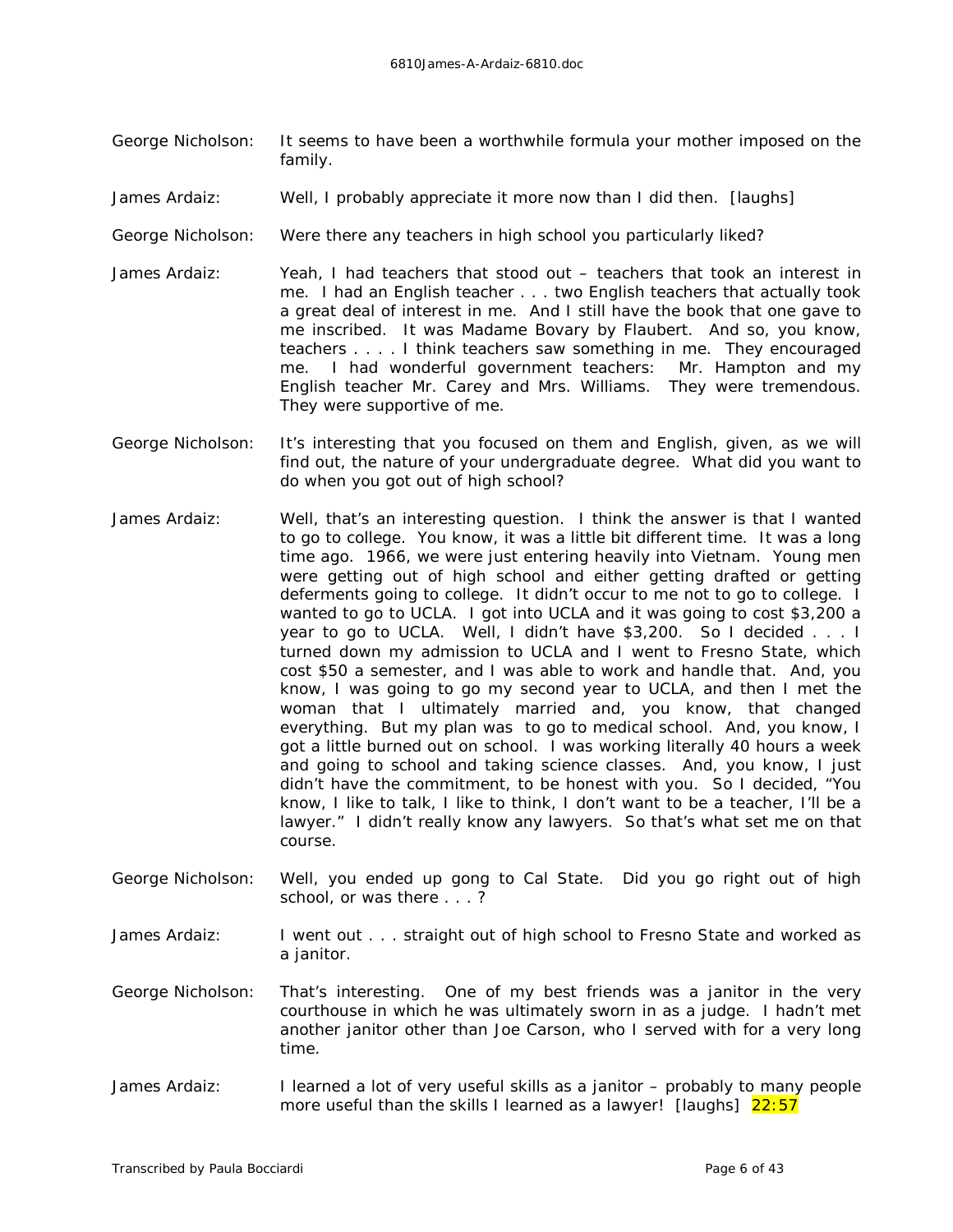- George Nicholson: It seems to have been a worthwhile formula your mother imposed on the family.
- James Ardaiz: Well, I probably appreciate it more now than I did then. *[laughs]*
- George Nicholson: Were there any teachers in high school you particularly liked?
- James Ardaiz: Yeah, I had teachers that stood out teachers that took an interest in me. I had an English teacher . . . two English teachers that actually took a great deal of interest in me. And I still have the book that one gave to me inscribed. It was *Madame* Bovary by Flaubert. And so, you know, teachers . . . . I think teachers saw something in me. They encouraged me. I had wonderful government teachers: Mr. Hampton and my English teacher Mr. Carey and Mrs. Williams. They were tremendous. They were supportive of me.
- George Nicholson: It's interesting that you focused on them and English, given, as we will find out, the nature of your undergraduate degree. What did you want to do when you got out of high school?
- James Ardaiz: Well, that's an interesting question. I think the answer is that I wanted to go to college. You know, it was a little bit different time. It was a long time ago. 1966, we were just entering heavily into Vietnam. Young men were getting out of high school and either getting drafted or getting deferments going to college. It didn't occur to me *not* to go to college. I wanted to go to UCLA. I got into UCLA and it was going to cost \$3,200 a year to go to UCLA. Well, I didn't have \$3,200. So I decided . . . I turned down my admission to UCLA and I went to Fresno State, which cost \$50 a semester, and I was able to work and handle that. And, you know, I was going to go my *second* year to UCLA, and then I met the woman that I ultimately married and, you know, that changed everything. But my plan was to go to medical school. And, you know, I got a little burned out on school. I was working literally 40 hours a week and going to school and taking science classes. And, you know, I just didn't have the commitment, to be honest with you. So I decided, "You know, I like to talk, I like to think, I don't want to be a teacher, I'll be a lawyer." I didn't really know any lawyers. So that's what set me on that course.
- George Nicholson: Well, you ended up gong to Cal State. Did you go right out of high school, or was there . . . ?
- James Ardaiz: I went out . . . straight out of high school to Fresno State and worked as a janitor.
- George Nicholson: That's interesting. One of my best friends was a janitor in the very courthouse in which he was ultimately sworn in as a judge. I hadn't met another janitor other than Joe Carson, who I served with for a very long time.
- James Ardaiz: I learned a lot of very useful skills as a janitor probably to many people more useful than the skills I learned as a lawyer! *[laughs]* 22:57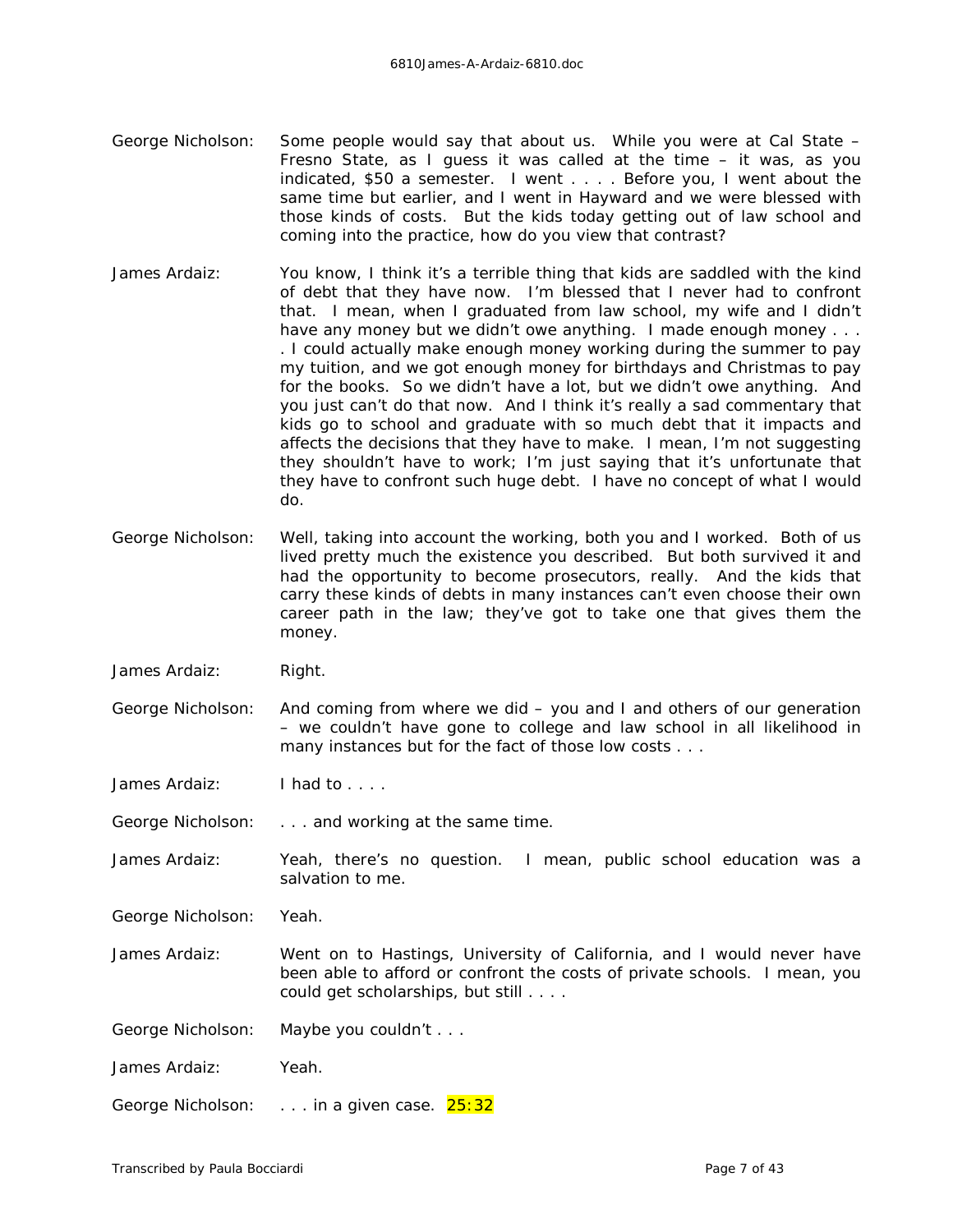- George Nicholson: Some people would say that about us. While you were at Cal State Fresno State, as I guess it was called at the time – it was, as you indicated, \$50 a semester. I went . . . . Before you, I went about the same time but earlier, and I went in Hayward and we were blessed with those kinds of costs. But the kids today getting out of law school and coming into the practice, how do you view that contrast?
- James Ardaiz: You know, I think it's a terrible thing that kids are saddled with the kind of debt that they have now. I'm blessed that I never had to confront that. I mean, when I graduated from law school, my wife and I didn't have any money but we didn't owe anything. I made enough money . . . . I could actually make enough money working during the summer to pay my tuition, and we got enough money for birthdays and Christmas to pay for the books. So we didn't *have* a lot, but we didn't owe anything. And you just can't do that now. And I think it's really a sad commentary that kids go to school and graduate with so much debt that it impacts and affects the decisions that they have to make. I mean, I'm not suggesting they shouldn't have to work; I'm just saying that it's unfortunate that they have to confront such huge debt. I have no concept of what I would do.
- George Nicholson: Well, taking into account the working, both you and I worked. Both of us lived pretty much the existence you described. But both survived it and had the opportunity to become prosecutors, really. And the kids that carry these kinds of debts in many instances can't even choose their own career path in the law; they've got to take one that gives them the money.
- James Ardaiz: Right.
- George Nicholson: And coming from where we did you and I and others of our generation – we couldn't have gone to college and law school in all likelihood in many instances but for the fact of those low costs . . .
- James Ardaiz: I had to . . . .
- George Nicholson: . . . and working at the same time.
- James Ardaiz: Yeah, there's no question. I mean, public school education was a salvation to me.
- George Nicholson: Yeah.
- James Ardaiz: Went on to Hastings, University of California, and I would never have been able to afford or confront the costs of private schools. I mean, you could get scholarships, but still . . . .
- George Nicholson: Maybe you couldn't . . .
- James Ardaiz: Yeah.
- George Nicholson: . . . . in a given case. 25:32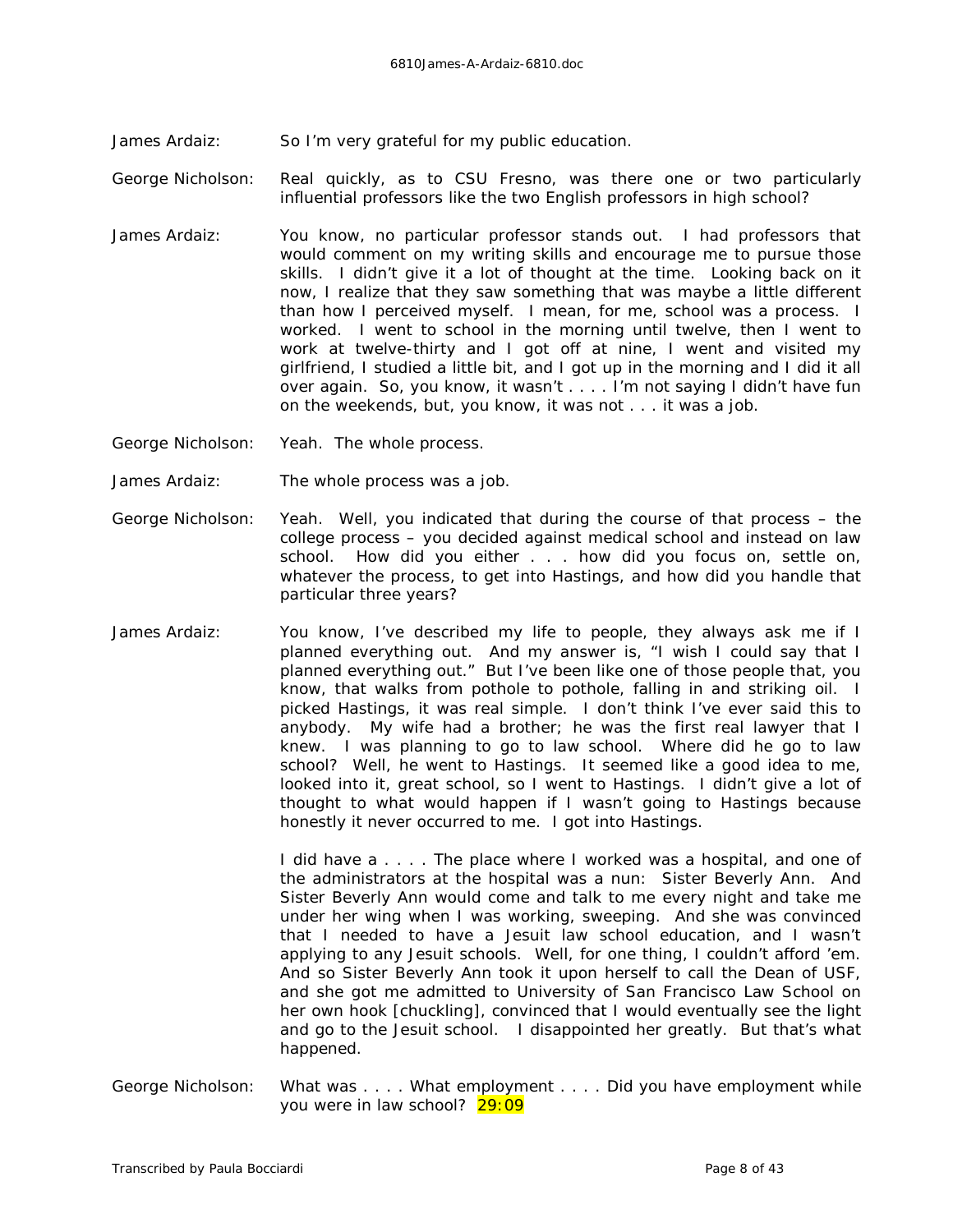James Ardaiz: So I'm very grateful for my public education.

George Nicholson: Real quickly, as to CSU Fresno, was there one or two particularly influential professors like the two English professors in high school?

James Ardaiz: You know, no particular professor stands out. I had professors that would comment on my writing skills and encourage me to pursue those skills. I didn't give it a lot of thought at the time. Looking back on it now, I realize that they saw something that was maybe a little different than how I perceived myself. I mean, for me, school was a process. I worked. I went to school in the morning until twelve, then I went to work at twelve-thirty and I got off at nine, I went and visited my girlfriend, I studied a little bit, and I got up in the morning and I did it all over again. So, you know, it wasn't . . . . I'm not saying I didn't have fun on the weekends, but, you know, it was not . . . it was a job.

George Nicholson: Yeah. The whole process.

- James Ardaiz: The whole process was a job.
- George Nicholson: Yeah. Well, you indicated that during the course of that process the college process – you decided against medical school and instead on law school. How did you either . . . how did you focus on, settle on, whatever the process, to get into Hastings, and how did you handle that particular three years?
- James Ardaiz: You know, I've described my life to people, they always ask me if I planned everything out. And my answer is, "I wish I could say that I planned everything out." But I've been like one of those people that, you know, that walks from pothole to pothole, falling in and striking oil. I picked Hastings, it was real simple. I don't think I've ever said this to anybody. My wife had a brother; he was the first real lawyer that I knew. I was planning to go to law school. Where did *he* go to law school? Well, he went to Hastings. It seemed like a good idea to me, looked into it, great school, so I went to Hastings. I didn't give a lot of thought to what would happen if I *wasn't* going to Hastings because honestly it never occurred to me. I got into Hastings.

I did have a . . . . The place where I worked was a hospital, and one of the administrators at the hospital was a nun: Sister Beverly Ann. And Sister Beverly Ann would come and talk to me every night and take me under her wing when I was working, sweeping. And she was convinced that I needed to have a Jesuit law school education, and I wasn't applying to any Jesuit schools. Well, for one thing, I couldn't afford 'em. And so Sister Beverly Ann took it upon herself to call the Dean of USF, and she got me admitted to University of San Francisco Law School on her own hook *[chuckling]*, convinced that I would eventually see the light and go to the Jesuit school. I disappointed her greatly. But that's what happened.

George Nicholson: What was . . . . What employment . . . . Did you have employment while you were in law school? 29:09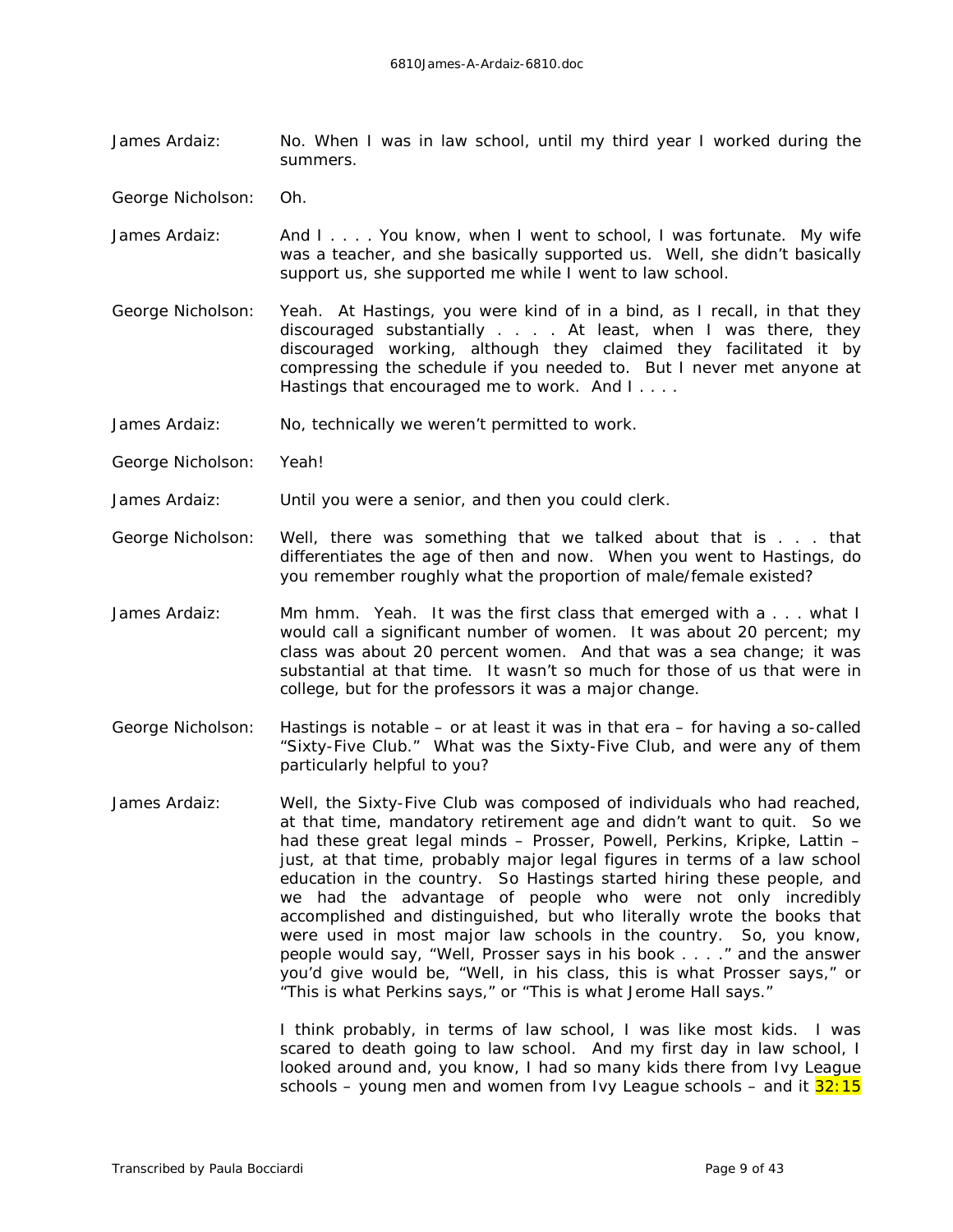James Ardaiz: No. When I was in law school, until my third year I worked during the summers.

George Nicholson: Oh.

- James Ardaiz: And I . . . You know, when I went to school, I was fortunate. My wife was a teacher, and she basically supported us. Well, she didn't *basically* support us, she supported me while I went to law school.
- George Nicholson: Yeah. At Hastings, you were kind of in a bind, as I recall, in that they discouraged substantially . . . . At least, when I was there, they discouraged working, although they claimed they facilitated it by compressing the schedule if you needed to. But I never met anyone at Hastings that encouraged *me* to work. And I . . . .
- James Ardaiz: No, technically we weren't permitted to work.
- George Nicholson: Yeah!

James Ardaiz: Until you were a senior, and then you could clerk.

- George Nicholson: Well, there was something that we talked about that is . . . that differentiates the age of then and now. When you went to Hastings, do you remember roughly what the proportion of male/female existed?
- James Ardaiz: Mm hmm. Yeah. It was the first class that emerged with a . . . what I would call a significant number of women. It was about 20 percent; my class was about 20 percent women. And that was a sea change; it was substantial at that time. It wasn't so much for those of us that were in college, but for the professors it was a *major* change.
- George Nicholson: Hastings is notable or at least it was in that era for having a so-called "Sixty-Five Club." What was the Sixty-Five Club, and were any of them particularly helpful to you?
- James Ardaiz: Well, the Sixty-Five Club was composed of individuals who had reached, at that time, mandatory retirement age and didn't want to quit. So we had these great legal minds – Prosser, Powell, Perkins, Kripke, Lattin – just, at that time, probably major legal figures in terms of a law school education in the country. So Hastings started hiring these people, and we had the advantage of people who were not only incredibly accomplished and distinguished, but who literally wrote the books that were used in most major law schools in the country. So, you know, people would say, "Well, Prosser says in his book . . . ." and the answer you'd give would be, "Well, in his *class,* this is what Prosser says," or "This is what Perkins says," or "This is what Jerome Hall says."

I think probably, in terms of law school, I was like most kids. I was scared to death going to law school. And my first day in law school, I looked around and, you know, I had so many kids there from Ivy League schools – young men and women from Ivy League schools – and it  $32:15$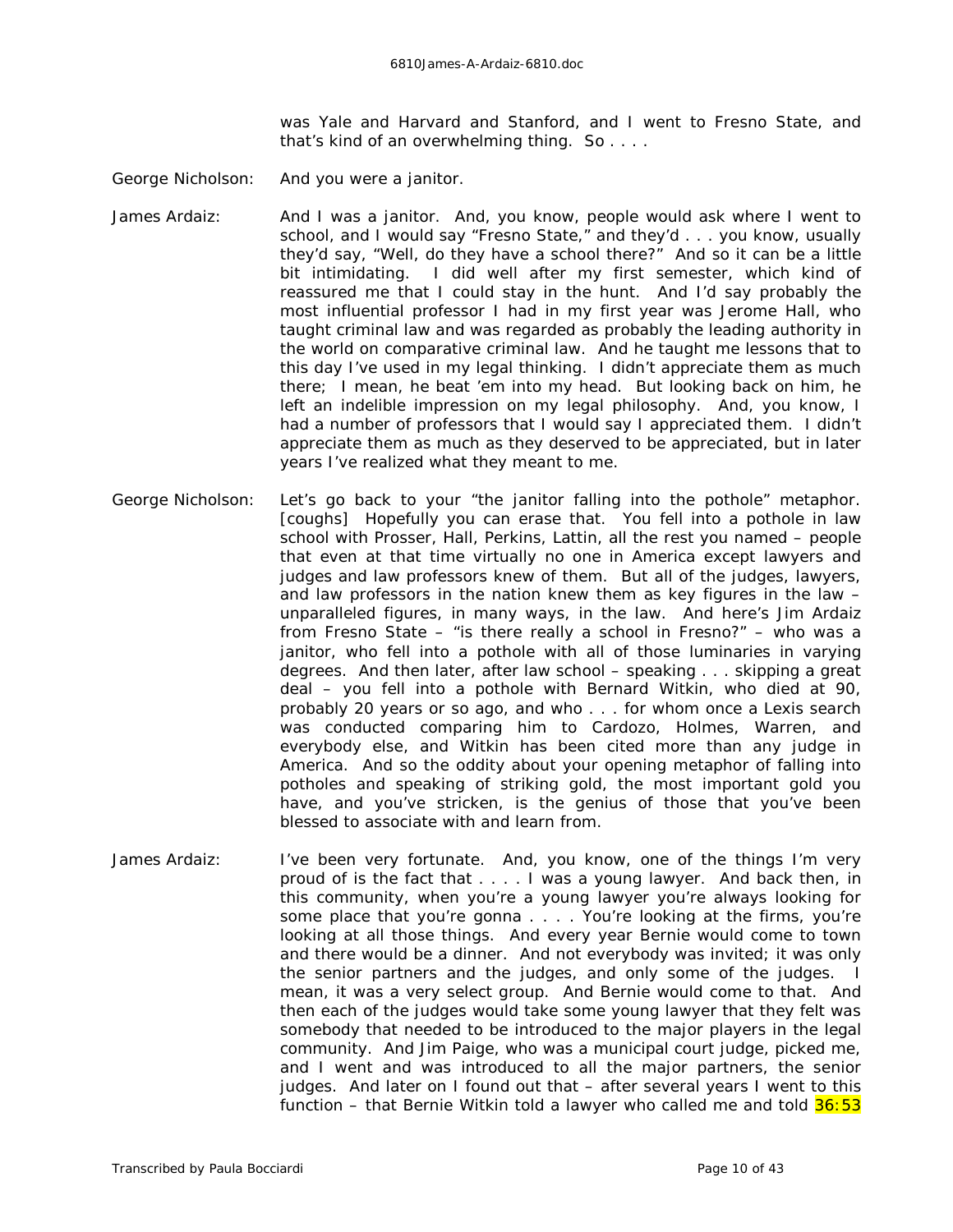was Yale and Harvard and Stanford, and I went to Fresno State, and that's kind of an overwhelming thing. So . . . .

- George Nicholson: And you were a janitor.
- James Ardaiz: And I was a janitor. And, you know, people would ask where I went to school, and I would say "Fresno State," and they'd . . . you know, usually they'd say, "Well, do they have a school there?" And so it can be a little bit intimidating. I did well after my first semester, which kind of reassured me that I could stay in the hunt. And I'd say probably the most influential professor I had in my first year was Jerome Hall, who taught criminal law and was regarded as probably *the* leading authority in the world on comparative criminal law. And he taught me lessons that to this day I've used in my legal thinking. I didn't *appreciate* them as much there; I mean, he beat 'em into my head. But looking back on him, he left an indelible impression on my legal philosophy. And, you know, I had a number of professors that I would say I appreciated them. I didn't appreciate them as much as they deserved to be appreciated, but in later years I've realized what they meant to me.
- George Nicholson: Let's go back to your "the janitor falling into the pothole" metaphor. *[coughs]* Hopefully you can erase that. You fell into a pothole in law school with Prosser, Hall, Perkins, Lattin, all the rest you named – people that even at that time virtually no one in America except lawyers and judges and law professors knew of them. But all of the judges, lawyers, and law professors in the nation knew them as key figures in the law – unparalleled figures, in many ways, in the law. And here's Jim Ardaiz from Fresno State – "is there really a school in Fresno?" – who was a janitor, who fell into a pothole with all of those luminaries in varying degrees. And then later, after law school – speaking . . . skipping a great deal – you fell into a pothole with Bernard Witkin, who died at 90, probably 20 years or so ago, and who . . . for whom once a Lexis search was conducted comparing him to Cardozo, Holmes, Warren, and everybody else, and Witkin has been cited more than any judge in America. And so the oddity about your opening metaphor of falling into potholes and speaking of striking gold, the most important gold you have, and you've stricken, is the genius of those that you've been blessed to associate with and learn from.
- James Ardaiz: I've been very fortunate. And, you know, one of the things I'm very proud of is the fact that . . . . I was a young lawyer. And back then, in this community, when you're a young lawyer you're always looking for some place that you're gonna . . . . You're looking at the firms, you're looking at all those things. And every year Bernie would come to town and there would be a dinner. And not everybody was invited; it was only the senior partners and the judges, and only some of the judges. I mean, it was a very select group. And Bernie would come to that. And then each of the judges would take some young lawyer that they felt was somebody that needed to be introduced to the major players in the legal community. And Jim Paige, who was a municipal court judge, picked me, and I went and was introduced to all the major partners, the senior judges. And later on I found out that – after several years I went to this function – that Bernie Witkin told a lawyer who called me and told  $36:53$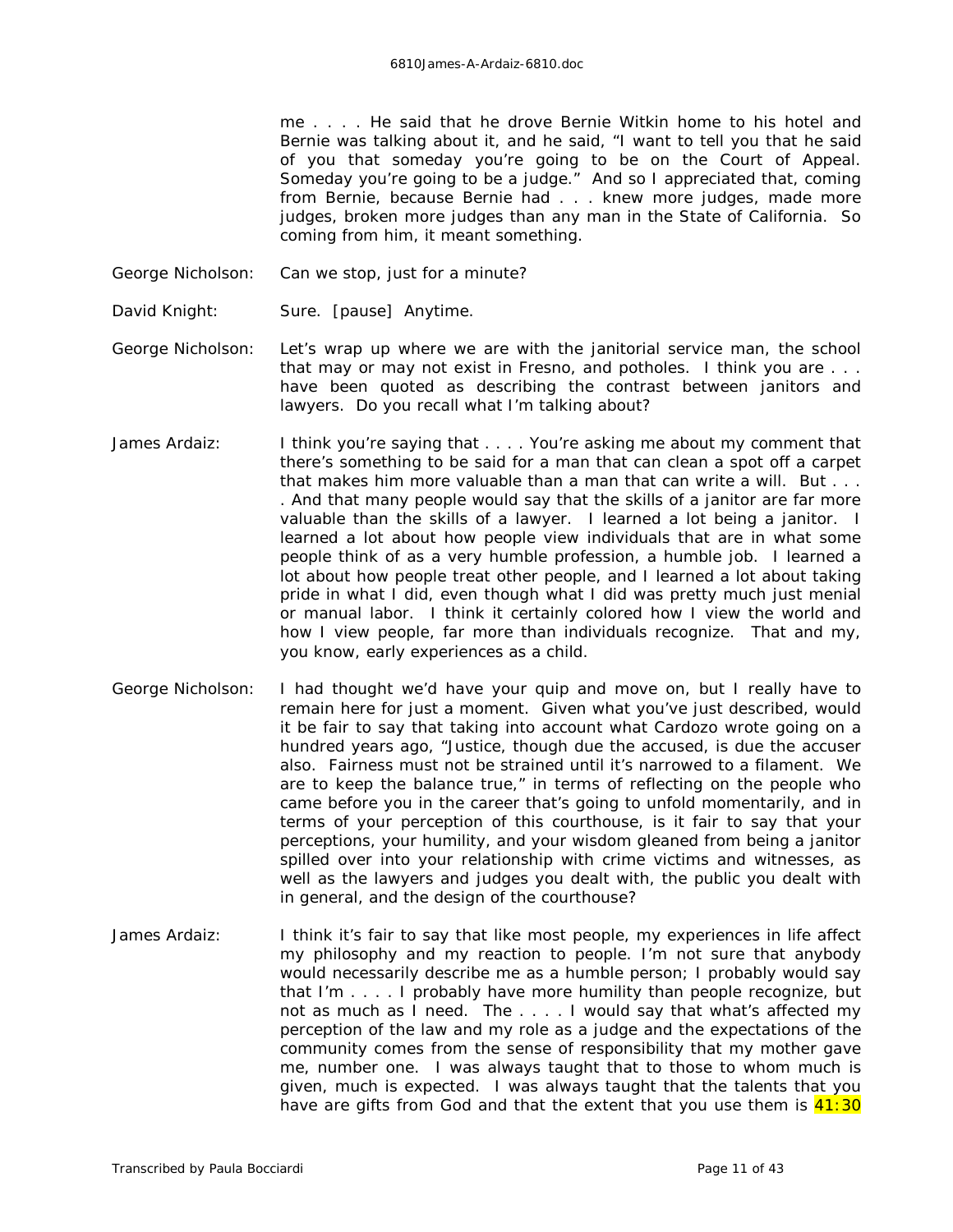me . . . . He said that he drove Bernie Witkin home to his hotel and Bernie was talking about it, and he said, "I want to tell you that he said of you that someday you're going to be on the Court of Appeal. Someday you're going to be a judge." And so I appreciated that, coming from Bernie, because Bernie had . . . knew more judges, made more judges, broken more judges than any man in the State of California. So coming from him, it meant something.

- George Nicholson: Can we stop, just for a minute?
- David Knight: Sure. *[pause]* Anytime.
- George Nicholson: Let's wrap up where we are with the janitorial service man, the school that may or may not exist in Fresno, and potholes. I think you are . . . have been quoted as describing the contrast between janitors and lawyers. Do you recall what I'm talking about?
- James Ardaiz: I think you're saying that . . . . You're asking me about my comment that there's something to be said for a man that can clean a spot off a carpet that makes him more valuable than a man that can write a will. But . . . . And that many people would say that the skills of a janitor are far more valuable than the skills of a lawyer. I learned a lot being a janitor. I learned a lot about how people view individuals that are in what some people think of as a very humble profession, a humble job. I learned a lot about how people treat other people, and I learned a lot about taking pride in what I did, even though what I did was pretty much just menial or manual labor. I think it certainly colored how I view the world and how I view people, far more than individuals recognize. That and my, you know, early experiences as a child.
- George Nicholson: I had thought we'd have your quip and move on, but I really have to remain here for just a moment. Given what you've just described, would it be fair to say that taking into account what Cardozo wrote going on a hundred years ago, "Justice, though due the accused, is due the accuser also. Fairness must not be strained until it's narrowed to a filament. We are to keep the balance true," in terms of reflecting on the people who came before you in the career that's going to unfold momentarily, and in terms of your perception of this courthouse, is it fair to say that your perceptions, your humility, and your wisdom gleaned from being a janitor spilled over into your relationship with crime victims and witnesses, as well as the lawyers and judges you dealt with, the public you dealt with in general, and the design of the courthouse?
- James Ardaiz: I think it's fair to say that like most people, my experiences in life affect my philosophy and my reaction to people. I'm not sure that anybody would necessarily describe me as a humble person; I probably would say that I'm . . . . I probably have more humility than people recognize, but not as much as I need. The . . . . I would say that what's affected my perception of the law and my role as a judge and the expectations of the community comes from the sense of responsibility that my mother gave me, number one. I was always taught that to those to whom much is given, much is expected. I was always taught that the talents that you have are gifts from God and that the extent that you use them is  $41:30$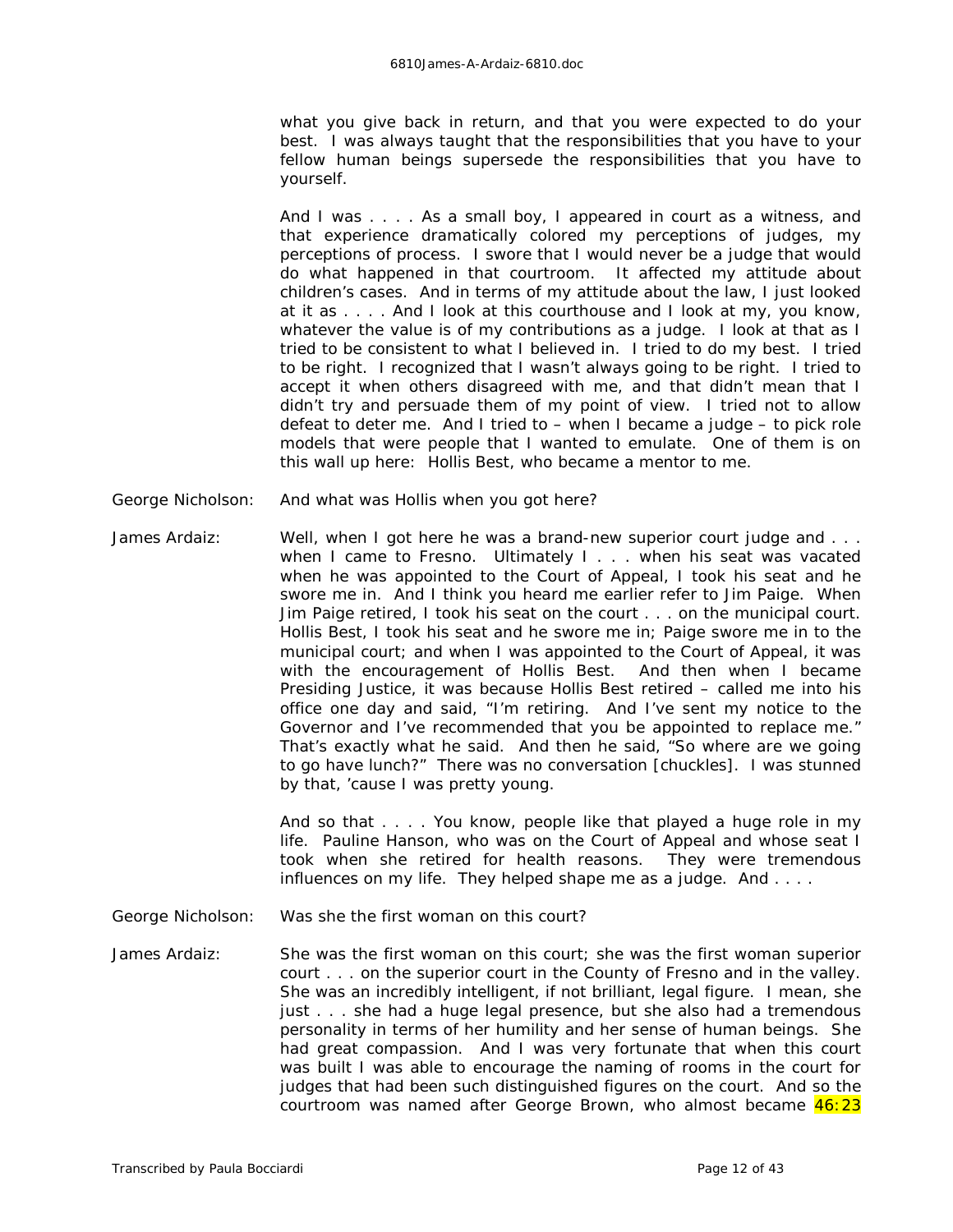what you give back in return, and that you were expected to do your best. I was always taught that the responsibilities that you have to your fellow human beings supersede the responsibilities that you have to yourself.

And I was . . . . As a small boy, I appeared in court as a witness, and that experience dramatically colored my perceptions of judges, my perceptions of process. I swore that I would never be a judge that would do what happened in that courtroom. It affected my attitude about children's cases. And in terms of my attitude about the law, I just looked at it as . . . . And I look at this courthouse and I look at my, you know, whatever the value is of my contributions as a judge. I look at that as I tried to be consistent to what I believed in. I tried to do my best. I tried to be right. I recognized that I wasn't always going to be right. I tried to accept it when others disagreed with me, and that didn't mean that I didn't try and persuade them of my point of view. I tried not to allow defeat to deter me. And I tried to – when I became a judge – to pick role models that were people that I wanted to emulate. One of them is on this wall up here: Hollis Best, who became a mentor to me.

- George Nicholson: And what was Hollis when you got here?
- James Ardaiz: Well, when I got here he was a brand-new superior court judge and . . . when I came to Fresno. Ultimately I . . . when his seat was vacated when he was appointed to the Court of Appeal, I took his seat and he swore me in. And I think you heard me earlier refer to Jim Paige. When Jim Paige retired, I took his seat on the court . . . on the municipal court. Hollis Best, I took his seat and he swore me in; Paige swore me in to the municipal court; and when I was appointed to the Court of Appeal, it was with the encouragement of Hollis Best. And then when I became Presiding Justice, it was because Hollis Best retired – called me into his office one day and said, "I'm retiring. And I've sent my notice to the Governor and I've recommended that you be appointed to replace me." That's exactly what he said. And then he said, "So where are we going to go have lunch?" There was no conversation *[chuckles]*. I was stunned by that, 'cause I was pretty young.

And so that . . . . You know, people like that played a huge role in my life. Pauline Hanson, who was on the Court of Appeal and whose seat I took when she retired for health reasons. They were tremendous influences on my life. They helped shape me as a judge. And . . . .

George Nicholson: Was she the first woman on this court?

James Ardaiz: She was the first woman on this court; she was the first woman superior court . . . on the superior court in the County of Fresno and in the valley. She was an incredibly intelligent, if not brilliant, legal figure. I mean, she just . . . she had a huge legal presence, but she also had a tremendous personality in terms of her humility and her sense of human beings. She had great compassion. And I was very fortunate that when this court was built I was able to encourage the naming of rooms in the court for judges that had been such distinguished figures on the court. And so the courtroom was named after George Brown, who almost became 46:23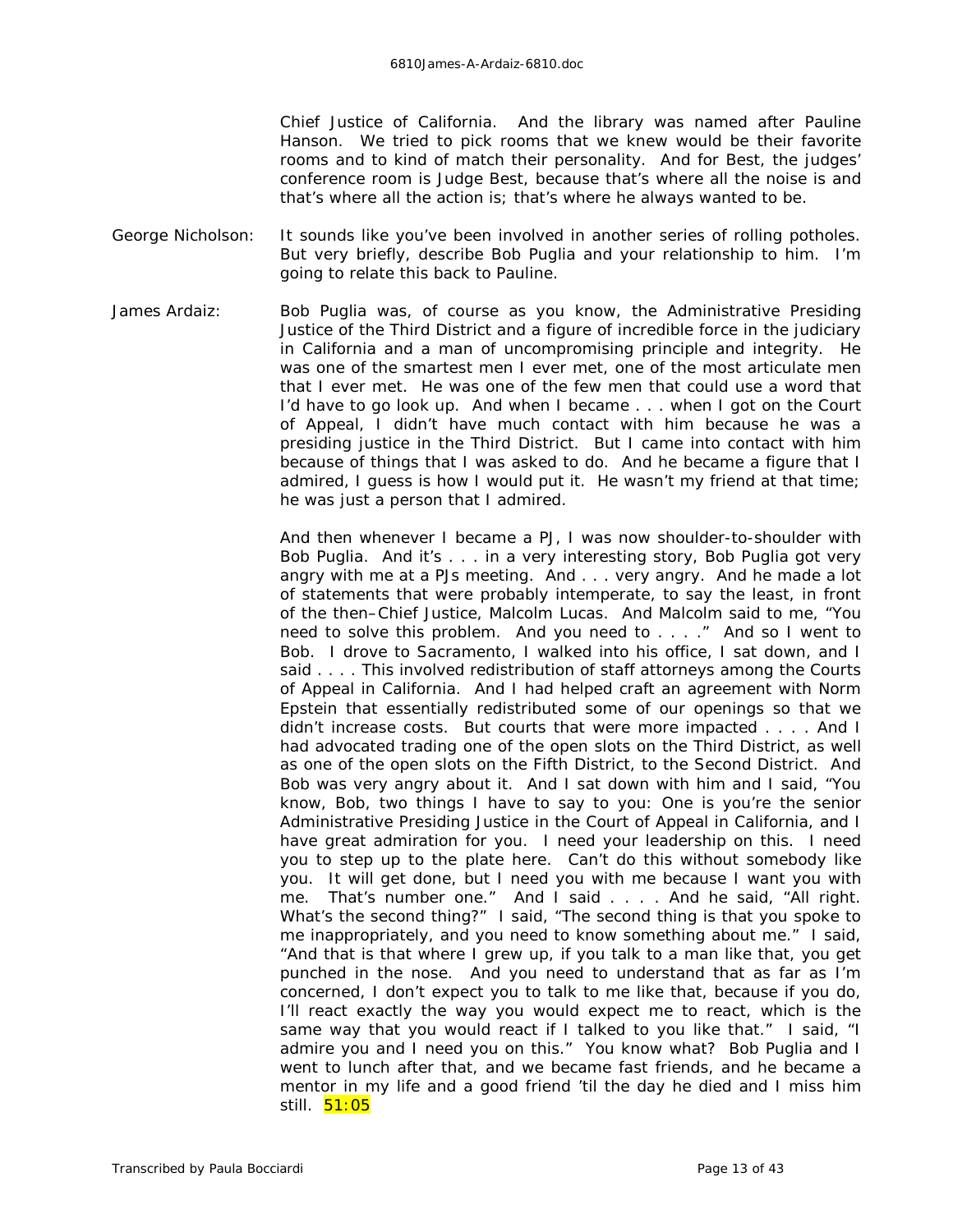Chief Justice of California. And the library was named after Pauline Hanson. We tried to pick rooms that we knew would be *their* favorite rooms and to kind of match their personality. And for Best, the judges' conference room is Judge Best, because that's where all the noise is and that's where all the action is; that's where he always wanted to be.

- George Nicholson: It sounds like you've been involved in another series of rolling potholes. But very briefly, describe Bob Puglia and your relationship to him. I'm going to relate this back to Pauline.
- James Ardaiz: Bob Puglia was, of course as you know, the Administrative Presiding Justice of the Third District and a figure of incredible force in the judiciary in California and a man of uncompromising principle and integrity. He was one of the smartest men I ever met, one of the most articulate men that I ever met. He was one of the few men that could use a word that I'd have to go look up. And when I became . . . when I got on the Court of Appeal, I didn't have much contact with him because he was a presiding justice in the Third District. But I came into contact with him because of things that I was asked to do. And he became a figure that I admired, I guess is how I would put it. He wasn't my friend at that time; he was just a person that I admired.

And then whenever I became a PJ, I was now shoulder-to-shoulder with Bob Puglia. And it's . . . in a very interesting story, Bob Puglia got very angry with me at a PJs meeting. And . . . *very* angry. And he made a lot of statements that were probably intemperate, to say the least, in front of the then–Chief Justice, Malcolm Lucas. And Malcolm said to me, "You need to solve this problem. And you need to . . . ." And so I went to Bob. I drove to Sacramento, I walked into his office, I sat down, and I said . . . . This involved redistribution of staff attorneys among the Courts of Appeal in California. And I had helped craft an agreement with Norm Epstein that essentially redistributed some of our openings so that we didn't increase costs. But courts that were more impacted . . . . And I had advocated trading one of the open slots on the Third District, as well as one of the open slots on the Fifth District, to the Second District. And Bob was very angry about it. And I sat down with him and I said, "You know, Bob, two things I have to say to you: One is you're the senior Administrative Presiding Justice in the Court of Appeal in California, and I have great admiration for you. I need your leadership on this. I need you to step up to the plate here. Can't do this without somebody like you. It *will* get done, but I need you with me because I *want* you with me. That's number one." And I said . . . . And he said, "All right. What's the second thing?" I said, "The second thing is that you spoke to me inappropriately, and you need to know something about me." I said, "And that is that where I grew up, if you talk to a man like that, you get punched in the nose. And you need to understand that as far as I'm concerned, I don't expect you to talk to me like that, because if you do, I'll react exactly the way you would expect me to react, which is the same way that *you* would react if I talked to you like that." I said, "I admire you and I need you on this." You know what? Bob Puglia and I went to lunch after that, and we became fast friends, and he became a mentor in my life and a good friend 'til the day he died and I miss him still. 51:05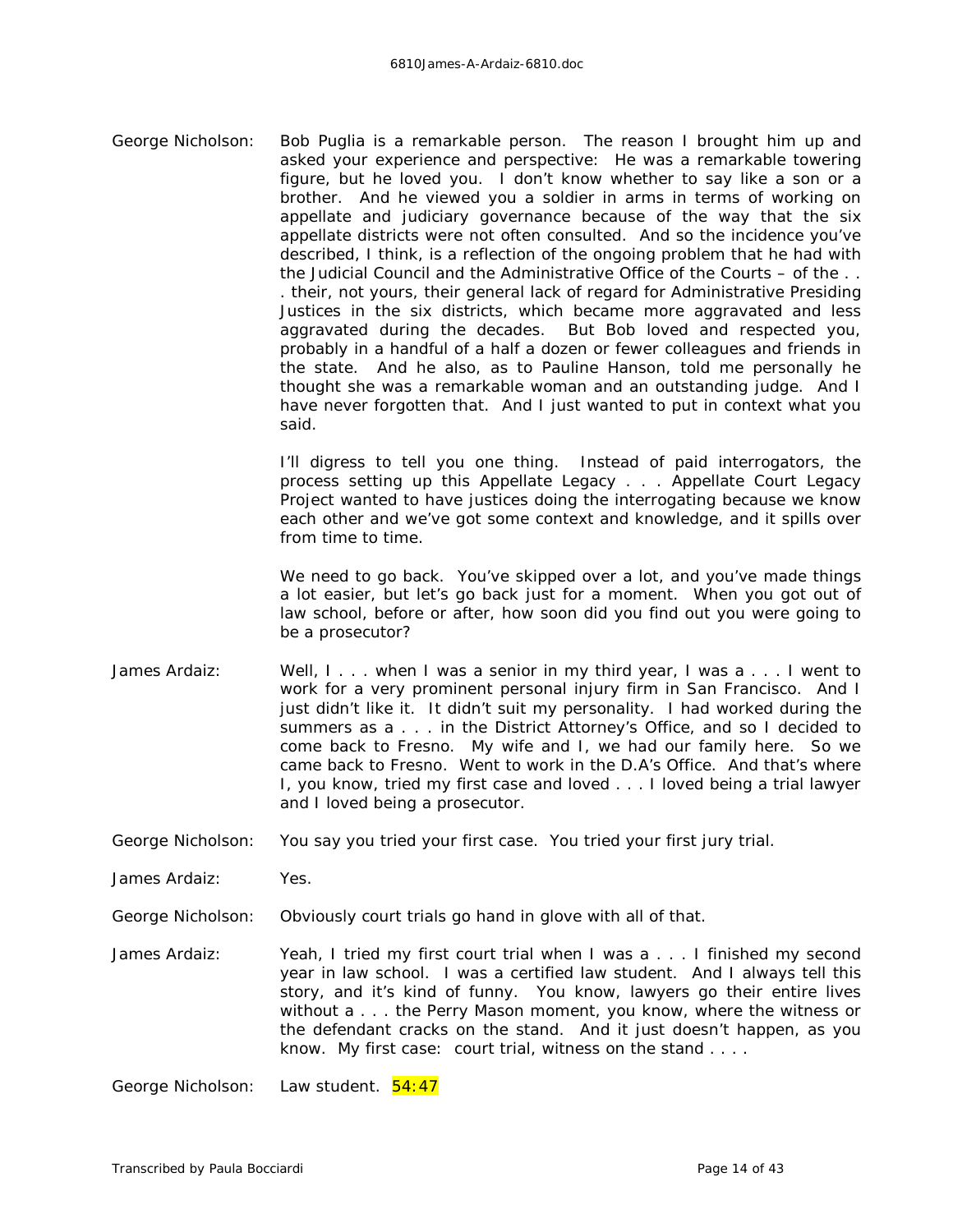George Nicholson: Bob Puglia is a remarkable person. The reason I brought him up and asked your experience and perspective: He was a remarkable towering figure, but he loved *you*. I don't know whether to say like a son or a brother. And he viewed you a soldier in arms in terms of working on appellate and judiciary governance because of the way that the six appellate districts were not often consulted. And so the incidence you've described, I think, is a reflection of the ongoing problem that he had with the Judicial Council and the Administrative Office of the Courts - of the ... . *their*, not yours, their general lack of regard for Administrative Presiding Justices in the six districts, which became more aggravated and less aggravated during the decades. But Bob loved and respected you, probably in a handful of a half a dozen or fewer colleagues and friends in the state. And he also, as to Pauline Hanson, told me personally he thought she was a remarkable woman and an outstanding judge. And I have never forgotten that. And I just wanted to put in context what you said.

> I'll digress to tell you one thing. Instead of paid interrogators, the process setting up this Appellate Legacy . . . Appellate Court Legacy Project wanted to have justices doing the interrogating because we know each other and we've got some context and knowledge, and it spills over from time to time.

> We need to go back. You've skipped over a lot, and you've made things a lot easier, but let's go back just for a moment. When you got out of law school, before or after, how soon did you find out you were going to be a prosecutor?

- James Ardaiz: Well, I... when I was a senior in my third year, I was a... I went to work for a very prominent personal injury firm in San Francisco. And I just didn't like it. It didn't suit my personality. I had worked during the summers as a . . . in the District Attorney's Office, and so I decided to come back to Fresno. My wife and I, we had our family here. So we came back to Fresno. Went to work in the D.A's Office. And that's where I, you know, tried my first case and loved . . . I loved being a trial lawyer and I loved being a prosecutor.
- George Nicholson: You say you tried your first case. You tried your first jury trial.

James Ardaiz: Yes.

- George Nicholson: Obviously court trials go hand in glove with all of that.
- James Ardaiz: Yeah, I tried my first court trial when I was a . . . I finished my second year in law school. I was a certified law student. And I always tell this story, and it's kind of funny. You know, lawyers go their entire lives without a . . . the Perry Mason moment, you know, where the witness or the defendant cracks on the stand. And it just doesn't happen, as you know. My first case: court trial, witness on the stand . . . .

George Nicholson: Law student. 54:47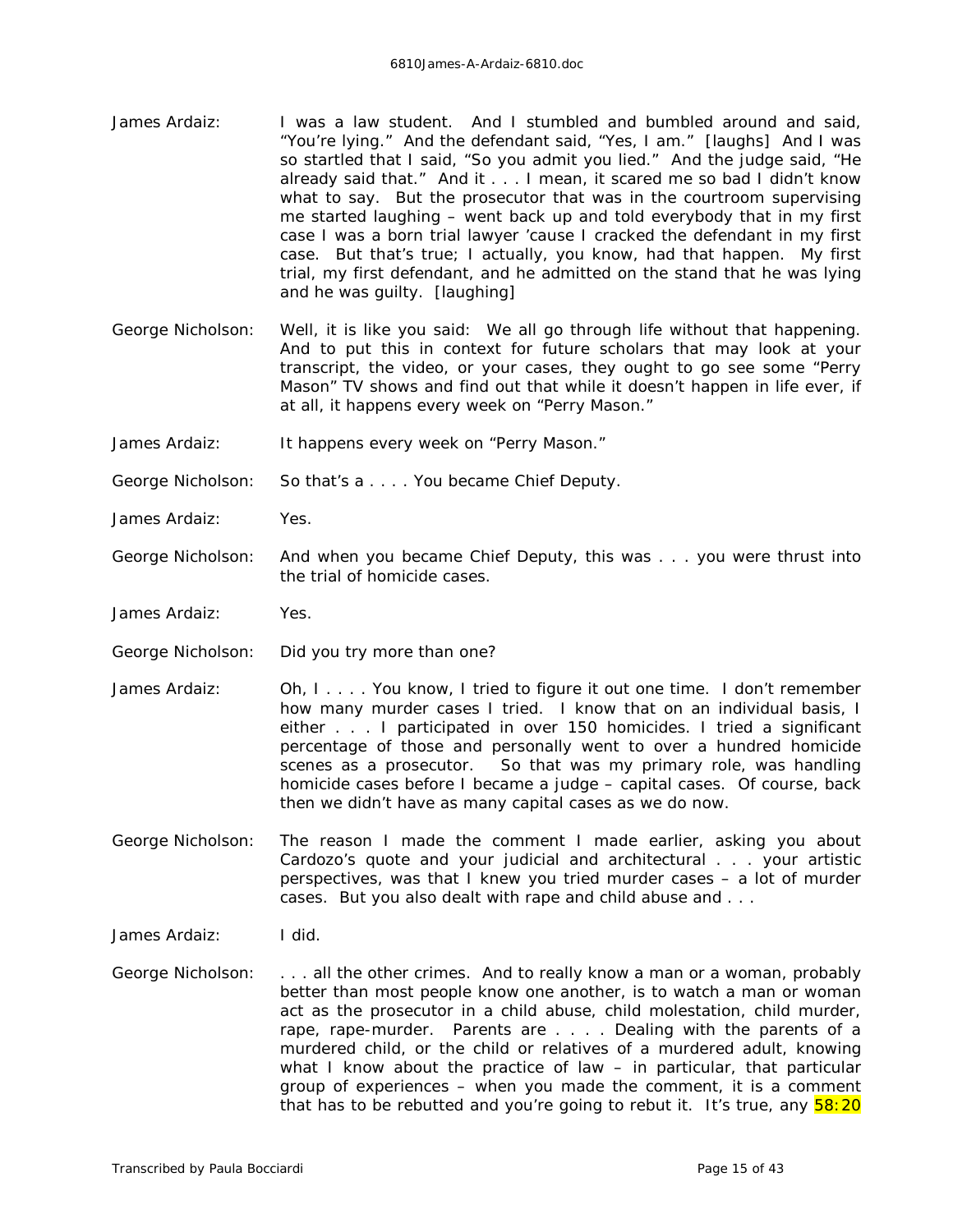- James Ardaiz: I was a law student. And I stumbled and bumbled around and said, "You're lying." And the defendant said, "Yes, I am." *[laughs]* And I was so startled that I said, "So you admit you lied." And the judge said, "He already said that." And it . . . I mean, it scared me so bad I didn't know what to say. But the prosecutor that was in the courtroom supervising me started laughing – went back up and told everybody that in my first case I was a born trial lawyer 'cause I cracked the defendant in my first case. But that's true; I actually, you know, had that happen. My first trial, my first defendant, and he admitted on the stand that he was lying and he was guilty. *[laughing]*
- George Nicholson: Well, it is like you said: We all go through life without that happening. And to put this in context for future scholars that may look at your transcript, the video, or your cases, they ought to go see some "Perry Mason" TV shows and find out that while it doesn't happen in life ever, if at all, it happens every week on "Perry Mason."
- James Ardaiz: It happens every week on "Perry Mason."

George Nicholson: So that's a . . . . You became Chief Deputy.

- James Ardaiz: Yes.
- George Nicholson: And when you became Chief Deputy, this was . . . you were thrust into the trial of homicide cases.
- James Ardaiz: Yes.
- George Nicholson: Did you try more than one?
- James Ardaiz: Oh, I.... You know, I tried to figure it out one time. I don't remember how many murder cases I tried. I know that on an individual basis, I either . . . I participated in over 150 homicides. I tried a significant percentage of those and personally went to over a hundred homicide scenes as a prosecutor. So that was my primary role, was handling homicide cases before I became a judge – capital cases. Of course, back then we didn't have as many capital cases as we do now.
- George Nicholson: The reason I made the comment I made earlier, asking you about Cardozo's quote and your judicial and architectural . . . your artistic perspectives, was that I knew you tried murder cases – a lot of murder cases. But you also dealt with rape and child abuse and . . .
- James Ardaiz: I did.
- George Nicholson: . . . all the other crimes. And to really know a man or a woman, probably better than most people know one another, is to watch a man or woman act as the prosecutor in a child abuse, child molestation, child murder, rape, rape-murder. Parents are . . . . Dealing with the parents of a murdered child, or the child or relatives of a murdered adult, knowing what I know about the practice of law – in particular, that particular group of experiences – when you made the comment, it is a comment that has to be rebutted and you're going to rebut it. It's true, any  $\frac{58:20}{20}$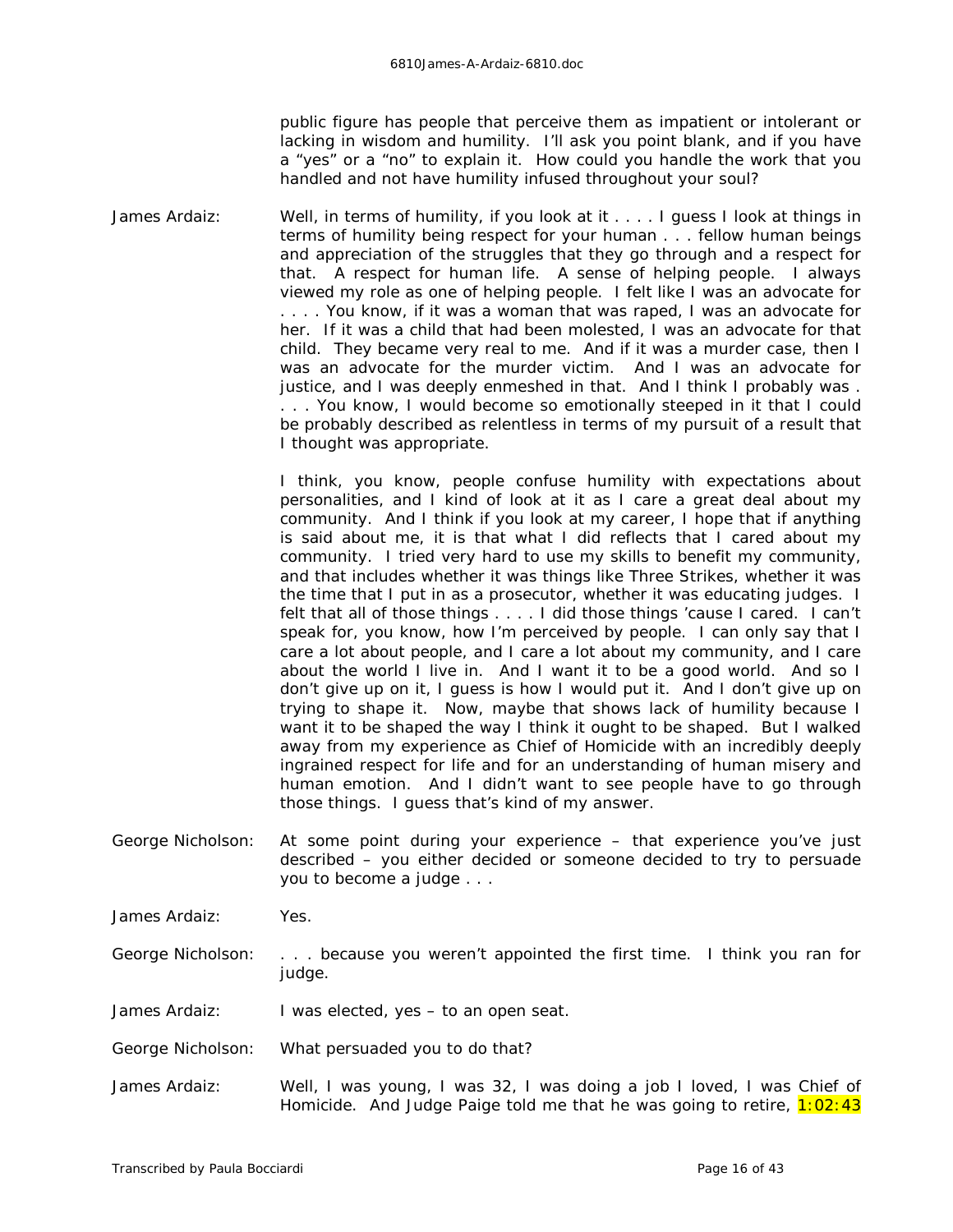public figure has people that perceive them as impatient or intolerant or lacking in wisdom and humility. I'll ask you point blank, and if you have a "yes" or a "no" to explain it. How could you handle the work that you handled and not have humility infused throughout your soul?

James Ardaiz: Well, in terms of humility, if you look at it . . . . I guess I look at things in terms of humility being respect for your human . . . fellow human beings and appreciation of the struggles that they go through and a respect for that. A respect for human *life*. A sense of helping people. I always viewed my role as one of helping people. I felt like I was an advocate for . . . . You know, if it was a woman that was raped, I was an *advocate* for her. If it was a child that had been molested, I was an *advocate* for that child. They became very real to me. And if it was a murder case, then I was an advocate for the murder victim. And I was an advocate for justice, and I was deeply enmeshed in that. And I think I probably was . . . . You know, I would become so emotionally steeped in it that I could be probably described as relentless in terms of my pursuit of a result that I thought was appropriate.

> I think, you know, people confuse humility with expectations about personalities, and I kind of look at it as I care a great deal about my community. And I think if you look at my career, I hope that if anything is said about me, it is that what I did reflects that I cared about my community. I tried very hard to use my skills to benefit my community, and that includes whether it was things like Three Strikes, whether it was the time that I put in as a prosecutor, whether it was educating judges. I felt that all of those things . . . . I did those things 'cause I cared. I can't speak for, you know, how I'm perceived by people. I can only say that I care a lot about people, and I care a lot about my community, and I care about the world I live in. And I want it to be a good world. And so I don't give up on it, I guess is how I would put it. And I don't give up on trying to shape it. Now, maybe that shows *lack* of humility because I want it to be shaped the way I think it ought to be shaped. But I walked away from my experience as Chief of Homicide with an incredibly deeply ingrained respect for life and for an understanding of human misery and human emotion. And I didn't want to see people have to go through those things. I guess that's kind of my answer.

George Nicholson: At some point during your experience – that experience you've just described – you either decided or someone decided to try to persuade you to become a judge . . .

James Ardaiz: Yes.

George Nicholson: . . . because you weren't appointed the first time. I think you *ran* for judge.

James Ardaiz: I was elected, yes – to an open seat.

- George Nicholson: What persuaded you to do that?
- James Ardaiz: Well, I was young, I was 32, I was doing a job I loved, I was Chief of Homicide. And Judge Paige told me that he was going to retire,  $1:02:43$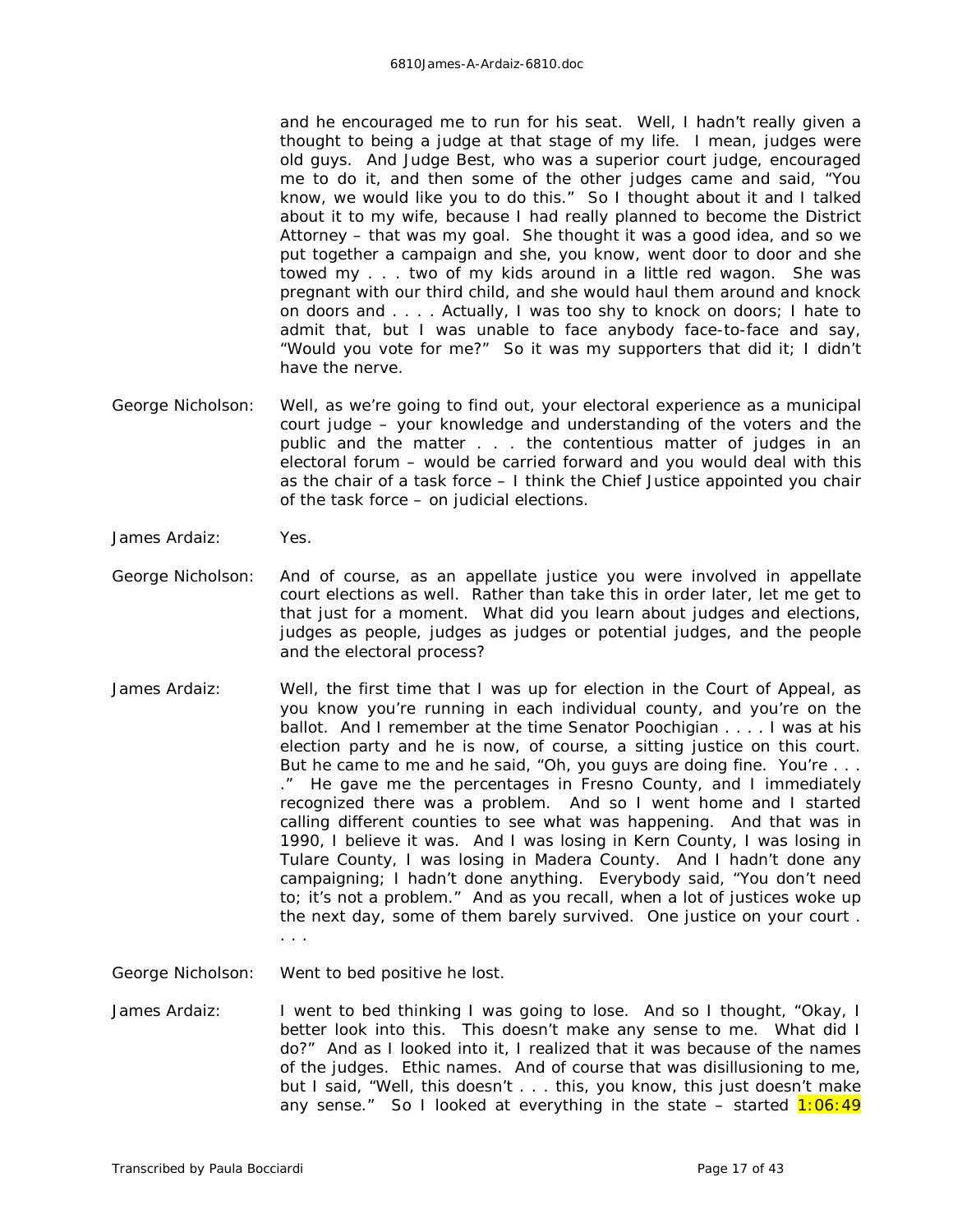and he encouraged me to run for his seat. Well, I hadn't really given a thought to being a judge at that stage of my life. I mean, judges were old guys. And Judge Best, who was a superior court judge, encouraged me to do it, and then some of the other judges came and said, "You know, we would like you to do this." So I thought about it and I talked about it to my wife, because I had really planned to become the District Attorney – that was my goal. She thought it was a good idea, and so we put together a campaign and she, you know, went door to door and she towed my . . . two of my kids around in a little red wagon. She was pregnant with our third child, and she would haul them around and knock on doors and . . . . Actually, I was too shy to knock on doors; I hate to admit that, but I was unable to face anybody face-to-face and say, "Would you vote for me?" So it was my supporters that did it; I didn't have the nerve.

- George Nicholson: Well, as we're going to find out, your electoral experience as a municipal court judge – your knowledge and understanding of the voters and the public and the matter . . . the contentious matter of judges in an electoral forum – would be carried forward and you would deal with this as the chair of a task force – I think the Chief Justice appointed you chair of the task force – on judicial elections.
- James Ardaiz: Yes.
- George Nicholson: And of course, as an appellate justice you were involved in appellate court elections as well. Rather than take this in order later, let me get to that just for a moment. What did you learn about judges and elections, judges as people, judges as judges or potential judges, and the people and the electoral process?
- James Ardaiz: Well, the first time that I was up for election in the Court of Appeal, as you know you're running in each individual county, and you're on the ballot. And I remember at the time Senator Poochigian . . . . I was at his election party and he is now, of course, a sitting justice on this court. But he came to me and he said, "Oh, you guys are doing fine. You're . . . ." He gave me the percentages in Fresno County, and I immediately recognized there was a problem. And so I went home and I started calling different counties to see what was happening. And that was in 1990, I believe it was. And I was losing in Kern County, I was losing in Tulare County, I was losing in Madera County. And I hadn't done any campaigning; I hadn't done anything. Everybody said, "You don't need to; it's not a problem." And as you recall, when a lot of justices woke up the next day, some of them barely survived. One justice on your court . . . .

George Nicholson: Went to bed positive he lost.

James Ardaiz: I went to bed thinking I was going to lose. And so I thought, "Okay, I better look into this. This doesn't make any sense to me. What did *I* do?" And as I looked into it, I realized that it was because of the names of the judges. Ethic names. And of course that was disillusioning to me, but I said, "Well, this doesn't . . . this, you know, this just doesn't make any sense." So I looked at everything in the state – started  $1:06:49$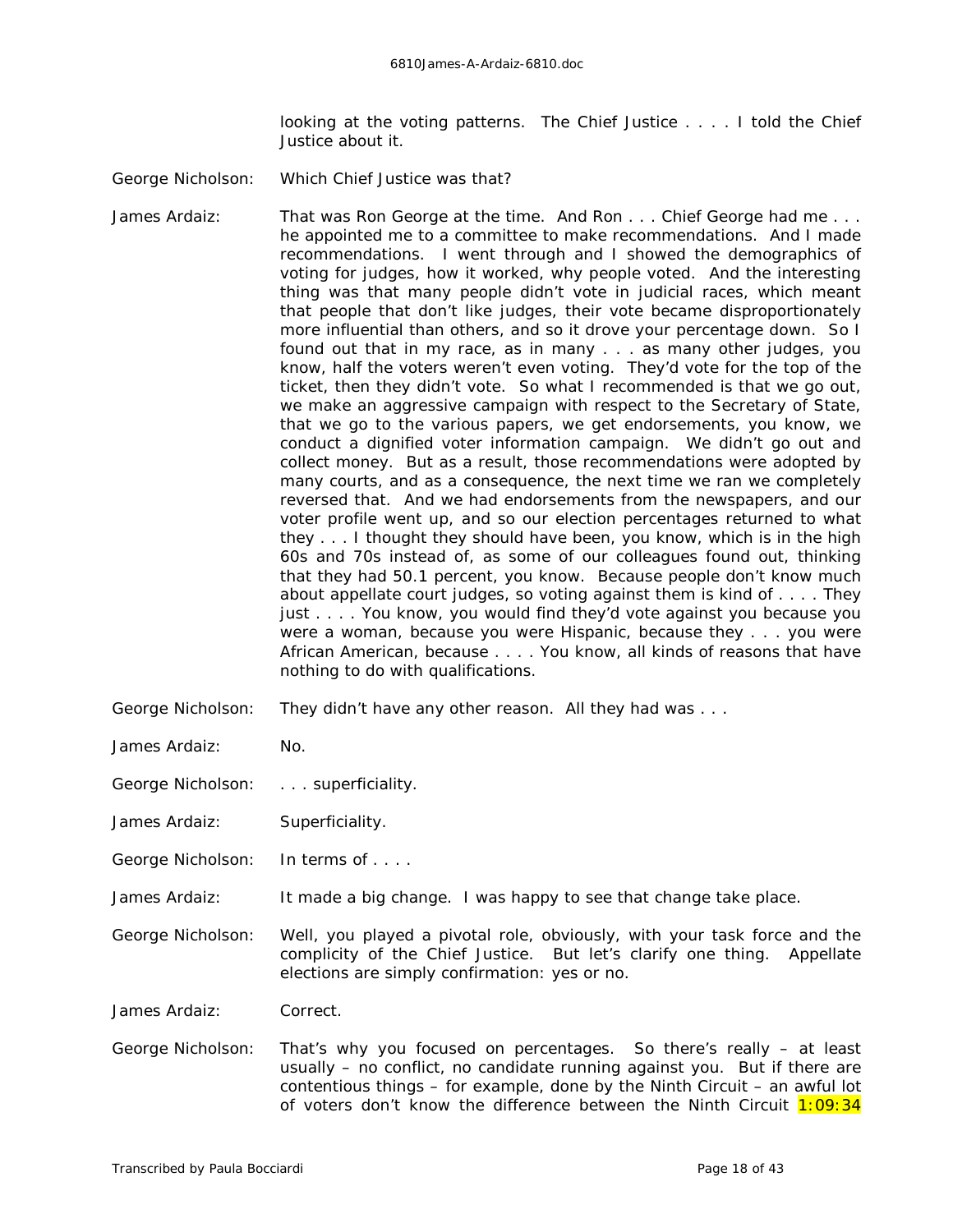looking at the voting patterns. The Chief Justice . . . . I told the Chief Justice about it.

George Nicholson: Which Chief Justice was that?

James Ardaiz: That was Ron George at the time. And Ron . . . Chief George had me . . . he appointed me to a committee to make recommendations. And I made recommendations. I went through and I showed the demographics of voting for judges, how it worked, why people voted. And the interesting thing was that many people didn't vote in judicial races, which meant that people that *don't* like judges, their vote became disproportionately more influential than others, and so it drove your percentage down. So I found out that in my race, as in many . . . as many other judges, you know, half the voters weren't even voting. They'd vote for the top of the ticket, then they didn't vote. So what I recommended is that we go out, we make an aggressive campaign with respect to the Secretary of State, that we go to the various papers, we get endorsements, you know, we conduct a dignified voter information campaign. We didn't go out and collect money. But as a result, those recommendations were adopted by many courts, and as a consequence, the next time we ran we completely reversed that. And we had endorsements from the newspapers, and our voter profile went up, and so our election percentages returned to what they . . . I thought they *should* have been, you know, which is in the high 60s and 70s instead of, as some of our colleagues found out, thinking that they had 50.1 percent, you know. Because people don't know much about appellate court judges, so voting against them is kind of . . . . They just . . . . You know, you would find they'd vote against you because you were a woman, because you were Hispanic, because they . . . you were African American, because . . . . You know, all kinds of reasons that have nothing to do with qualifications.

- George Nicholson: They didn't have any other reason. All they had was . . .
- James Ardaiz: No.
- George Nicholson: . . . superficiality.
- James Ardaiz: Superficiality.

George Nicholson: In terms of . . . .

James Ardaiz: It made a big change. I was happy to see that change take place.

George Nicholson: Well, you played a pivotal role, obviously, with your task force and the complicity of the Chief Justice. But let's clarify one thing. Appellate elections are simply confirmation: yes or no.

James Ardaiz: Correct.

George Nicholson: That's why you focused on percentages. So there's really – at least usually – no conflict, no candidate running against you. But if there are contentious things – for example, done by the Ninth Circuit – an awful lot of voters don't know the difference between the Ninth Circuit  $1:09:34$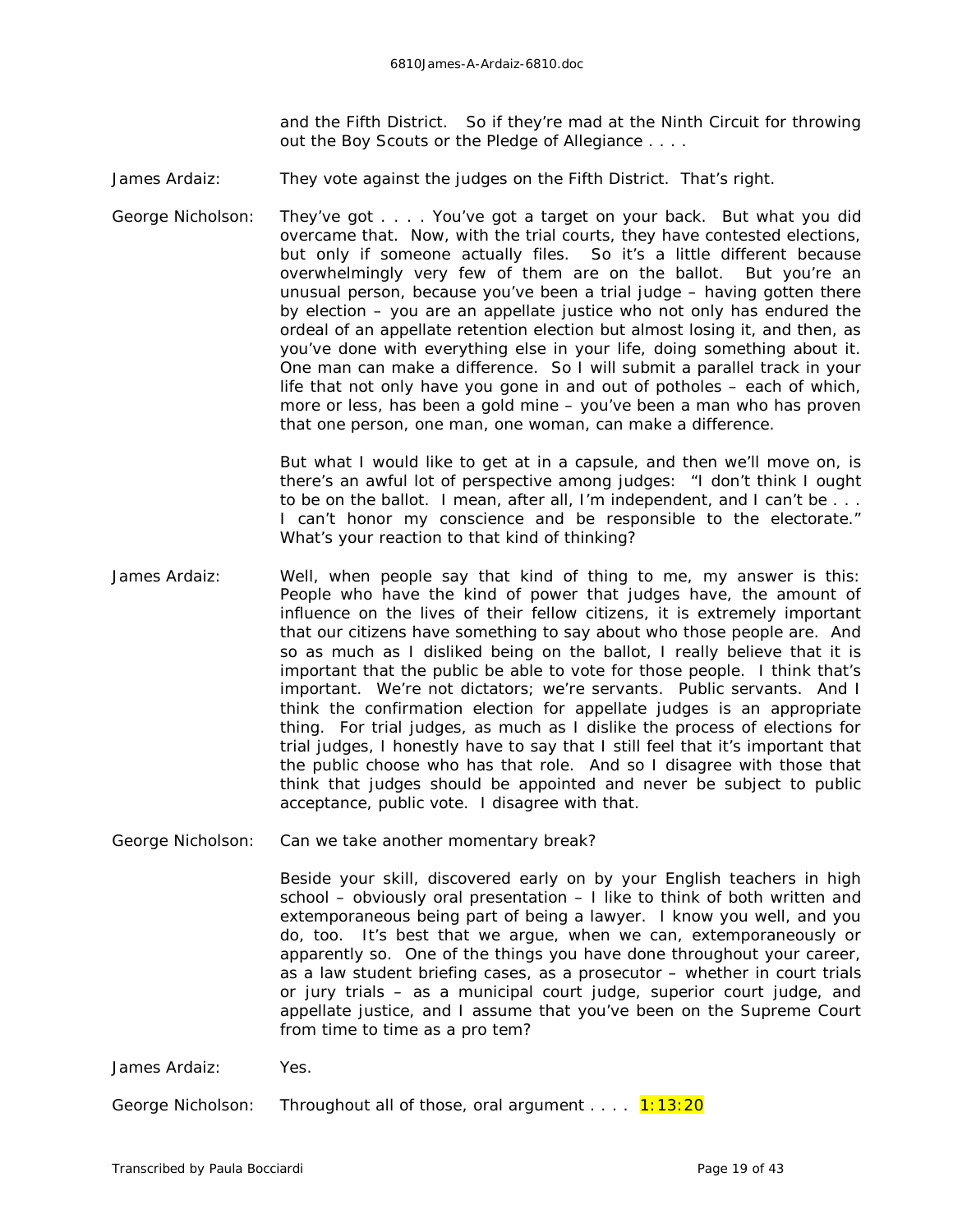and the Fifth District. So if they're mad at the Ninth Circuit for throwing out the Boy Scouts or the Pledge of Allegiance . . . .

James Ardaiz: They vote against the judges on the Fifth District. That's right.

George Nicholson: They've got . . . . You've got a target on your back. But what you did overcame that. Now, with the trial courts, they have contested elections, but only if someone actually files. So it's a little different because overwhelmingly very few of them are on the ballot. But you're an unusual person, because you've been a trial judge – having gotten there *by* election – you are an appellate justice who not only has endured the ordeal of an appellate retention election but almost losing it, and then, as you've done with everything else in your life, doing something about it. One man can make a difference. So I will submit a parallel track in your life that not only have you gone in and out of potholes – each of which, more or less, has been a gold mine – you've been a man who has proven that one person, one man, one woman, can make a difference.

> But what I would like to get at in a capsule, and then we'll move on, is there's an awful lot of perspective among judges: "I don't think I ought to be on the ballot. I mean, after all, I'm independent, and I can't be . . . I can't honor my conscience and be responsible to the electorate." What's your reaction to that kind of thinking?

James Ardaiz: Well, when people say that kind of thing to me, my answer is this: People who have the kind of power that judges have, the amount of influence on the lives of their fellow citizens, it is extremely important that our citizens have something to say about who those people are. And so as much as I disliked being on the ballot, I really believe that it is important that the public be able to vote for those people. I think that's important. We're not dictators; we're servants. Public servants. And I think the confirmation election for appellate judges is an appropriate thing. For trial judges, as much as I dislike the process of elections for trial judges, I honestly have to say that I still feel that it's important that the public choose who has that role. And so I disagree with those that think that judges should be appointed and never be subject to public acceptance, public vote. I disagree with that.

George Nicholson: Can we take another momentary break?

Beside your skill, discovered early on by your English teachers in high school – obviously oral presentation – I like to think of both written and extemporaneous being part of being a lawyer. I know you well, and you do, too. It's best that we argue, when we can, extemporaneously or apparently so. One of the things you have done throughout your career, as a law student briefing cases, as a prosecutor – whether in court trials or jury trials – as a municipal court judge, superior court judge, and appellate justice, and I assume that you've been on the Supreme Court from time to time as a pro tem?

James Ardaiz: Yes.

George Nicholson: Throughout all of those, oral argument . . . . 1:13:20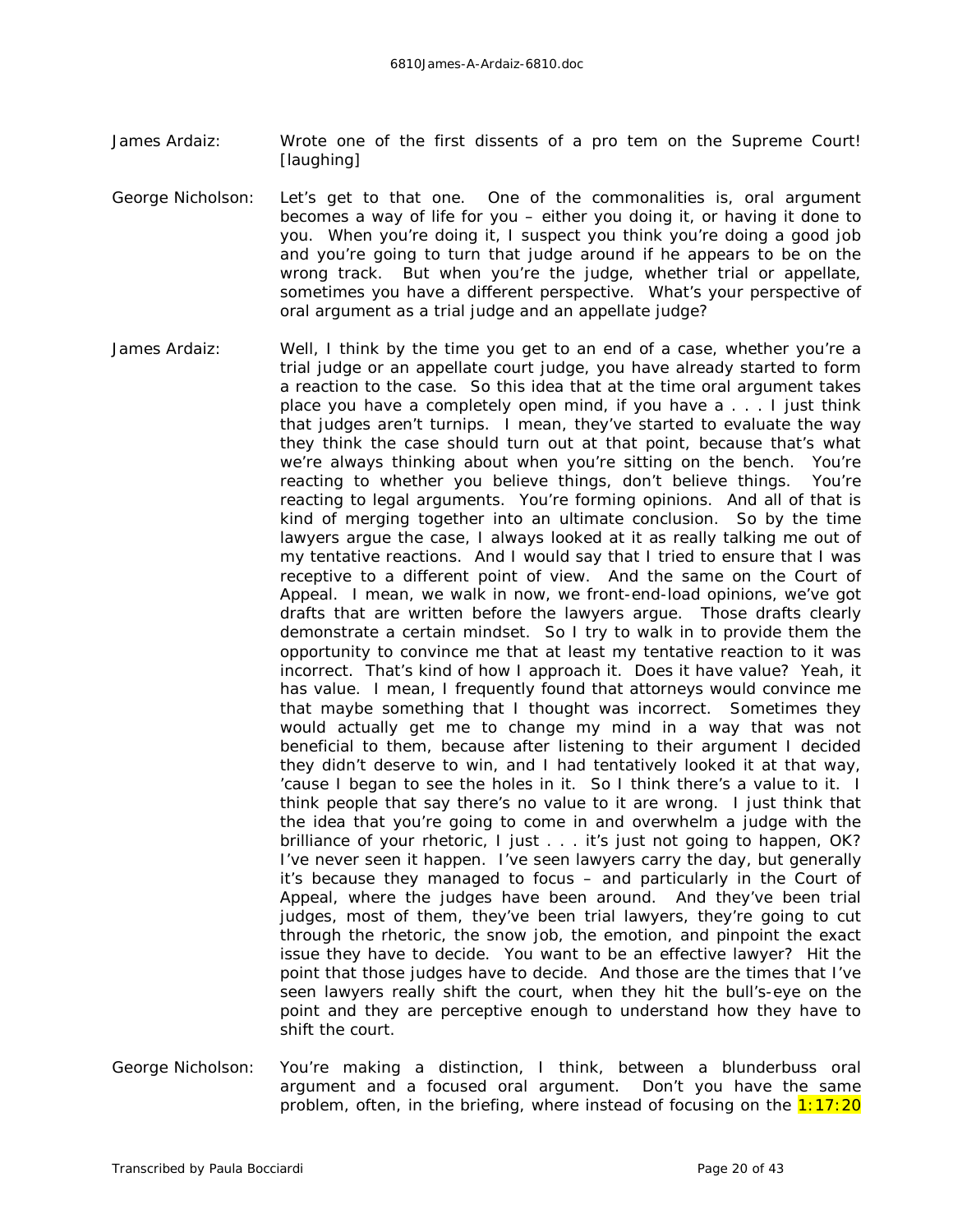- James Ardaiz: Wrote one of the first dissents of a pro tem on the Supreme Court! *[laughing]*
- George Nicholson: Let's get to that one. One of the commonalities is, oral argument becomes a way of life for you – either you doing it, or having it done to you. When you're doing it, I suspect you think you're doing a good job and you're going to turn that judge around if he appears to be on the wrong track. But when you're the judge, whether trial or appellate, sometimes you have a different perspective. What's your perspective of oral argument as a trial judge and an appellate judge?
- James Ardaiz: Well, I think by the time you get to an end of a case, whether you're a trial judge or an appellate court judge, you have already started to form a reaction to the case. So this idea that at the time oral argument takes place you have a completely open mind, if you have a . . . I just think that judges aren't turnips. I mean, they've started to evaluate the way they think the case should turn out at that point, because that's what we're always thinking about when you're sitting on the bench. You're reacting to whether you believe things, don't believe things. You're reacting to legal arguments. You're forming opinions. And all of that is kind of merging together into an ultimate conclusion. So by the time lawyers argue the case, I always looked at it as really talking me out of my tentative reactions. And I would say that I tried to ensure that I was receptive to a different point of view. And the same on the Court of Appeal. I mean, we walk in now, we front-end-load opinions, we've got drafts that are written before the lawyers argue. Those drafts clearly demonstrate a certain mindset. So I try to walk in to provide them the opportunity to convince me that at least my tentative reaction to it was incorrect. That's kind of how I approach it. Does it have value? Yeah, it has value. I mean, I frequently found that attorneys would convince me that maybe something that I thought was incorrect. Sometimes they would actually get me to change my mind in a way that was *not* beneficial to them, because after listening to their argument I decided they didn't deserve to win, and I had tentatively looked it at that way, 'cause I began to see the holes in it. So I think there's a value to it. I think people that say there's no value to it are wrong. I just think that the idea that you're going to come in and overwhelm a judge with the brilliance of your rhetoric, I just . . . it's just not going to happen, OK? I've never seen it happen. I've seen lawyers carry the day, but generally it's because they managed to focus – and particularly in the Court of Appeal, where the judges have been around. And they've been trial judges, most of them, they've been trial lawyers, they're going to cut through the rhetoric, the snow job, the emotion, and pinpoint the exact issue they have to decide. You want to be an effective lawyer? Hit the point that those judges have to decide. And those are the times that I've seen lawyers really shift the court, when they hit the bull's-eye on the point and they are perceptive enough to understand how they have to shift the court.
- George Nicholson: You're making a distinction, I think, between a blunderbuss oral argument and a focused oral argument. Don't you have the same problem, often, in the briefing, where instead of focusing on the  $1:17:20$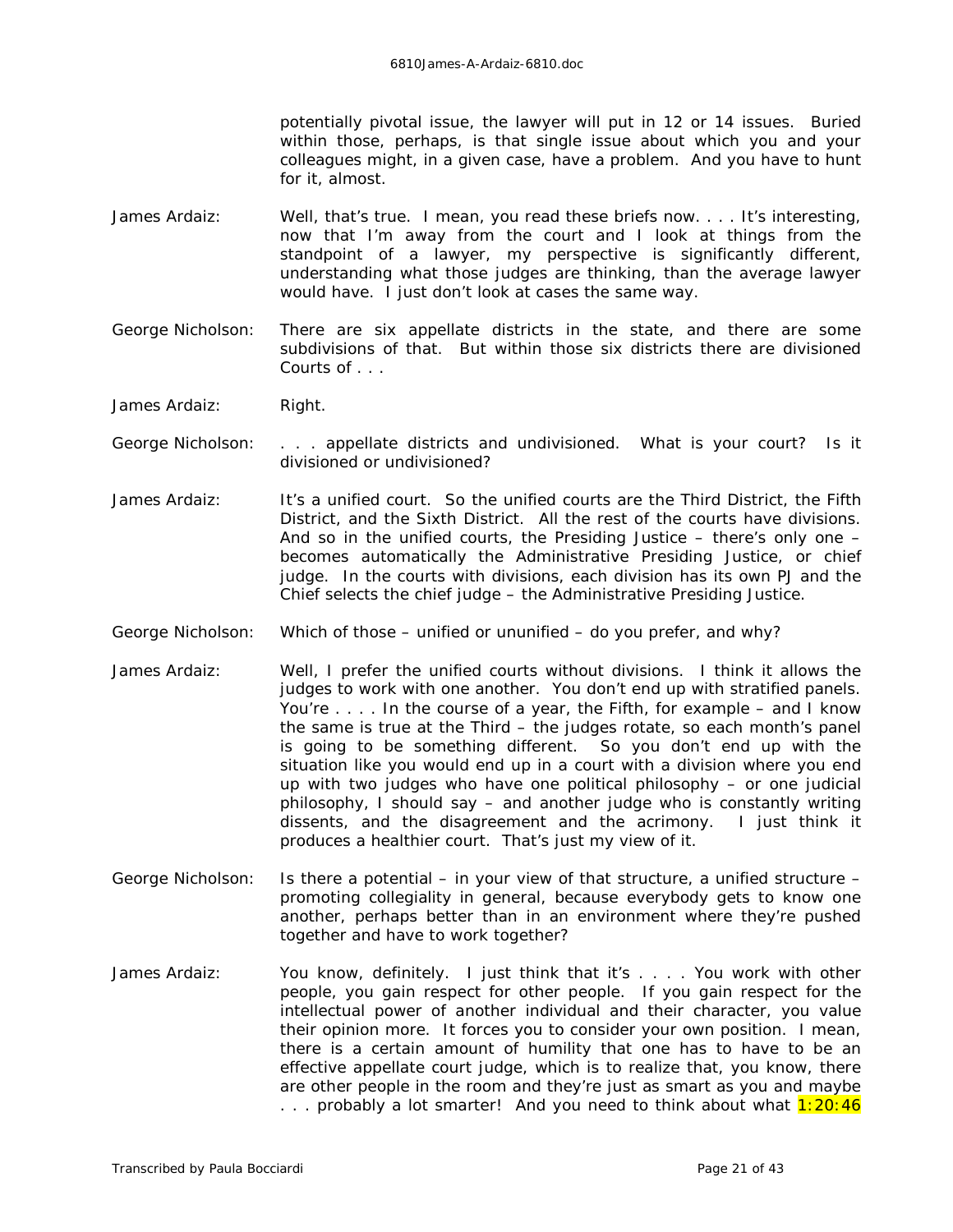potentially pivotal issue, the lawyer will put in 12 or 14 issues. Buried within those, perhaps, is that single issue about which you and your colleagues might, in a given case, have a problem. And you have to hunt for it, almost.

- James Ardaiz: Well, that's true. I mean, you read these briefs now. . . . It's interesting, now that I'm away from the court and I look at things from the standpoint of a lawyer, my perspective is significantly different, understanding what those judges are thinking, than the average lawyer would have. I just don't look at cases the same way.
- George Nicholson: There are six appellate districts in the state, and there are some subdivisions of that. But within those six districts there are divisioned Courts of . . .
- James Ardaiz: Right.
- George Nicholson: . . . appellate districts and undivisioned. What is your court? Is it divisioned or undivisioned?
- James Ardaiz: It's a unified court. So the unified courts are the Third District, the Fifth District, and the Sixth District. All the rest of the courts have divisions. And so in the unified courts, the Presiding Justice – there's only one – becomes automatically the Administrative Presiding Justice, or chief judge. In the courts with divisions, each division has its own PJ and the Chief selects the chief judge – the Administrative Presiding Justice.
- George Nicholson: Which of those unified or ununified do you prefer, and why?
- James Ardaiz: Well, I prefer the unified courts without divisions. I think it allows the judges to work with one another. You don't end up with stratified panels. You're . . . . In the course of a year, the Fifth, for example – and I know the same is true at the Third – the judges rotate, so each month's panel is going to be something different. So you don't end up with the situation like you would end up in a court with a division where you end up with two judges who have one political philosophy – or one judicial philosophy, I should say – and another judge who is constantly writing dissents, and the disagreement and the acrimony. I just think it produces a healthier court. That's just my view of it.
- George Nicholson: Is there a potential in your view of that structure, a unified structure promoting collegiality in general, because everybody gets to know one another, perhaps better than in an environment where they're pushed together and have to work together?
- James Ardaiz: You know, definitely. I just think that it's . . . . You work with other people, you gain respect for other people. If you gain respect for the intellectual power of another individual and their character, you value their opinion more. It forces you to consider your own position. I mean, there is a certain amount of humility that one has to have to be an effective appellate court judge, which is to realize that, you know, there are other people in the room and they're just as smart as you and maybe ... probably a lot smarter! And you need to think about what  $1:20:46$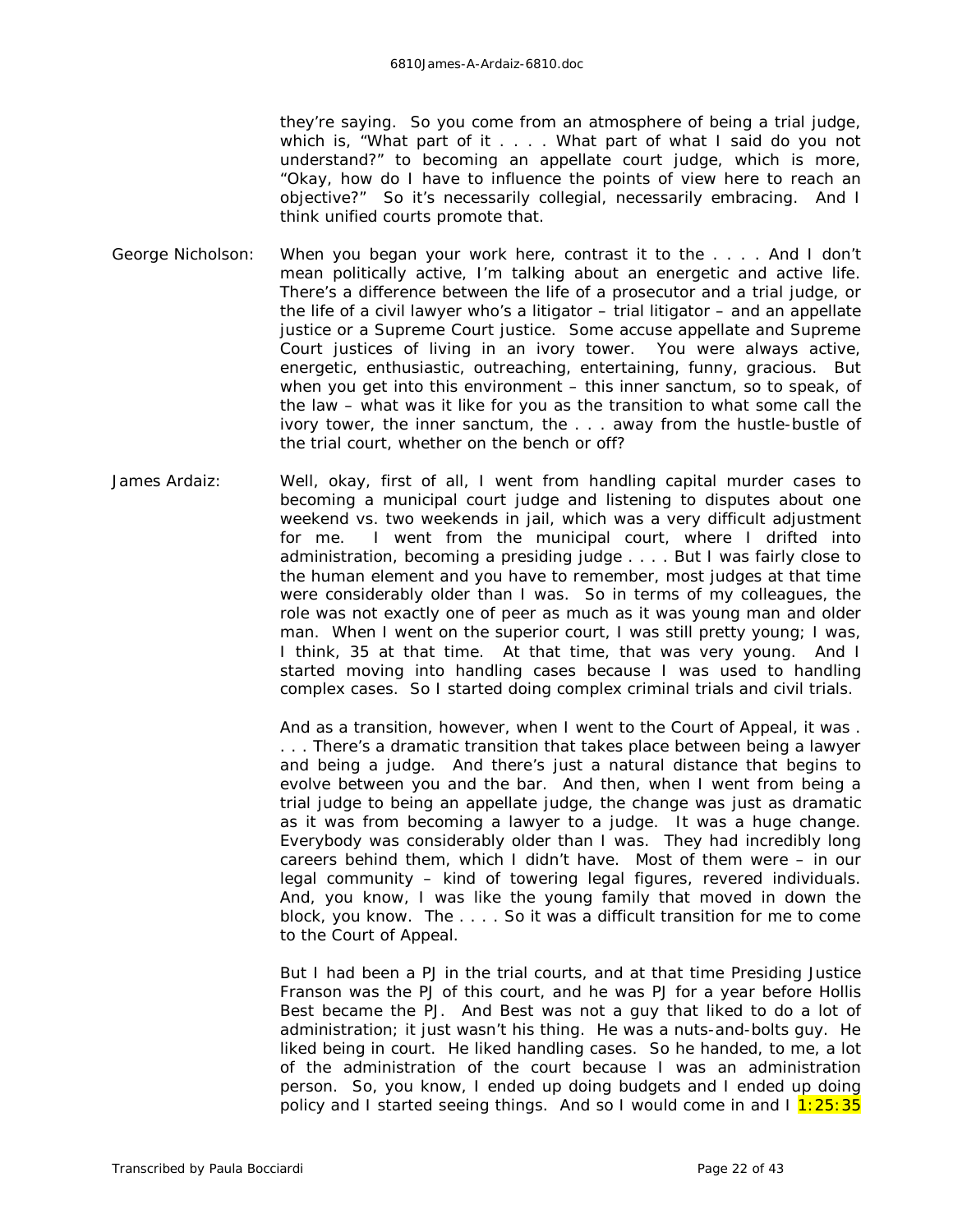they're saying. So you come from an atmosphere of being a trial judge, which is, "What part of it . . . . What part of what I said do you not understand?" to becoming an appellate court judge, which is more, "Okay, how do I have to influence the points of view here to reach an objective?" So it's necessarily collegial, necessarily embracing. And I think unified courts promote that.

- George Nicholson: When you began your work here, contrast it to the . . . . And I don't mean politically active, I'm talking about an energetic and active life. There's a difference between the life of a prosecutor and a trial judge, or the life of a civil lawyer who's a litigator – trial litigator – and an appellate justice or a Supreme Court justice. Some accuse appellate and Supreme Court justices of living in an ivory tower. You were always active, energetic, enthusiastic, outreaching, entertaining, funny, gracious. But when you get into this environment – this inner sanctum, so to speak, of the law – what was it like for you as the transition to what some call the ivory tower, the inner sanctum, the . . . away from the hustle-bustle of the trial court, whether on the bench or off?
- James Ardaiz: Well, okay, first of all, I went from handling capital murder cases to becoming a municipal court judge and listening to disputes about one weekend vs. two weekends in jail, which was a very difficult adjustment for me. I went from the municipal court, where I drifted into administration, becoming a presiding judge . . . . But I was fairly close to the human element and you have to remember, most judges at that time were considerably older than I was. So in terms of my colleagues, the role was not exactly one of peer as much as it was young man and older man. When I went on the superior court, I was still pretty young; I was, I think, 35 at that time. At that time, that was very young. And I started moving into handling cases because I was used to handling complex cases. So I started doing complex criminal trials and civil trials.

And as a transition, however, when I went to the Court of Appeal, it was . . . . There's a dramatic transition that takes place between being a lawyer and being a judge. And there's just a natural distance that begins to evolve between you and the bar. And then, when I went from being a trial judge to being an appellate judge, the change was just as dramatic as it was from becoming a lawyer to a judge. It was a huge change. Everybody was considerably older than I was. They had incredibly long careers behind them, which I didn't have. Most of them were – in our legal community – kind of towering legal figures, revered individuals. And, you know, I was like the young family that moved in down the block, you know. The . . . . So it was a difficult transition for me to come to the Court of Appeal.

But I had been a PJ in the trial courts, and at that time Presiding Justice Franson was the PJ of this court, and he was PJ for a year before Hollis Best became the PJ. And Best was not a guy that liked to do a lot of administration; it just wasn't his thing. He was a nuts-and-bolts guy. He liked being in court. He liked handling cases. So he handed, to me, a lot of the administration of the court because I was an administration person. So, you know, I ended up doing budgets and I ended up doing policy and I started seeing things. And so I would come in and  $1\frac{1:25:35}{1:25:35}$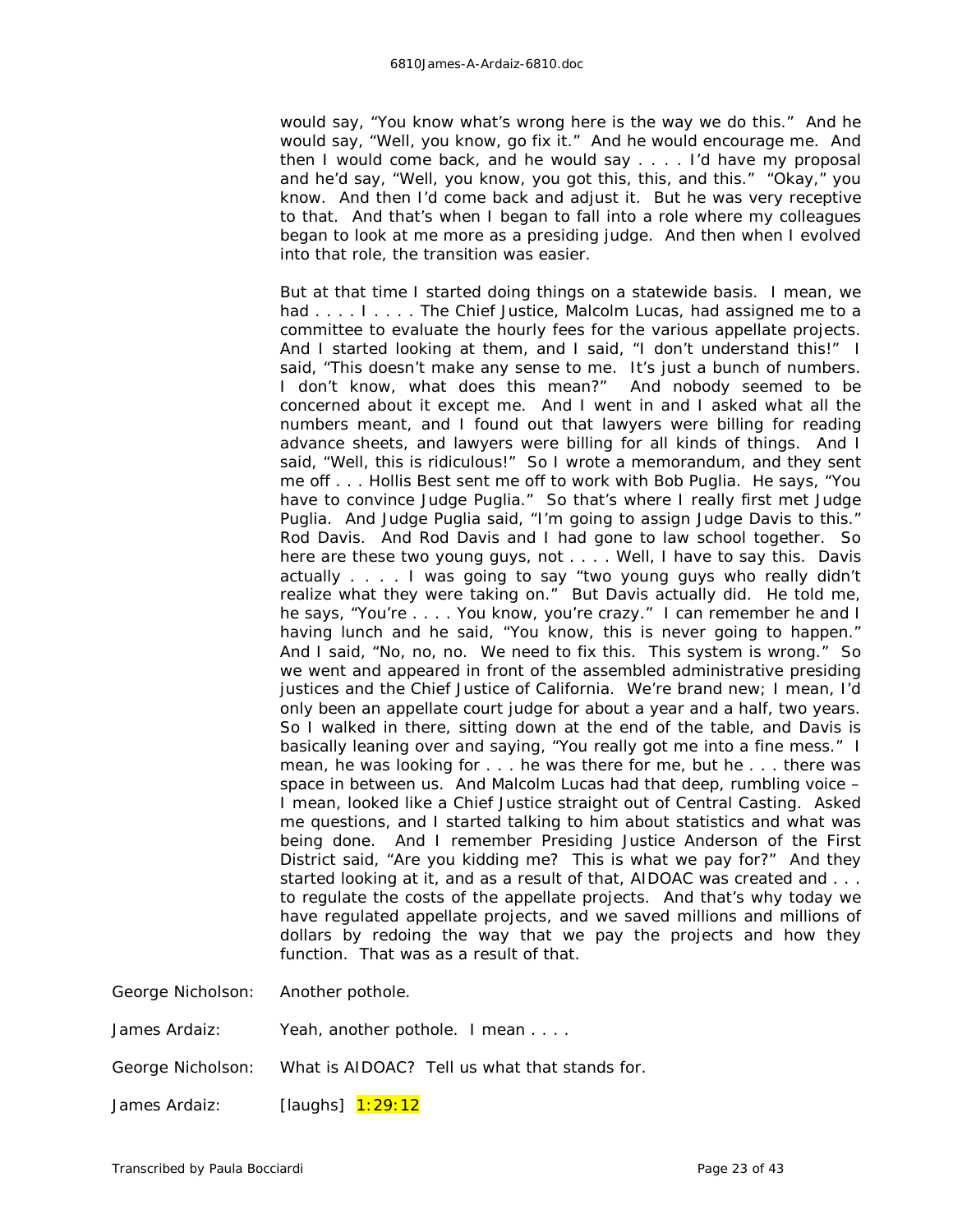would say, "You know what's wrong here is the way we do this." And he would say, "Well, you know, go fix it." And he would encourage me. And then I would come back, and he would say . . . . I'd have my proposal and he'd say, "Well, you know, you got this, this, and this." "Okay," you know. And then I'd come back and adjust it. But he was very receptive to that. And that's when I began to fall into a role where my colleagues began to look at me more as a presiding judge. And then when I evolved into that role, the transition was easier.

But at that time I started doing things on a statewide basis. I mean, we had . . . . I . . . . The Chief Justice, Malcolm Lucas, had assigned me to a committee to evaluate the hourly fees for the various appellate projects. And I started looking at them, and I said, "I don't understand this!" I said, "This doesn't make any sense to me. It's just a bunch of numbers. I don't know, what does this mean?" And nobody seemed to be concerned about it except me. And I went in and I asked what all the numbers meant, and I found out that lawyers were billing for reading advance sheets, and lawyers were billing for all kinds of things. And I said, "Well, this is ridiculous!" So I wrote a memorandum, and they sent me off . . . Hollis Best sent me off to work with Bob Puglia. He says, "You have to convince Judge Puglia." So that's where I really first met Judge Puglia. And Judge Puglia said, "I'm going to assign Judge Davis to this." Rod Davis. And Rod Davis and I had gone to law school together. So here are these two young guys, not . . . . Well, I have to say this. Davis actually . . . . I was going to say "two young guys who really didn't realize what they were taking on." But Davis actually did. He told me, he says, "You're . . . . You know, you're crazy." I can remember he and I having lunch and he said, "You know, this is never going to happen." And I said, "No, no, no. We need to fix this. This system is wrong." So we went and appeared in front of the assembled administrative presiding justices and the Chief Justice of California. We're brand new; I mean, I'd only been an appellate court judge for about a year and a half, two years. So I walked in there, sitting down at the end of the table, and Davis is basically leaning over and saying, "You really got me into a fine mess." I mean, he was looking for . . . he was there for me, but he . . . there was space in between us. And Malcolm Lucas had that deep, rumbling voice – I mean, looked like a Chief Justice straight out of Central Casting. Asked me questions, and I started talking to him about statistics and what was being done. And I remember Presiding Justice Anderson of the First District said, "Are you kidding me? This is what we pay for?" And they started looking at it, and as a result of that, AIDOAC was created and . . . to regulate the costs of the appellate projects. And that's why today we have regulated appellate projects, and we saved millions and millions of dollars by redoing the way that we pay the projects and how they function. That was as a result of that.

George Nicholson: Another pothole.

| James Ardaiz: | Yeah, another pothole. I mean |  |
|---------------|-------------------------------|--|
|               |                               |  |

George Nicholson: What is AIDOAC? Tell us what that stands for.

James Ardaiz: *[laughs]* 1:29:12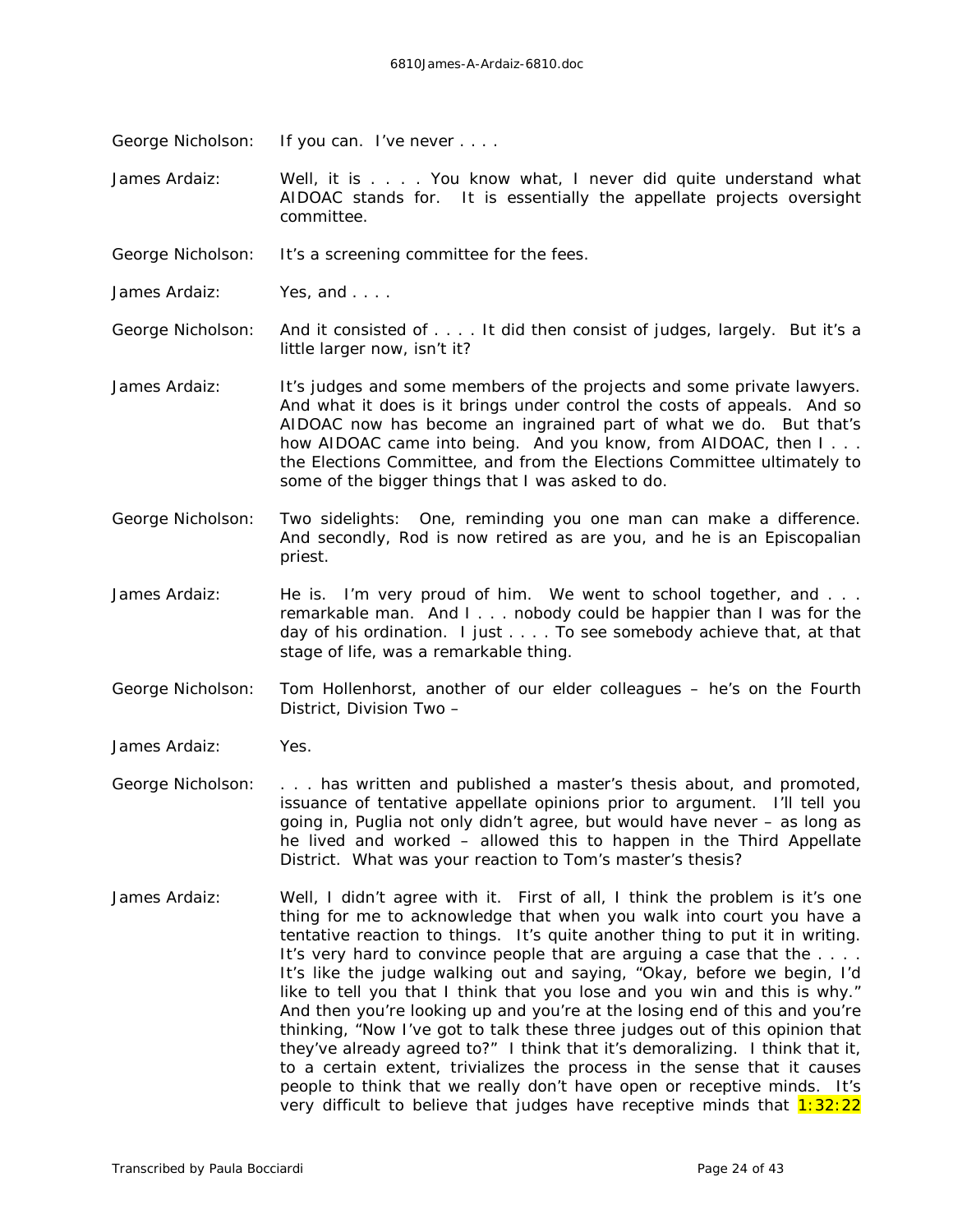George Nicholson: If you can. I've never . . . .

James Ardaiz: Well, it is . . . . You know what, I never did quite understand what AIDOAC stands for. It is essentially the appellate projects oversight committee.

George Nicholson: It's a screening committee for the fees.

James Ardaiz: Yes, and . . . .

George Nicholson: And it consisted of . . . . It did then consist of judges, largely. But it's a little larger now, isn't it?

- James Ardaiz: It's judges and some members of the projects and some private lawyers. And what it does is it brings under control the costs of appeals. And so AIDOAC now has become an ingrained part of what we do. But that's how AIDOAC came into being. And you know, from AIDOAC, then I... the Elections Committee, and from the Elections Committee ultimately to some of the bigger things that I was asked to do.
- George Nicholson: Two sidelights: One, reminding you one man can make a difference. And secondly, Rod is now retired as are you, and he is an Episcopalian priest.
- James Ardaiz: He is. I'm very proud of him. We went to school together, and ... remarkable man. And I . . . nobody could be happier than I was for the day of his ordination. I just . . . . To see somebody achieve that, at that stage of life, was a remarkable thing.
- George Nicholson: Tom Hollenhorst, another of our elder colleagues he's on the Fourth District, Division Two –
- James Ardaiz: Yes.
- George Nicholson: . . . has written and published a master's thesis about, and promoted, issuance of tentative appellate opinions prior to argument. I'll tell you going in, Puglia not only didn't agree, but would have never – as long as he lived and worked – allowed this to happen in the Third Appellate District. What was your reaction to Tom's master's thesis?
- James Ardaiz: Well, I didn't agree with it. First of all, I think the problem is it's one thing for me to acknowledge that when you walk into court you have a tentative reaction to things. It's quite another thing to put it in writing. It's very hard to convince people that are arguing a case that the . . . . It's like the judge walking out and saying, "Okay, before we begin, I'd like to tell you that I think that you lose and you win and this is why." And then you're looking up and you're at the losing end of this and you're thinking, "Now I've got to talk these three judges out of this opinion that they've already agreed to?" I think that it's demoralizing. I think that it, to a certain extent, trivializes the process in the sense that it causes people to think that we really don't have open or receptive minds. It's very difficult to believe that judges have receptive minds that  $1:32:22$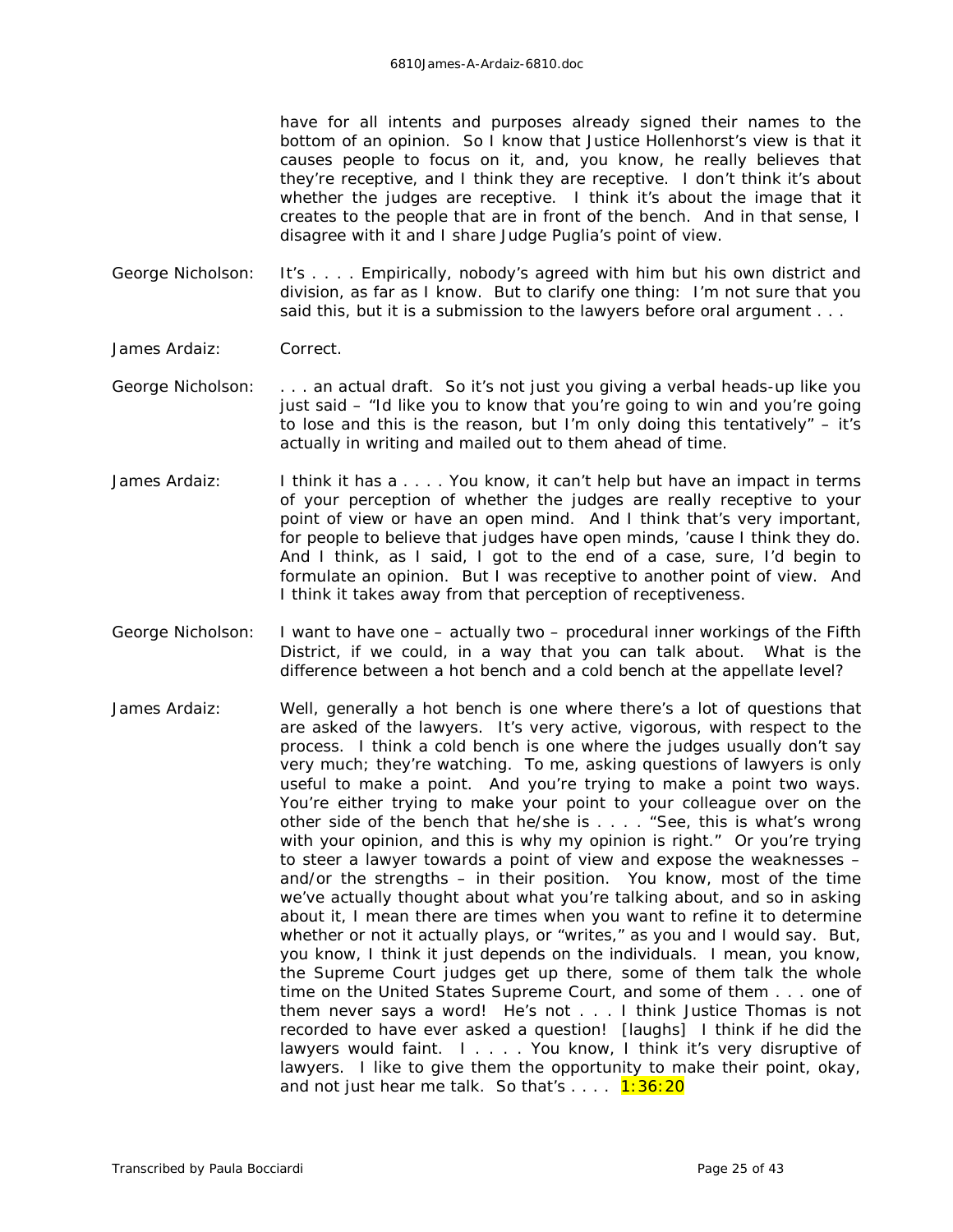have for all intents and purposes already signed their names to the bottom of an opinion. So I know that Justice Hollenhorst's view is that it causes people to focus on it, and, you know, he really believes that they're receptive, and I think they *are* receptive. I don't think it's about whether the judges are receptive. I think it's about the *image* that it creates to the people that are in *front* of the bench. And in that sense, I disagree with it and I share Judge Puglia's point of view.

- George Nicholson: It's . . . . Empirically, nobody's agreed with him but his own district and division, as far as I know. But to clarify one thing: I'm not sure that you said this, but it is a submission to the lawyers before oral argument . . .
- James Ardaiz: Correct.
- George Nicholson: . . . an actual draft. So it's not just you giving a verbal heads-up like you just said – "Id like you to know that you're going to win and you're going to lose and this is the reason, but I'm only doing this tentatively" – it's actually in writing and mailed out to them ahead of time.
- James Ardaiz: I think it has a . . . You know, it can't help but have an impact in terms of your perception of whether the judges are really receptive to your point of view or have an open mind. And I think that's very important, for people to believe that judges have open minds, 'cause I think they do. And I think, as I said, I got to the end of a case, sure, I'd begin to formulate an opinion. But I was receptive to another point of view. And I think it takes away from that perception of receptiveness.
- George Nicholson: I want to have one actually two procedural inner workings of the Fifth District, if we could, in a way that you can talk about. What is the difference between a hot bench and a cold bench at the appellate level?
- James Ardaiz: Well, generally a hot bench is one where there's a lot of questions that are asked of the lawyers. It's very active, vigorous, with respect to the process. I think a cold bench is one where the judges usually don't say very much; they're watching. To me, asking questions of lawyers is only useful to make a point. And you're trying to make a point two ways. You're either trying to make your point to your colleague over on the other side of the bench that he/she is . . . . "See, this is what's wrong with your opinion, and this is why my opinion is right." Or you're trying to steer a lawyer towards a point of view and expose the weaknesses – and/or the strengths – in their position. You know, most of the time we've actually thought about what you're talking about, and so in asking about it, I mean there are times when you want to refine it to determine whether or not it actually plays, or "writes," as you and I would say. But, you know, I think it just depends on the individuals. I mean, you know, the Supreme Court judges get up there, some of them talk the whole time on the United States Supreme Court, and some of them . . . one of them never says a word! He's not . . . I think Justice Thomas is not recorded to have ever asked a question! *[laughs]* I think if he did the lawyers would faint. I . . . . You know, I think it's very disruptive of lawyers. I like to give them the opportunity to make their point, okay, and not just hear me talk. So that's  $\dots$  1:36:20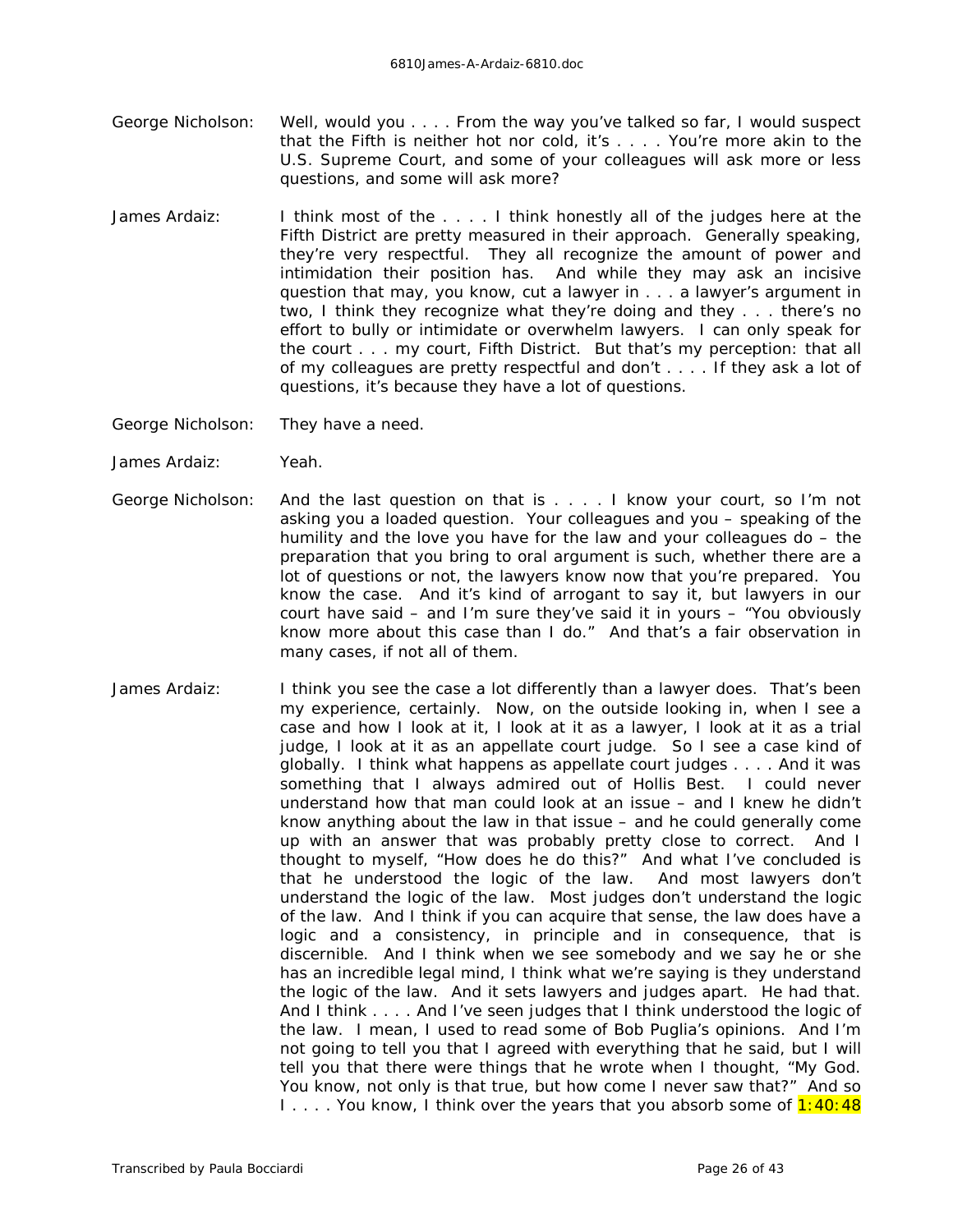- George Nicholson: Well, would you . . . . From the way you've talked so far, I would suspect that the Fifth is neither hot nor cold, it's . . . . You're more akin to the U.S. Supreme Court, and some of your colleagues will ask more or less questions, and some will ask more?
- James Ardaiz: I think most of the .... I think honestly all of the judges here at the Fifth District are pretty measured in their approach. Generally speaking, they're very respectful. They all recognize the amount of power and intimidation their position has. And while they may ask an incisive question that may, you know, cut a lawyer in . . . a lawyer's argument in two, I think they recognize what they're doing and they . . . there's no effort to bully or intimidate or overwhelm lawyers. I can only speak for the court . . . my court, Fifth District. But that's my perception: that all of my colleagues are pretty respectful and don't . . . . If they ask a lot of questions, it's because they have a lot of questions.

George Nicholson: They have a need.

- James Ardaiz: Yeah.
- George Nicholson: And the last question on that is . . . . I know your court, so I'm not asking you a loaded question. Your colleagues and you – speaking of the humility and the love you have for the law and your colleagues do – the preparation that you bring to oral argument is such, whether there are a lot of questions or not, the lawyers know now that you're prepared. You know the case. And it's kind of arrogant to say it, but lawyers in our court have said – and I'm sure they've said it in yours – "You obviously know more about this case than I do." And that's a fair observation in many cases, if not all of them.
- James Ardaiz: I think you see the case a lot differently than a lawyer does. That's been my experience, certainly. Now, on the outside looking in, when I see a case and how I look at it, I look at it as a lawyer, I look at it as a trial judge, I look at it as an appellate court judge. So I see a case kind of globally. I think what happens as appellate court judges . . . . And it was something that I always admired out of Hollis Best. I could never understand how that man could look at an issue – and I *knew* he didn't know anything about the law in that issue – and he could generally come up with an answer that was probably pretty close to correct. And I thought to myself, "How does he do this?" And what I've concluded is that he understood the logic of the law. And most lawyers don't understand the logic of the law. Most judges don't understand the logic of the law. And I think if you can acquire that sense, the law does have a logic and a consistency, in principle and in consequence, that is discernible. And I think when we see somebody and we say he or she has an incredible legal mind, I think what we're saying is they understand the logic of the law. And it sets lawyers and judges apart. He had that. And I think . . . . And I've seen judges that I think understood the logic of the law. I mean, I used to read some of Bob Puglia's opinions. And I'm not going to tell you that I agreed with everything that he said, but I will tell you that there were things that he wrote when I thought, "My God. You know, not only is that true, but how come I never saw that?" And so I.... You know, I think over the years that you absorb some of 1:40:48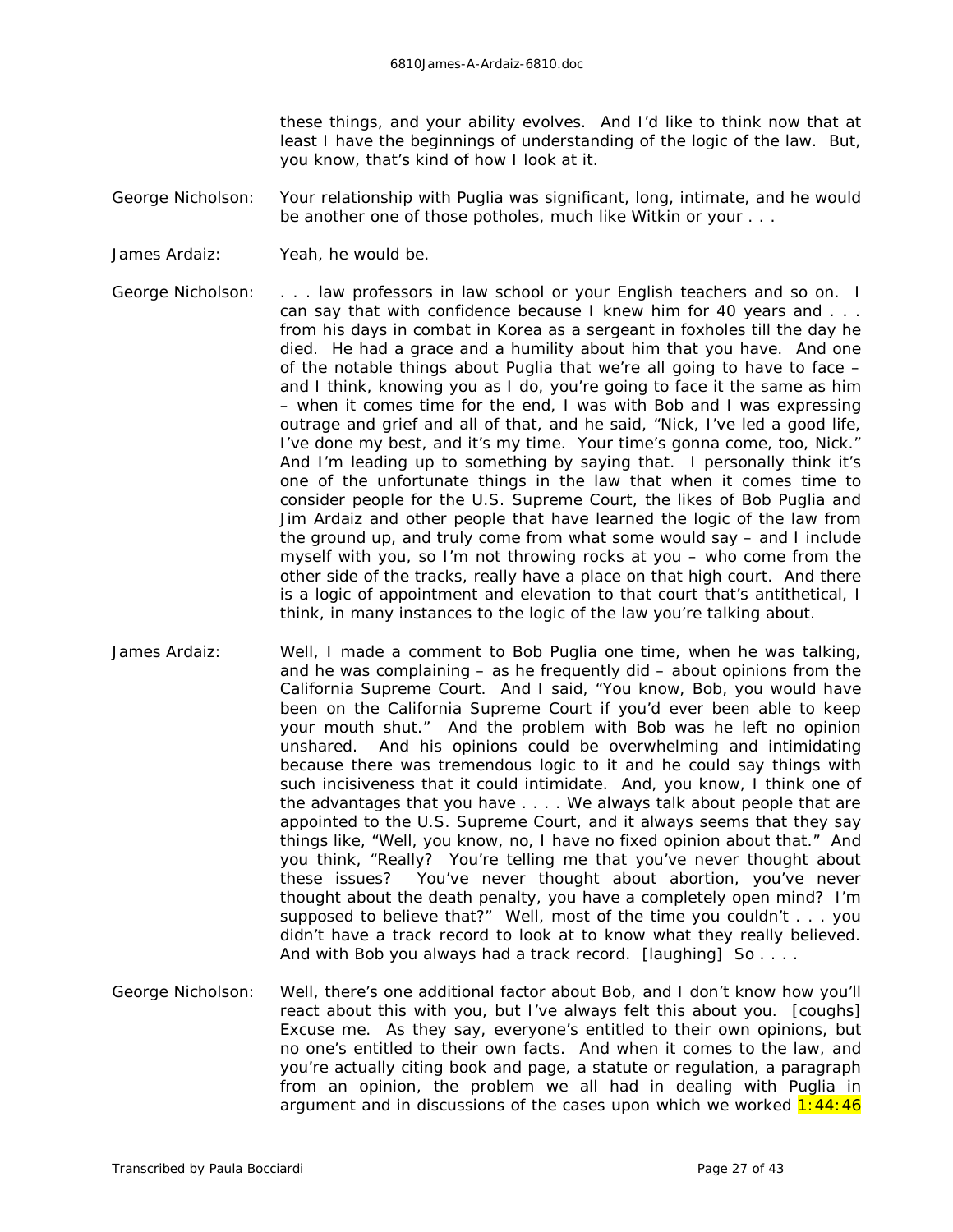these things, and your ability evolves. And I'd like to think now that at least I have the beginnings of understanding of the logic of the law. But, you know, that's kind of how I look at it.

- George Nicholson: Your relationship with Puglia was significant, long, intimate, and he would be another one of those potholes, much like Witkin or your . . .
- James Ardaiz: Yeah, he would be.

George Nicholson: . . . law professors in law school or your English teachers and so on. I can say that with confidence because I knew him for 40 years and . . . from his days in combat in Korea as a sergeant in foxholes till the day he died. He had a grace and a humility about him that *you* have. And one of the notable things about Puglia that we're all going to have to face – and I think, knowing you as I do, you're going to face it the same as him – when it comes time for the end, I was with Bob and I was expressing outrage and grief and all of that, and he said, "Nick, I've led a good life, I've done my best, and it's my time. Your time's gonna come, too, Nick." And I'm leading up to something by saying that. I personally think it's one of the unfortunate things in the law that when it comes time to consider people for the U.S. Supreme Court, the likes of Bob Puglia and Jim Ardaiz and other people that have learned the logic of the law from the ground up, and truly come from what some would say – and I include myself with you, so I'm not throwing rocks at you – who come from the other side of the tracks, really have a place on that high court. And there is a logic of appointment and elevation to that court that's antithetical, I think, in many instances to the logic of the law you're talking about.

- James Ardaiz: Well, I made a comment to Bob Puglia one time, when he was talking, and he was complaining – as he frequently did – about opinions from the California Supreme Court. And I said, "You know, Bob, you *would* have been on the California Supreme Court if you'd ever been able to keep your mouth shut." And the problem with Bob was he left no opinion unshared. And his opinions could be overwhelming and intimidating because there was tremendous logic to it and he could say things with such incisiveness that it could intimidate. And, you know, I think one of the advantages that you have . . . . We always talk about people that are appointed to the U.S. Supreme Court, and it always seems that they say things like, "Well, you know, no, I have no fixed opinion about that." And you think, "Really? You're telling me that you've never thought about these issues? You've never thought about abortion, you've never thought about the death penalty, you have a completely open mind? I'm supposed to believe that?" Well, most of the time you couldn't . . . you didn't have a track record to look at to know what they really believed. And with Bob you always had a track record. *[laughing]* So . . . .
- George Nicholson: Well, there's one additional factor about Bob, and I don't know how you'll react about this with you, but I've always felt this about you. *[coughs]* Excuse me. As they say, everyone's entitled to their own opinions, but no one's entitled to their own facts. And when it comes to the law, and you're actually citing book and page, a statute or regulation, a paragraph from an opinion, the problem we all had in dealing with Puglia in argument and in discussions of the cases upon which we worked  $1:44:46$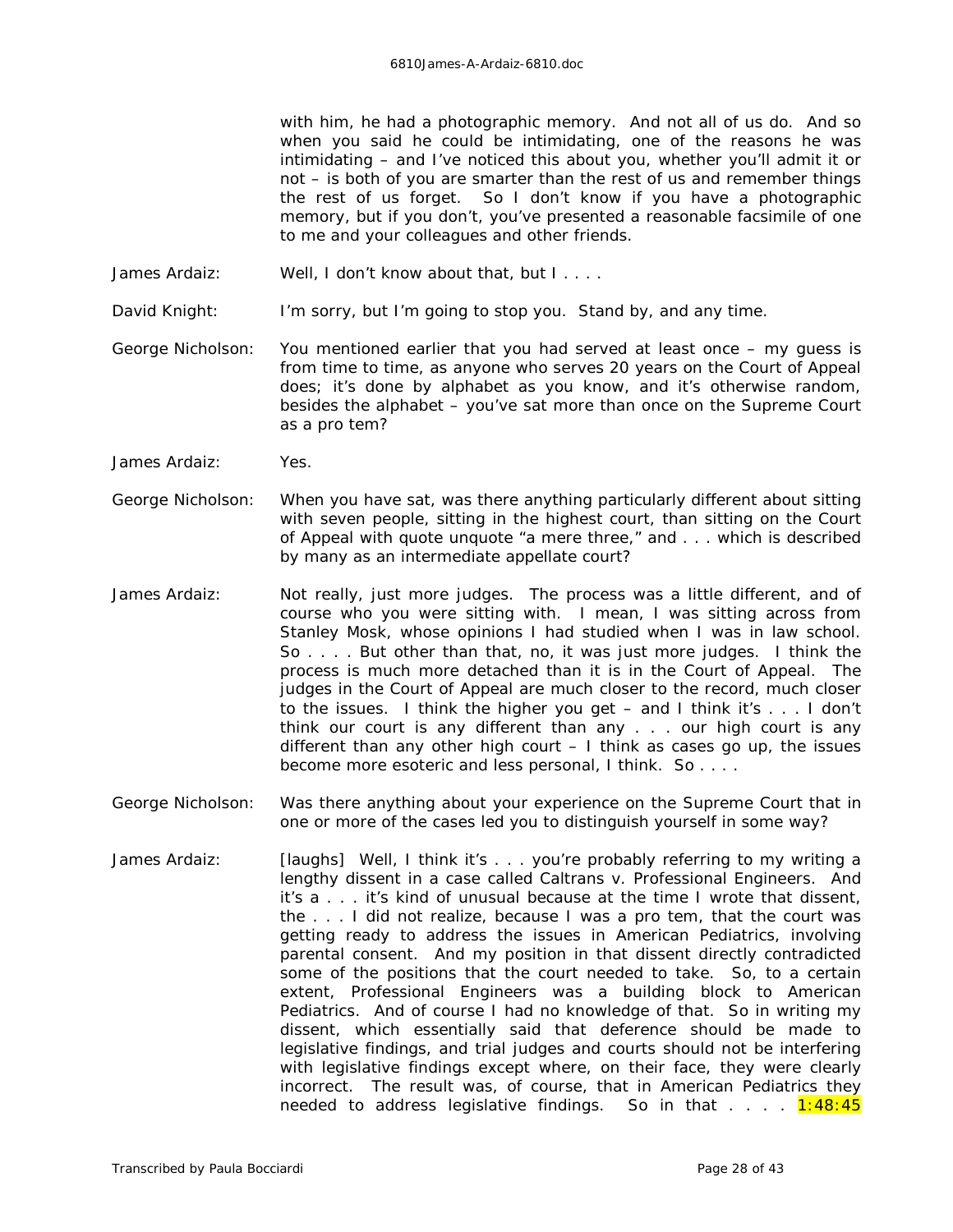with him, he had a photographic memory. And not all of us do. And so when you said he could be intimidating, one of the reasons he was intimidating – and I've noticed this about you, whether you'll admit it or not – is both of you are smarter than the rest of us and remember things the rest of us forget. So I don't know if you have a photographic memory, but if you don't, you've presented a reasonable facsimile of one to me and your colleagues and other friends.

- James Ardaiz: Well, I don't know about that, but I . . . .
- David Knight: I'm sorry, but I'm going to stop you. Stand by, and any time.
- George Nicholson: You mentioned earlier that you had served at least once my guess is from time to time, as anyone who serves 20 years on the Court of Appeal does; it's done by alphabet as you know, and it's otherwise random, besides the alphabet – you've sat more than once on the Supreme Court as a pro tem?
- James Ardaiz: Yes.
- George Nicholson: When you have sat, was there anything particularly different about sitting with seven people, sitting in the highest court, than sitting on the Court of Appeal with quote unquote "a mere three," and . . . which is described by many as an intermediate appellate court?
- James Ardaiz: Not really, just more judges. The process was a little different, and of course who you were sitting with. I mean, I was sitting across from Stanley Mosk, whose opinions I had studied when I was in law school. So . . . . But other than that, no, it was just more judges. I think the process is much more detached than it is in the Court of Appeal. The judges in the Court of Appeal are much closer to the record, much closer to the issues. I think the higher you get – and I think it's . . . I don't think our court is any different than any . . . our high court is any different than any other high court  $-1$  think as cases go up, the issues become more esoteric and less personal, I think. So . . . .
- George Nicholson: Was there anything about your experience on the Supreme Court that in one or more of the cases led you to distinguish yourself in some way?
- James Ardaiz: *[laughs]* Well, I think it's . . . you're probably referring to my writing a lengthy dissent in a case called *Caltrans v. Professional Engineers*. And it's a . . . it's kind of unusual because at the time I wrote that dissent, the . . . I did not realize, because I was a pro tem, that the court was getting ready to address the issues in *American Pediatrics*, involving parental consent. And my position in that dissent directly contradicted some of the positions that the court needed to take. So, to a certain extent, *Professional Engineers* was a building block to *American Pediatrics*. And of course I had no knowledge of that. So in writing my dissent, which essentially said that deference should be made to legislative findings, and trial judges and courts should not be interfering with legislative findings except where, on their face, they were clearly incorrect. The result was, of course, that in *American Pediatrics* they needed to address legislative findings. So in that  $\ldots$  1:48:45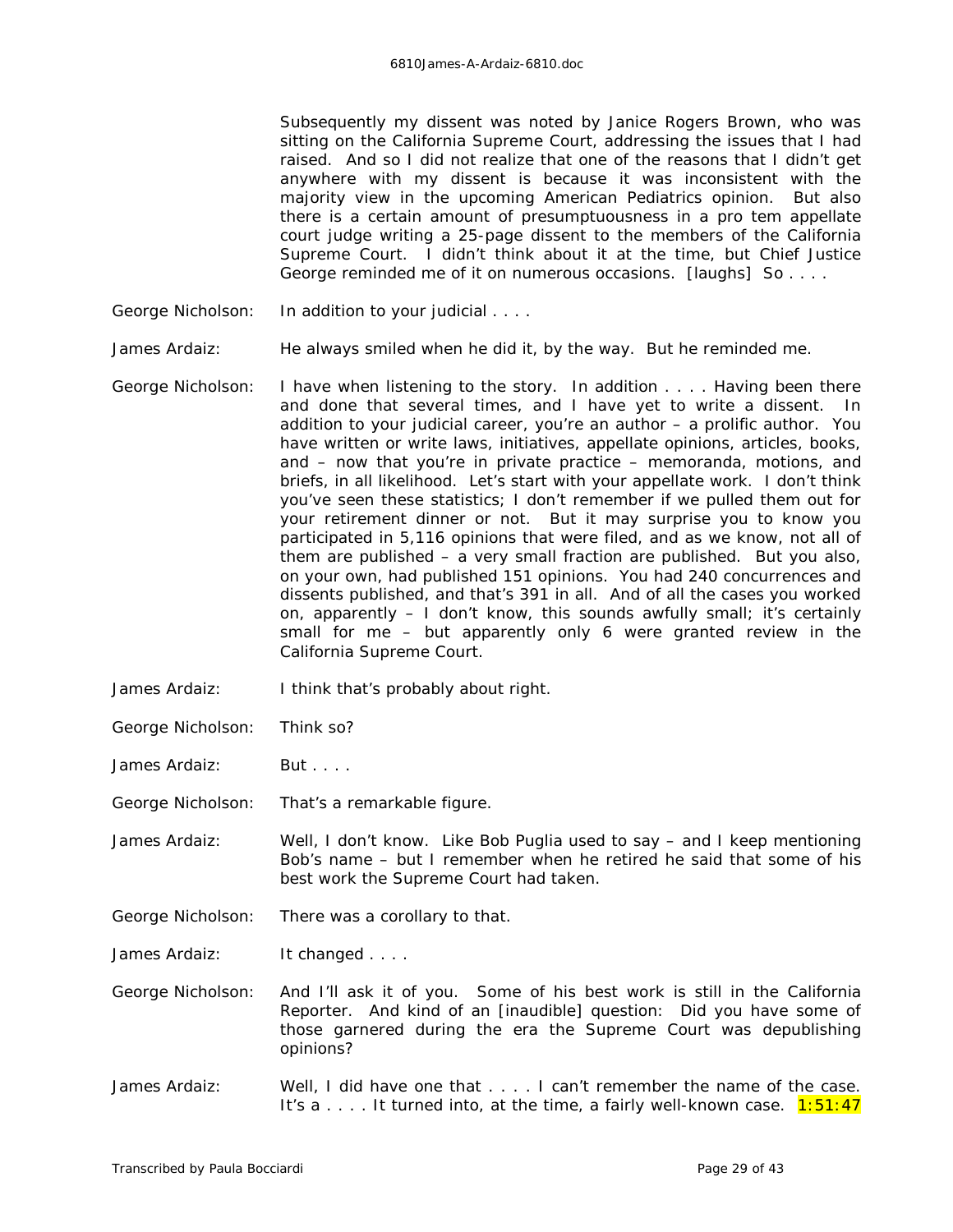Subsequently my dissent was noted by Janice Rogers Brown, who was sitting on the California Supreme Court, addressing the issues that I had raised. And so I did not realize that one of the reasons that I didn't get anywhere with my dissent is because it was inconsistent with the majority view in the upcoming *American Pediatrics* opinion. But also there is a certain amount of presumptuousness in a pro tem appellate court judge writing a 25-page dissent to the members of the California Supreme Court. I didn't think about it at the time, but Chief Justice George reminded me of it on numerous occasions. *[laughs]* So . . . .

George Nicholson: In addition to your judicial . . . .

James Ardaiz: He always smiled when he did it, by the way. But he reminded me.

- George Nicholson: I have when listening to the story. In addition . . . . Having been there and done that several times, and I have yet to write a dissent. In addition to your judicial career, you're an author – a prolific author. You have written or write laws, initiatives, appellate opinions, articles, books, and – now that you're in private practice – memoranda, motions, and briefs, in all likelihood. Let's start with your appellate work. I don't think you've seen these statistics; I don't remember if we pulled them out for your retirement dinner or not. But it may surprise you to know you participated in 5,116 opinions that were filed, and as we know, not all of them are published – a very small fraction are published. But you also, on your own, had published 151 opinions. You had 240 concurrences and dissents published, and that's 391 in all. And of all the cases you worked on, apparently – I don't know, this sounds awfully small; it's certainly small for me – but apparently only 6 were granted review in the California Supreme Court.
- James Ardaiz: I think that's probably about right.
- George Nicholson: Think so?
- James Ardaiz: But . . . .

George Nicholson: That's a remarkable figure.

- James Ardaiz: Well, I don't know. Like Bob Puglia used to say and I keep mentioning Bob's name – but I remember when he retired he said that some of his best work the Supreme Court had taken.
- George Nicholson: There was a corollary to that.

James Ardaiz: It changed . . . .

- George Nicholson: And I'll ask it of you. Some of his best work is still in the *California Reporter*. And kind of an *[inaudible]* question: Did you have some of those garnered during the era the Supreme Court was depublishing opinions?
- James Ardaiz: Well, I did have one that . . . . I can't remember the name of the case. It's a  $\dots$  It turned into, at the time, a fairly well-known case.  $1:51:47$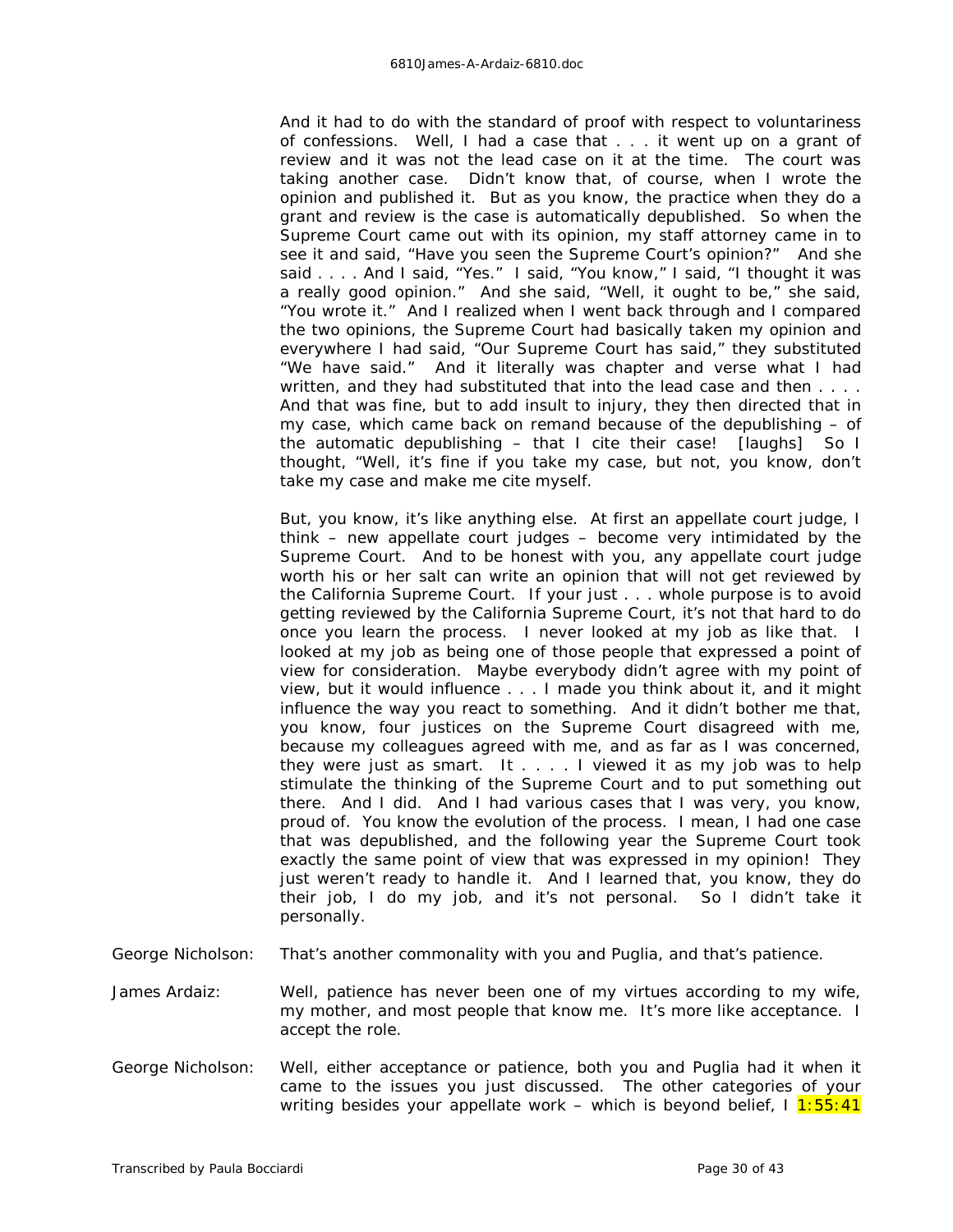And it had to do with the standard of proof with respect to voluntariness of confessions. Well, I had a case that . . . it went up on a grant of review and it was not the lead case on it at the time. The court was taking another case. Didn't know that, of course, when I wrote the opinion and published it. But as you know, the practice when they do a grant and review is the case is automatically depublished. So when the Supreme Court came out with its opinion, my staff attorney came in to see it and said, "Have you seen the Supreme Court's opinion?" And she said . . . . And I said, "Yes." I said, "You know," I said, "I thought it was a really good opinion." And she said, "Well, it ought to be," she said, "You wrote it." And I realized when I went back through and I compared the two opinions, the Supreme Court had basically taken my opinion and everywhere I had said, "Our Supreme Court has said," they substituted "We have said." And it literally was chapter and verse what I had written, and they had substituted that into the lead case and then . . . . And that was fine, but to add insult to injury, they then directed that in my case, which came back on remand because of the depublishing – of the automatic depublishing – that I cite their case! *[laughs]* So I thought, "Well, it's fine if you take my case, but not, you know, don't take my case and make me cite myself.

But, you know, it's like anything else. At first an appellate court judge, I think – new appellate court judges – become very intimidated by the Supreme Court. And to be honest with you, any appellate court judge worth his or her salt can write an opinion that will not get reviewed by the California Supreme Court. If your just . . . whole purpose is to avoid getting reviewed by the California Supreme Court, it's not that hard to do once you learn the process. I never looked at my job as like that. I looked at my job as being one of those people that expressed a point of view for consideration. Maybe everybody didn't *agree* with my point of view, but it would influence . . . I made you think about it, and it might influence the way you react to something. And it didn't bother me that, you know, four justices on the Supreme Court disagreed with me, because my colleagues agreed with me, and as far as I was concerned, they were just as smart. It  $\ldots$ . I viewed it as my job was to help stimulate the thinking of the Supreme Court and to put something out there. And I did. And I had various cases that I was very, you know, proud of. You know the evolution of the process. I mean, I had one case that was depublished, and the following year the Supreme Court took exactly the same point of view that was expressed in my opinion! They just weren't ready to handle it. And I learned that, you know, they do their job, I do my job, and it's not personal. So I didn't take it personally.

- George Nicholson: That's another commonality with you and Puglia, and that's patience.
- James Ardaiz: Well, patience has never been one of my virtues according to my wife, my mother, and most people that know me. It's more like acceptance. I accept the role.
- George Nicholson: Well, either acceptance or patience, both you and Puglia had it when it came to the issues you just discussed. The other categories of your writing besides your appellate work – which is beyond belief,  $1\overline{1:55:41}$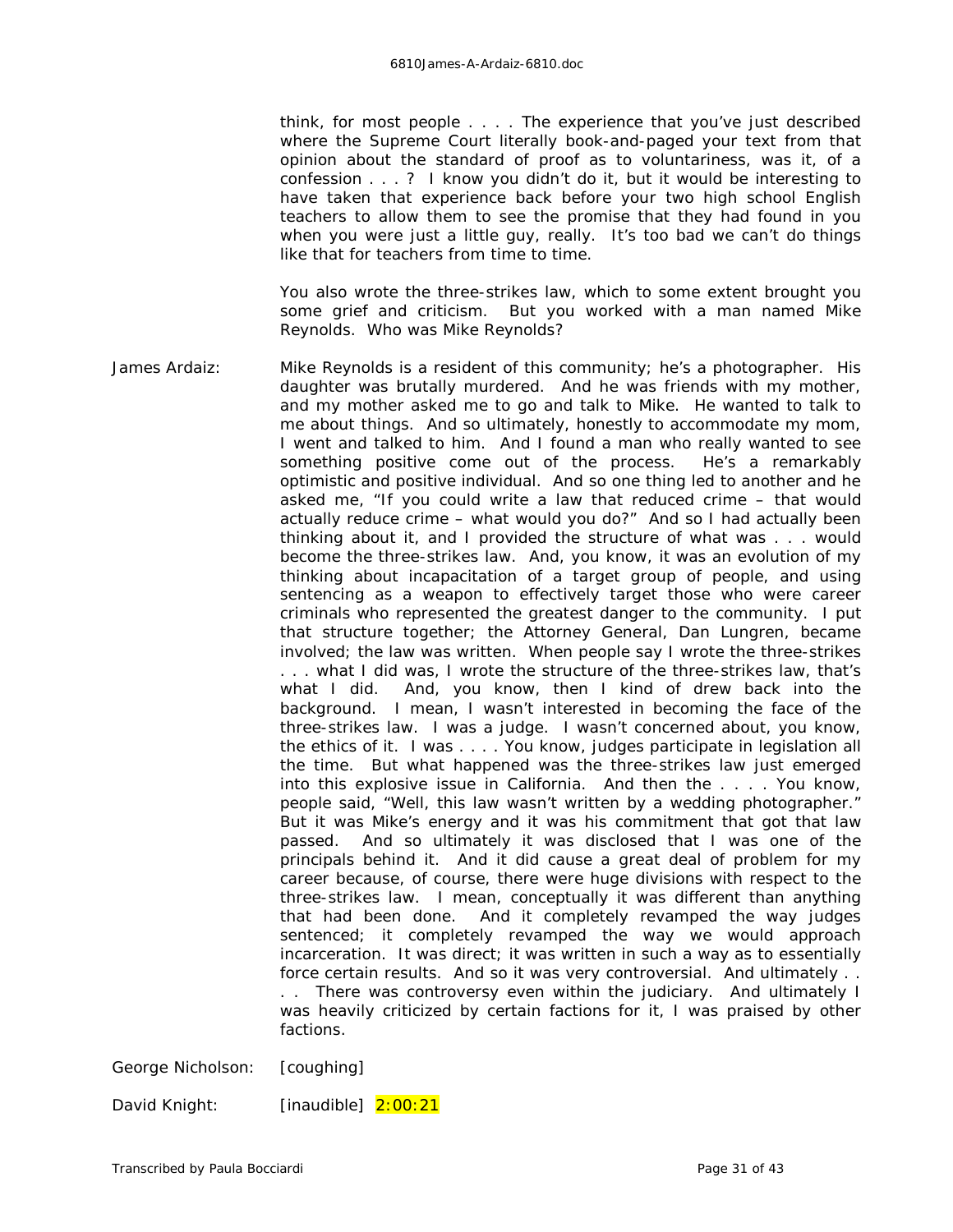think, for most people . . . . The experience that you've just described where the Supreme Court literally book-and-paged your text from that opinion about the standard of proof as to voluntariness, was it, of a confession . . . ? I know you didn't do it, but it would be interesting to have taken that experience back before your two high school English teachers to allow them to see the promise that they had found in you when you were just a little guy, really. It's too bad we can't do things like that for teachers from time to time.

You also wrote the three-strikes law, which to some extent brought you some grief and criticism. But you worked with a man named Mike Reynolds. Who was Mike Reynolds?

James Ardaiz: Mike Reynolds is a resident of this community; he's a photographer. His daughter was brutally murdered. And he was friends with my mother, and my mother asked me to go and talk to Mike. He wanted to talk to me about things. And so ultimately, honestly to accommodate my mom, I went and talked to him. And I found a man who really wanted to see something positive come out of the process. He's a remarkably optimistic and positive individual. And so one thing led to another and he asked me, "If you could write a law that reduced crime – that would actually reduce crime – what would you do?" And so I had actually been thinking about it, and I provided the structure of what was . . . would become the three-strikes law. And, you know, it was an evolution of my thinking about incapacitation of a target group of people, and using sentencing as a weapon to effectively target those who were career criminals who represented the greatest danger to the community. I put that structure together; the Attorney General, Dan Lungren, became involved; the law was written. When people say I wrote the three-strikes . . . what I did was, I wrote the structure of the three-strikes law, that's what I did. And, you know, then I kind of drew back into the background. I mean, I wasn't interested in becoming the face of the three-strikes law. I was a judge. I wasn't concerned about, you know, the ethics of it. I was . . . . You know, judges participate in legislation all the time. But what happened was the three-strikes law just emerged into this *explosive* issue in California. And then the . . . . You know, people said, "Well, this law wasn't written by a wedding photographer." But it was Mike's energy and it was his commitment that got that law passed. And so ultimately it was disclosed that I was one of the principals behind it. And it did cause a great deal of problem for my career because, of course, there were *huge* divisions with respect to the three-strikes law. I mean, conceptually it was different than anything that had been done. And it completely revamped the way judges sentenced; it completely revamped the way we would approach incarceration. It was direct; it was written in such a way as to essentially force certain results. And so it was very controversial. And ultimately . . . . There was controversy even within the judiciary. And ultimately I was heavily criticized by certain factions for it, I was praised by other factions.

George Nicholson: *[coughing]*

David Knight: *[inaudible]* 2:00:21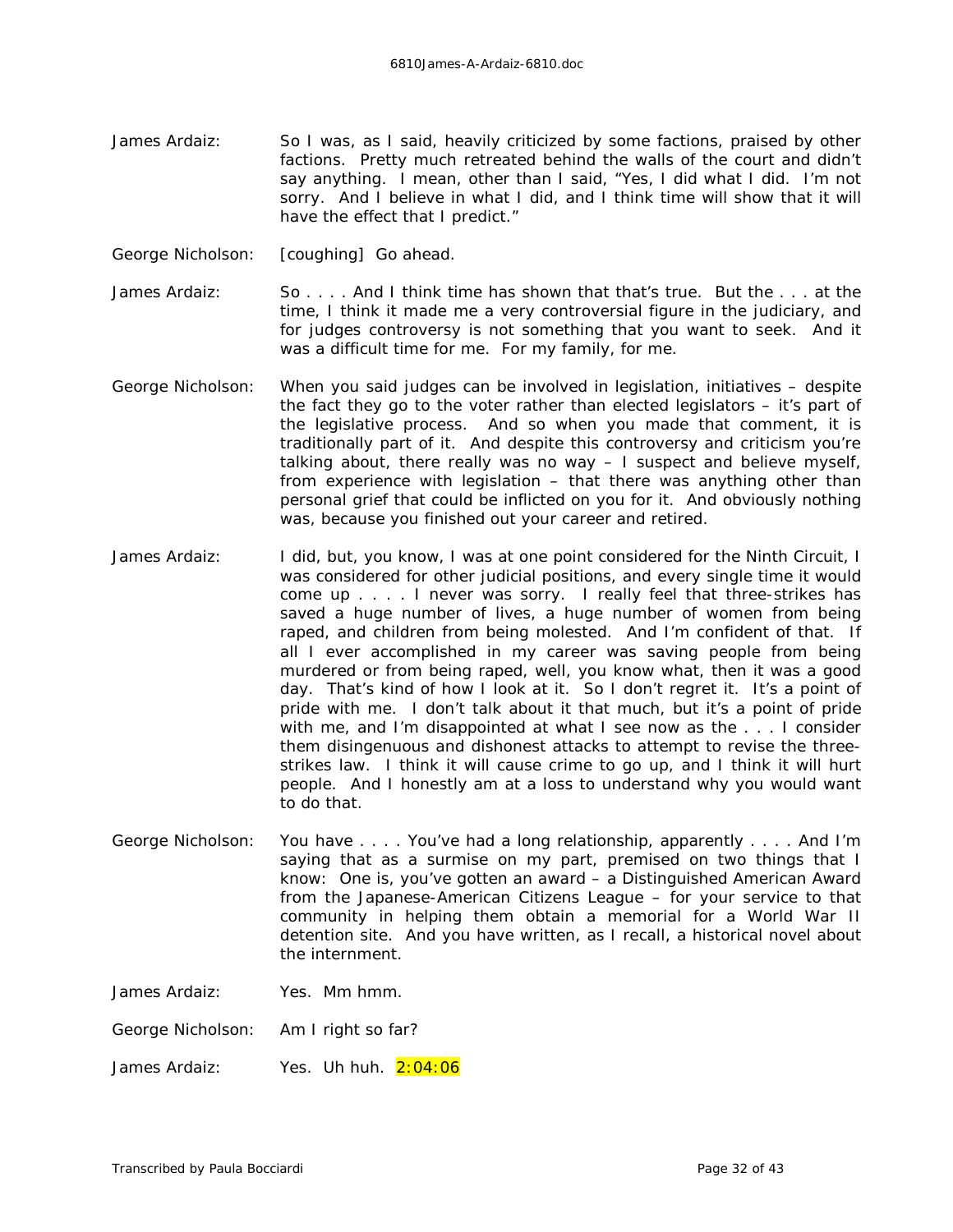- James Ardaiz: So I was, as I said, heavily criticized by some factions, praised by other factions. Pretty much retreated behind the walls of the court and didn't say anything. I mean, other than I said, "Yes, I did what I did. I'm not sorry. And I believe in what I did, and I think time will show that it will have the effect that I predict."
- George Nicholson: *[coughing]* Go ahead.
- James Ardaiz: So . . . . And I think time has shown that that's true. But the . . . at the time, I think it made me a very controversial figure in the judiciary, and for judges controversy is not something that you want to seek. And it was a difficult time for me. For my family, for me.
- George Nicholson: When you said judges can be involved in legislation, initiatives despite the fact they go to the voter rather than elected legislators – it's part of the legislative process. And so when you made that comment, it is traditionally part of it. And despite this controversy and criticism you're talking about, there really was no way – I suspect and believe myself, from experience with legislation – that there was anything other than personal grief that could be inflicted on you for it. And obviously nothing was, because you finished out your career and retired.
- James Ardaiz: I did, but, you know, I was at one point considered for the Ninth Circuit, I was considered for other judicial positions, and every single time it would come up . . . . I never was sorry. I really feel that three-strikes has saved a huge number of lives, a huge number of women from being raped, and children from being molested. And I'm confident of that. If all I ever accomplished in my career was saving people from being murdered or from being raped, well, you know what, then it was a good day. That's kind of how I look at it. So I don't regret it. It's a point of pride with me. I don't talk about it that much, but it's a point of pride with me, and I'm disappointed at what I see now as the . . . I consider them disingenuous and dishonest attacks to attempt to revise the threestrikes law. I think it will cause crime to go up, and I think it will hurt people. And I honestly am at a loss to understand why you would want to do that.
- George Nicholson: You have . . . . You've had a long relationship, apparently . . . . And I'm saying that as a surmise on my part, premised on two things that I know: One is, you've gotten an award – a Distinguished American Award from the Japanese-American Citizens League – for your service to that community in helping them obtain a memorial for a World War II detention site. And you have written, as I recall, a historical novel about the internment.

James Ardaiz: Yes. Mm hmm.

George Nicholson: Am I right so far?

James Ardaiz: Yes. Uh huh. 2:04:06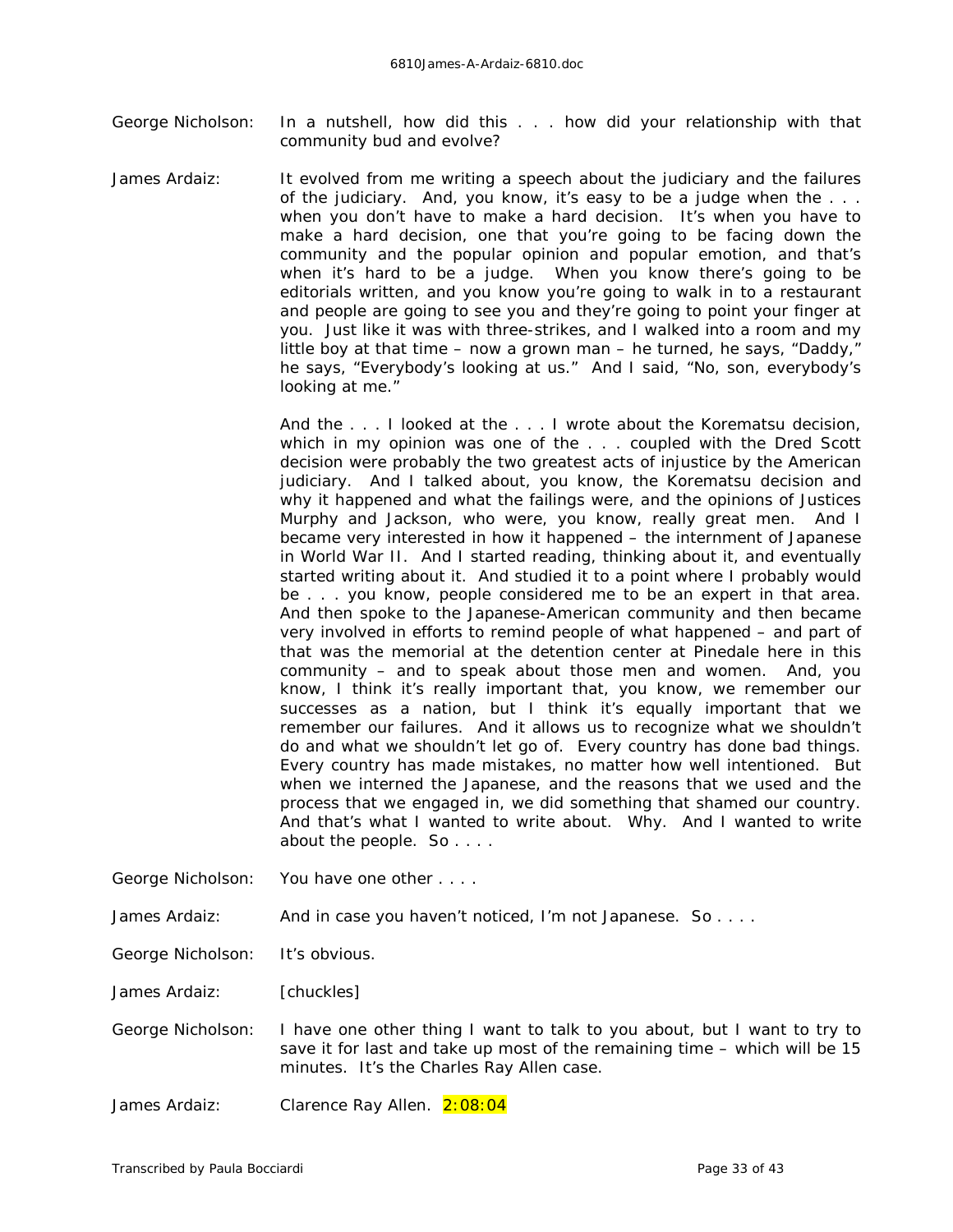- George Nicholson: In a nutshell, how did this . . . how did your relationship with that community bud and evolve?
- James Ardaiz: It evolved from me writing a speech about the judiciary and the failures of the judiciary. And, you know, it's easy to be a judge when the . . . when you don't have to make a hard decision. It's when you have to make a hard decision, one that you're going to be facing down the community and the popular opinion and popular emotion, and that's when it's hard to be a judge. When you know there's going to be editorials written, and you know you're going to walk in to a restaurant and people are going to see you and they're going to point your finger at you. Just like it was with three-strikes, and I walked into a room and my little boy at that time – now a grown man – he turned, he says, "Daddy," he says, "Everybody's looking at us." And I said, "No, son, everybody's looking at me."

And the . . . I looked at the . . . I wrote about the *Korematsu* decision, which in my opinion was one of the . . . coupled with the *Dred Scott* decision were probably the two greatest acts of injustice by the American judiciary. And I talked about, you know, the *Korematsu* decision and why it happened and what the failings were, and the opinions of Justices Murphy and Jackson, who were, you know, really great men. And I became very interested in how it happened – the internment of Japanese in World War II. And I started reading, thinking about it, and eventually started writing about it. And studied it to a point where I probably would be . . . you know, people considered me to be an expert in that area. And then spoke to the Japanese-American community and then became very involved in efforts to remind people of what happened – and part of that was the memorial at the detention center at Pinedale here in this community – and to speak about those men and women. And, you know, I think it's really important that, you know, we remember our successes as a nation, but I think it's equally important that we remember our failures. And it allows us to recognize what we shouldn't do and what we shouldn't let go of. Every country has done bad things. Every country has made mistakes, no matter how well intentioned. But when we interned the Japanese, and the reasons that we used and the process that we engaged in, we did something that shamed our country. And that's what I wanted to write about. Why. And I wanted to write about the people. So . . . .

George Nicholson: You have one other . . . .

James Ardaiz: And in case you haven't noticed, I'm not Japanese. So . . . .

George Nicholson: It's obvious.

James Ardaiz: *[chuckles]*

George Nicholson: I have one other thing I want to talk to you about, but I want to try to save it for last and take up most of the remaining time – which will be 15 minutes. It's the Charles Ray Allen case.

James Ardaiz: Clarence Ray Allen. 2:08:04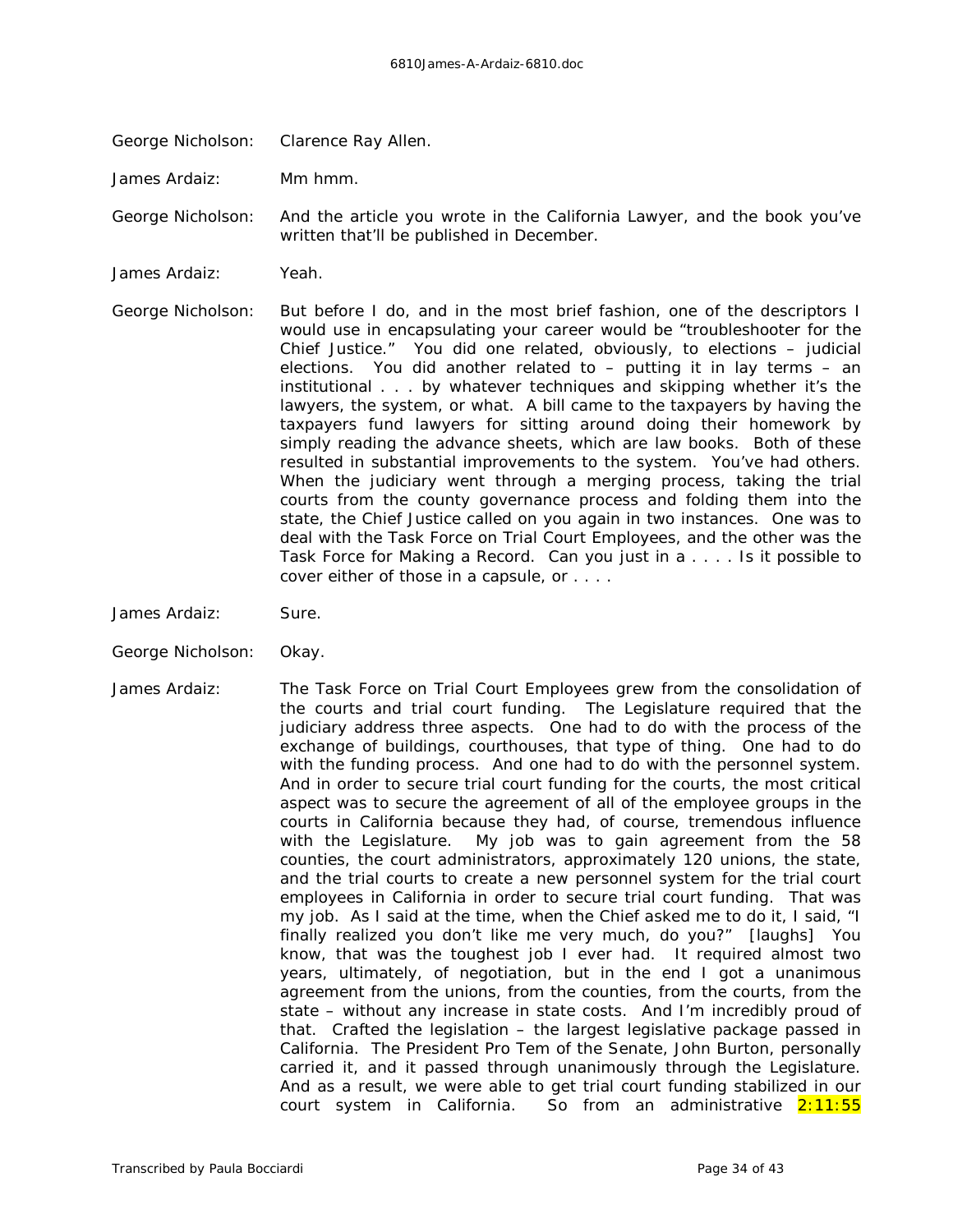George Nicholson: Clarence Ray Allen.

James Ardaiz: Mm hmm.

George Nicholson: And the article you wrote in the *California Lawyer,* and the book you've written that'll be published in December.

James Ardaiz: Yeah.

George Nicholson: But before I do, and in the most brief fashion, one of the descriptors I would use in encapsulating your career would be "troubleshooter for the Chief Justice." You did one related, obviously, to elections – judicial elections. You did another related to – putting it in lay terms – an institutional . . . by whatever techniques and skipping whether it's the lawyers, the system, or what. A bill came to the taxpayers by having the taxpayers fund lawyers for sitting around doing their homework by simply reading the advance sheets, which are law books. Both of these resulted in substantial improvements to the system. You've had others. When the judiciary went through a merging process, taking the trial courts from the county governance process and folding them into the state, the Chief Justice called on you again in two instances. One was to deal with the Task Force on Trial Court Employees, and the other was the Task Force for Making a Record. Can you just in a . . . . Is it possible to cover either of those in a capsule, or . . . .

- James Ardaiz: Sure.
- George Nicholson: Okay.
- James Ardaiz: The Task Force on Trial Court Employees grew from the consolidation of the courts and trial court funding. The Legislature required that the judiciary address three aspects. One had to do with the process of the exchange of buildings, courthouses, that type of thing. One had to do with the funding process. And one had to do with the personnel system. And in order to secure trial court funding for the courts, the most critical aspect was to secure the agreement of all of the employee groups in the courts in California because they had, of course, tremendous influence with the Legislature. *My* job was to gain agreement from the 58 counties, the court administrators, approximately 120 unions, the state, and the trial courts to create a new personnel system for the trial court employees in California in order to secure trial court funding. That was my job. As I said at the time, when the Chief asked me to do it, I said, "I finally realized you don't like me very much, do you?" *[laughs]* You know, that was the toughest job I ever had. It required almost two years, ultimately, of negotiation, but in the end I got a unanimous agreement from the unions, from the counties, from the courts, from the state – without any increase in state costs. And I'm incredibly proud of that. Crafted the legislation – the largest legislative package passed in California. The President Pro Tem of the Senate, John Burton, personally carried it, and it passed through unanimously through the Legislature. And as a result, we were able to get trial court funding stabilized in our court system in California. So from an administrative 2:11:55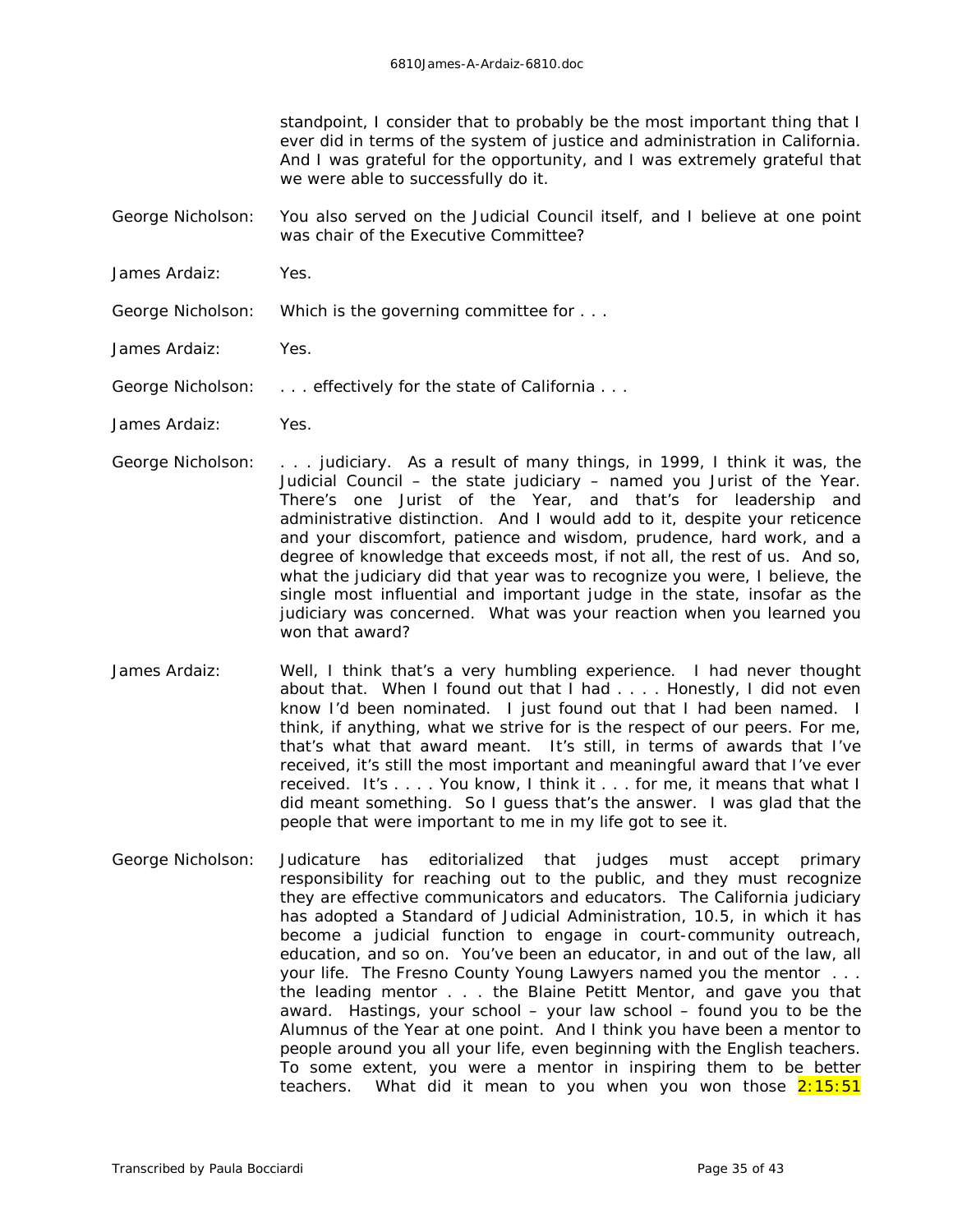standpoint, I consider that to probably be the most important thing that I ever did in terms of the system of justice and administration in California. And I was grateful for the opportunity, and I was extremely grateful that we were able to successfully do it.

- George Nicholson: You also served on the Judicial Council itself, and I believe at one point was chair of the Executive Committee?
- James Ardaiz: Yes.
- George Nicholson: Which is the governing committee for . . .
- James Ardaiz: Yes.
- George Nicholson: . . . . effectively for the state of California . . .
- James Ardaiz: Yes.
- George Nicholson: . . . judiciary. As a result of many things, in 1999, I think it was, the Judicial Council – the state judiciary – named you Jurist of the Year. There's one Jurist of the Year, and that's for leadership and administrative distinction. And I would add to it, despite your reticence and your discomfort, patience and wisdom, prudence, hard work, and a degree of knowledge that exceeds most, if not all, the rest of us. And so, what the judiciary did that year was to recognize you were, I believe, the single most influential and important judge in the state, insofar as the judiciary was concerned. What was your reaction when you learned you won that award?
- James Ardaiz: Well, I think that's a very humbling experience. I had never thought about that. When I found out that I had . . . . Honestly, I did not even know I'd been nominated. I just found out that I had been named. I think, if anything, what we strive for is the respect of our peers. For me, that's what that award meant. It's still, in terms of *awards* that I've received, it's still the most important and meaningful award that I've ever received. It's . . . . You know, I think it . . . for me, it means that what I did meant something. So I guess that's the answer. I was glad that the people that were important to me in my life got to see it.
- George Nicholson: *Judicature* has editorialized that judges must accept primary responsibility for reaching out to the public, and they must recognize they are effective communicators and educators. The California judiciary has adopted a Standard of Judicial Administration, 10.5, in which it has become a judicial function to engage in court-community outreach, education, and so on. You've been an educator, in and out of the law, all your life. The Fresno County Young Lawyers named you the mentor . . . the leading mentor . . . the Blaine Petitt Mentor, and gave you that award. Hastings, your school – your law school – found you to be the Alumnus of the Year at one point. And I think you have been a mentor to people around you all your life, even beginning with the English teachers. To some extent, you were a mentor in inspiring them to be better teachers. What did it mean to you when you won those  $2:15:51$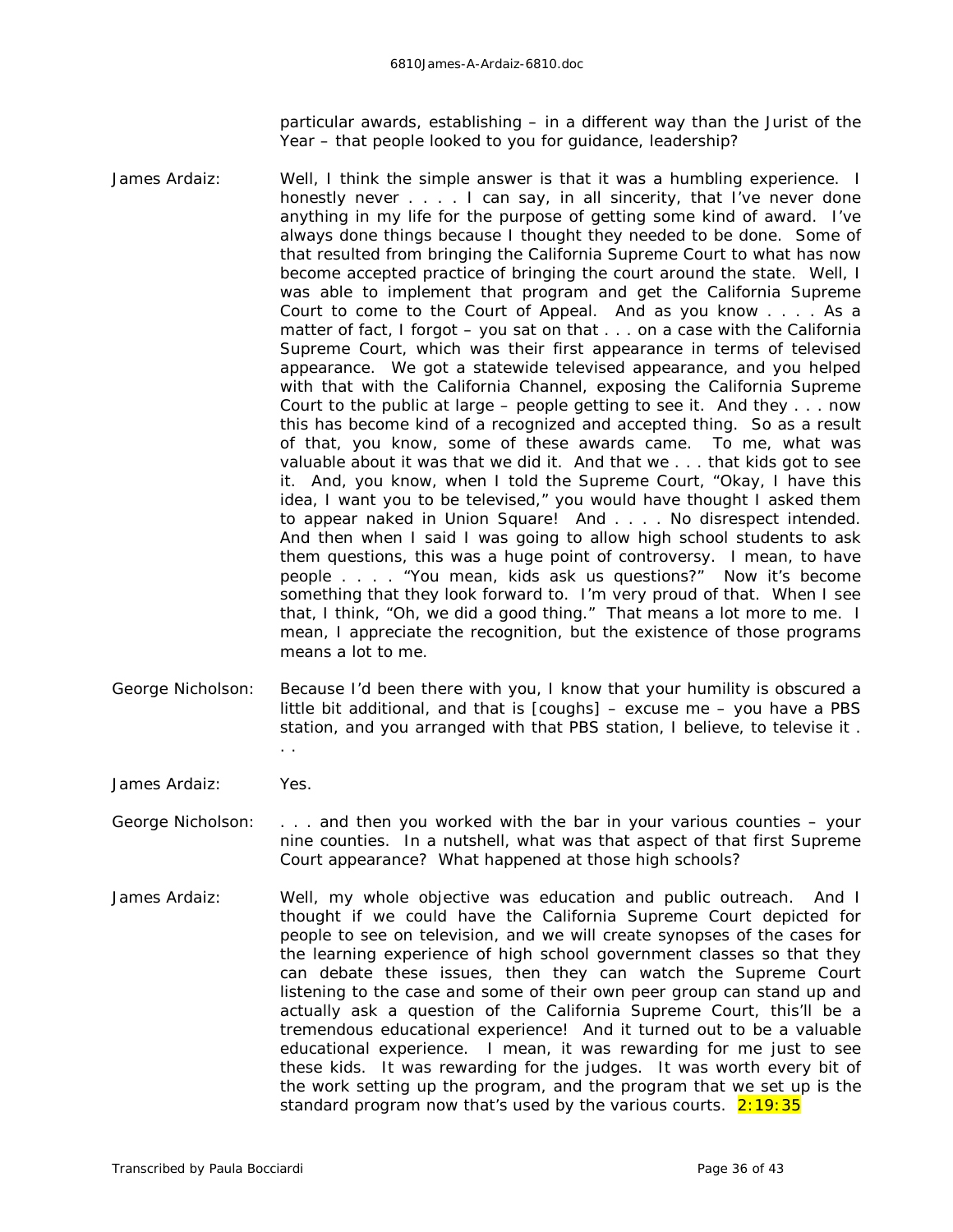particular awards, establishing – in a different way than the Jurist of the Year – that people looked to you for guidance, leadership?

- James Ardaiz: Well, I think the simple answer is that it was a humbling experience. I honestly never . . . . I can say, in all sincerity, that I've never done anything in my life for the purpose of getting some kind of award. I've always done things because I thought they needed to be done. Some of that resulted from bringing the California Supreme Court to what has now become accepted practice of bringing the court around the state. Well, I was able to implement that program and get the California Supreme Court to come to the Court of Appeal. And as you know . . . . As a matter of fact, I forgot – you sat on that . . . on a case with the California Supreme Court, which was their first appearance in terms of televised appearance. We got a statewide televised appearance, and you helped with that with the California Channel, exposing the California Supreme Court to the public at large – people getting to see it. And they . . . now this has become kind of a recognized and accepted thing. So as a result of that, you know, some of these awards came. To me, what was valuable about it was that we did it. And that we . . . that kids got to see it. And, you know, when I told the Supreme Court, "Okay, I have this idea, I want you to be televised," you would have thought I asked them to appear naked in Union Square! And . . . . No disrespect intended. And then when I said I was going to allow high school students to ask them questions, this was a huge point of controversy. I mean, to have people . . . . "You mean, kids ask us questions?" Now it's become something that they look forward to. I'm very proud of that. When I see that, I think, "Oh, we did a good thing." That means a lot more to me. I mean, I appreciate the recognition, but the existence of those programs means a lot to me.
- George Nicholson: Because I'd been there with you, I know that your humility is obscured a little bit additional, and that is *[coughs]* – excuse me – you have a PBS station, and you arranged with that PBS station, I believe, to televise it . . .
- James Ardaiz: Yes.
- George Nicholson: . . . and then you worked with the bar in your various counties your nine counties. In a nutshell, what was that aspect of that first Supreme Court appearance? What happened at those high schools?
- James Ardaiz: Well, my whole objective was education and public outreach. And I thought if we could have the California Supreme Court depicted for people to see on television, and we will create synopses of the cases for the learning experience of high school government classes so that they can debate these issues, then they can watch the Supreme Court listening to the case and some of their own peer group can stand up and actually ask a question of the California Supreme Court, this'll be a tremendous educational experience! And it turned out to be a valuable educational experience. I mean, it was rewarding for me just to see these kids. It was rewarding for the judges. It was worth every bit of the work setting up the program, and the program that we set up *is* the standard program now that's used by the various courts.  $2:19:35$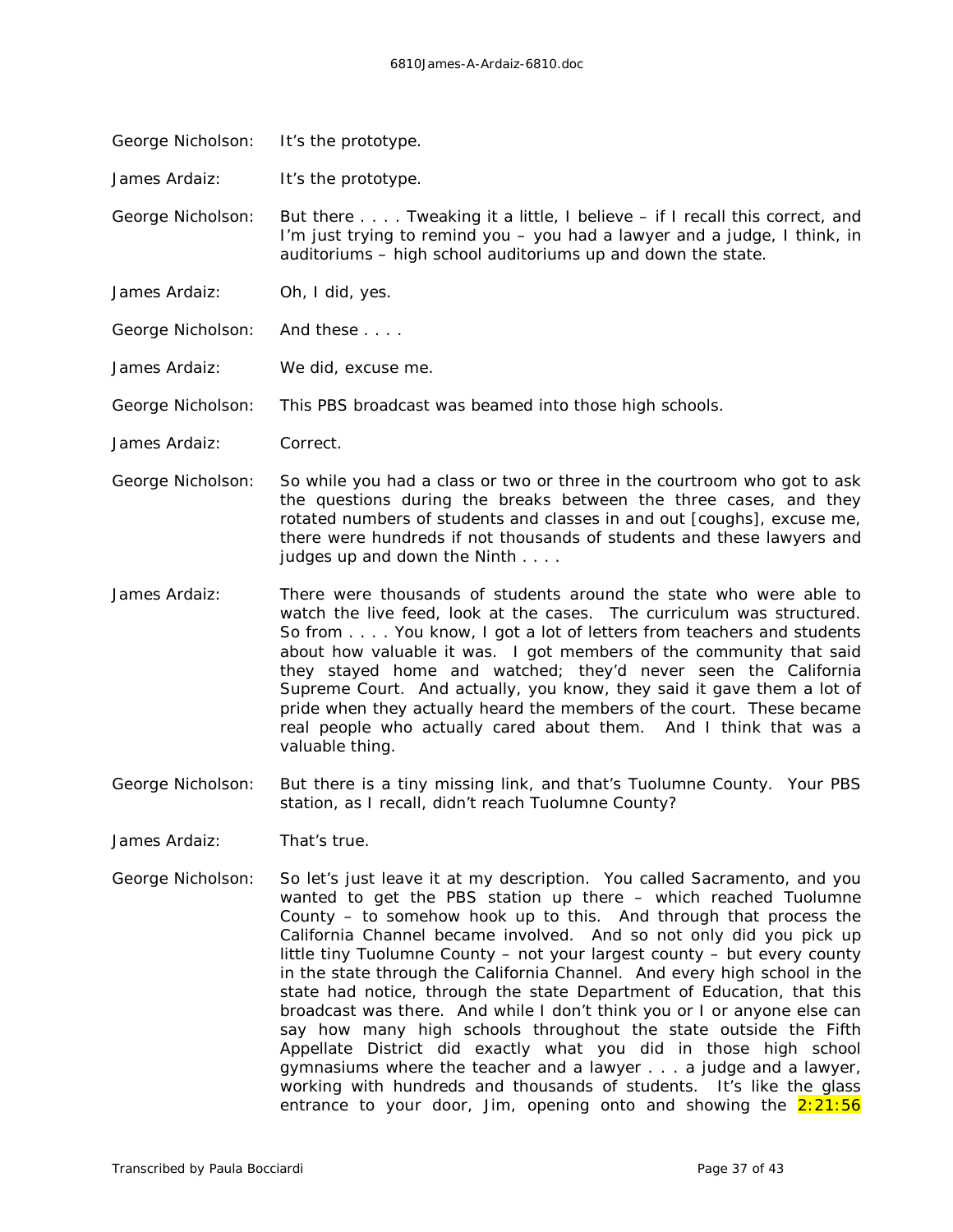George Nicholson: It's the prototype.

James Ardaiz: It's the prototype.

George Nicholson: But there . . . . Tweaking it a little, I believe – if I recall this correct, and I'm just trying to remind *you* – you had a lawyer and a judge, I think, in auditoriums – high school auditoriums up and down the state.

James Ardaiz: Oh, I did, yes.

George Nicholson: And these . . . .

James Ardaiz: *We* did, excuse me.

George Nicholson: This PBS broadcast was beamed into those high schools.

James Ardaiz: Correct.

- George Nicholson: So while you had a class or two or three in the courtroom who got to ask the questions during the breaks between the three cases, and they rotated numbers of students and classes in and out *[coughs],* excuse me, there were hundreds if not thousands of students and these lawyers and judges up and down the Ninth . . . .
- James Ardaiz: There were *thousands* of students around the state who were able to watch the live feed, look at the cases. The curriculum was structured. So from . . . . You know, I got a lot of letters from teachers and students about how valuable it was. I got members of the community that said they stayed home and watched; they'd never *seen* the California Supreme Court. And actually, you know, they said it gave them a lot of pride when they actually heard the members of the court. These became real people who actually cared about them. And I think that was a valuable thing.
- George Nicholson: But there is a tiny missing link, and that's Tuolumne County. Your PBS station, as I recall, didn't reach Tuolumne County?
- James Ardaiz: That's true.
- George Nicholson: So let's just leave it at my description. You called Sacramento, and you wanted to get the PBS station up there – which reached Tuolumne County – to somehow hook up to this. And through that process the California Channel became involved. And so not only did you pick up little tiny Tuolumne County – not your largest county – but every county in the state through the California Channel. And every high school in the state had notice, through the state Department of Education, that this broadcast was there. And while I don't think you or I or anyone else can say how many high schools throughout the state outside the Fifth Appellate District did exactly what you did in those high school gymnasiums where the teacher and a lawyer . . . a judge and a lawyer, working with hundreds and thousands of students. It's like the glass entrance to your door, Jim, opening onto and showing the  $2:21:56$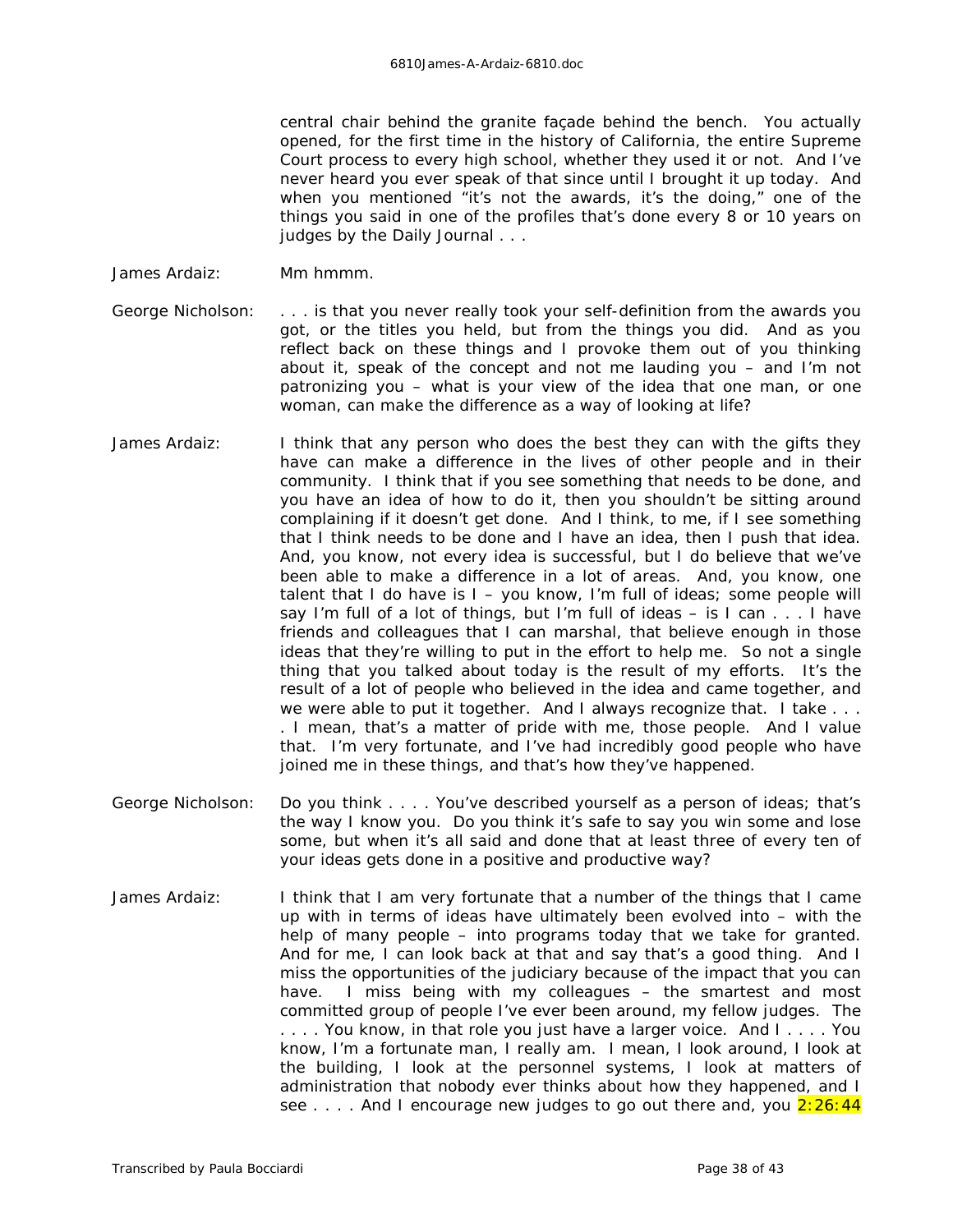central chair behind the granite façade behind the bench. You actually opened, for the first time in the history of California, the entire Supreme Court process to every high school, whether they used it or not. And I've never heard you ever speak of that since until I brought it up today. And when you mentioned "it's not the awards, it's the doing," one of the things you said in one of the profiles that's done every 8 or 10 years on judges by the *Daily Journal* . . .

- James Ardaiz: Mm hmmm.
- George Nicholson: . . . is that you never really took your self-definition from the awards you got, or the titles you held, but from the things you did. And as you reflect back on these things and I provoke them out of you thinking about it, speak of the concept and not me lauding you – and I'm not patronizing you – what is your view of the idea that one man, or one woman, *can* make the difference as a way of looking at life?
- James Ardaiz: I think that any person who does the best they can with the gifts they have can make a difference in the lives of other people and in their community. I think that if you see something that needs to be done, and you have an idea of how to do it, then you shouldn't be sitting around complaining if it doesn't get done. And I think, to me, if I see something that I think needs to be done and I have an idea, then I push that idea. And, you know, not every idea is successful, but I do believe that we've been able to make a difference in a lot of areas. And, you know, one talent that I do have is  $I - y$ ou know, I'm full of ideas; some people will say I'm full of a lot of things, but I'm full of ideas – is I can . . . I have friends and colleagues that I can marshal, that believe enough in those ideas that they're willing to put in the effort to help me. So not a single thing that you talked about today is the result of my efforts. It's the result of a lot of people who believed in the idea and came together, and we were able to put it together. And I always recognize that. I take ... . I mean, that's a matter of pride with me, those people. And I value that. I'm very fortunate, and I've had incredibly good people who have joined me in these things, and that's how they've happened.
- George Nicholson: Do you think . . . . You've described yourself as a person of ideas; that's the way I know you. Do you think it's safe to say you win some and lose some, but when it's all said and done that at least three of every ten of your ideas gets done in a positive and productive way?
- James Ardaiz: I think that I am very fortunate that a number of the things that I came up with in terms of ideas have ultimately been evolved into – with the help of many people – into programs today that we take for granted. And for me, I can look back at that and say that's a good thing. And I miss the opportunities of the judiciary because of the impact that you can have. I miss being with my colleagues – the smartest and most committed group of people I've ever been around, my fellow judges. The . . . . You know, in that role you just have a larger voice. And I . . . . You know, I'm a fortunate man, I really am. I mean, I look around, I look at the building, I look at the personnel systems, I look at matters of administration that nobody ever thinks about how they happened, and I see  $\dots$ . And I encourage new judges to go out there and, you  $2:26:44$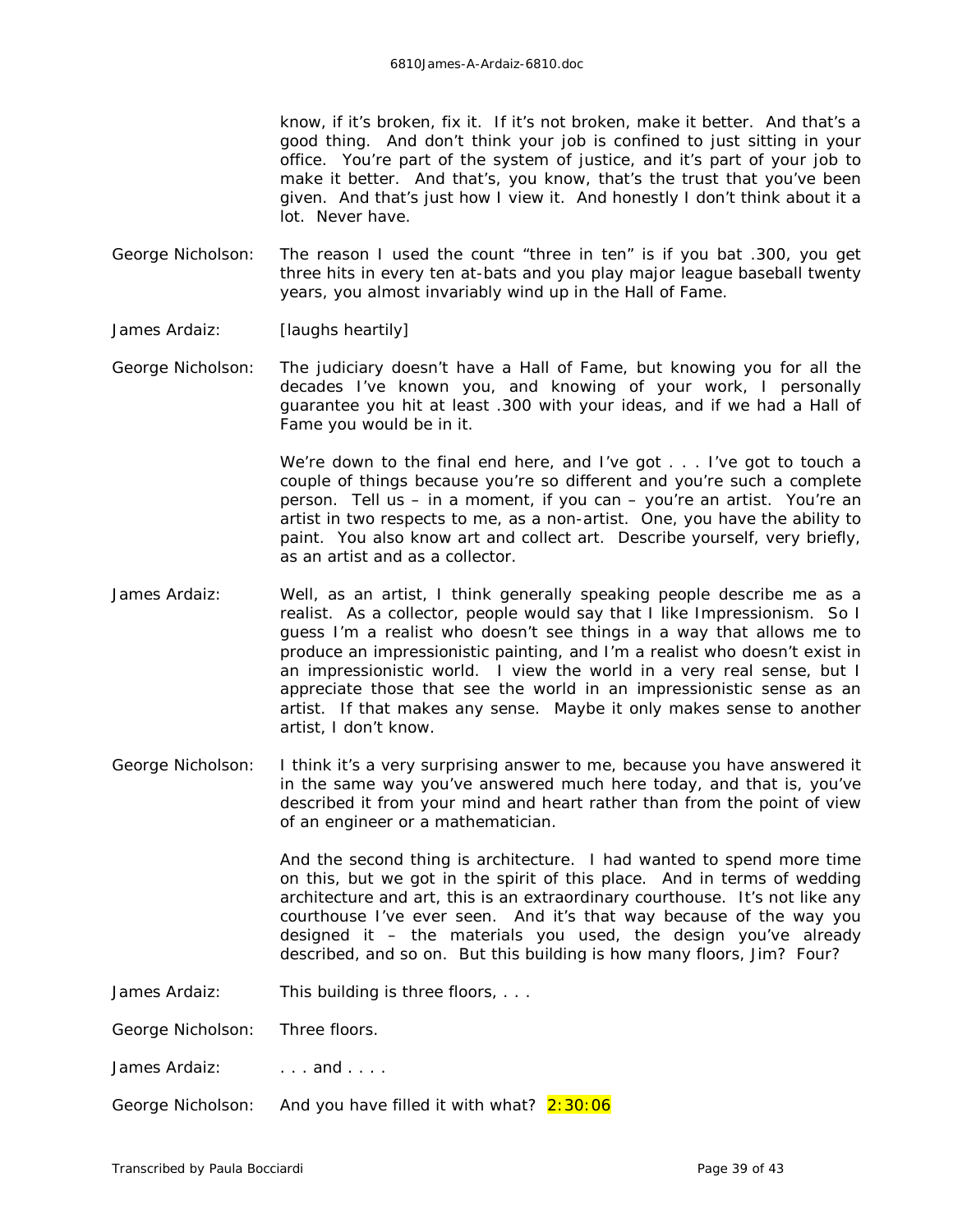know, if it's broken, fix it. If it's not broken, make it better. And that's a good thing. And don't think your job is confined to just sitting in your office. You're part of the system of justice, and it's part of your job to make it better. And that's, you know, that's the trust that you've been given. And that's just how I view it. And honestly I don't think about it a lot. Never have.

- George Nicholson: The reason I used the count "three in ten" is if you bat .300, you get three hits in every ten at-bats and you play major league baseball twenty years, you almost invariably wind up in the Hall of Fame.
- James Ardaiz: *[laughs heartily]*
- George Nicholson: The judiciary doesn't have a Hall of Fame, but knowing you for all the decades I've known you, and knowing of your work, I personally guarantee you hit at least .300 with your ideas, and if we had a Hall of Fame you would be in it.

We're down to the final end here, and I've got . . . I've got to touch a couple of things because you're so different and you're such a complete person. Tell us – in a moment, if you can – you're an artist. You're an artist in two respects to me, as a non-artist. One, you have the ability to paint. You also know art and collect art. Describe yourself, very briefly, as an artist and as a collector.

- James Ardaiz: Well, as an artist, I think generally speaking people describe me as a realist. As a collector, people would say that I like Impressionism. So I guess I'm a realist who doesn't see things in a way that allows me to produce an impressionistic painting, and I'm a realist who doesn't exist in an impressionistic world. I view the world in a very real sense, but I appreciate those that see the world in an impressionistic sense as an artist. If that makes any sense. Maybe it only makes sense to another artist, I don't know.
- George Nicholson: I think it's a very surprising answer to me, because you have answered it in the same way you've answered much here today, and that is, you've described it from your mind and heart rather than from the point of view of an engineer or a mathematician.

And the second thing is architecture. I had wanted to spend more time on this, but we got in the spirit of this place. And in terms of wedding architecture and art, this is an extraordinary courthouse. It's not like any courthouse I've ever seen. And it's that way because of the way you designed it – the materials you used, the design you've already described, and so on. But this building is how many floors, Jim? Four?

- James Ardaiz: This building is three floors, ...
- George Nicholson: Three floors.

James Ardaiz:  $\qquad \ldots$  and  $\ldots$ .

George Nicholson: And you have filled it with what? 2:30:06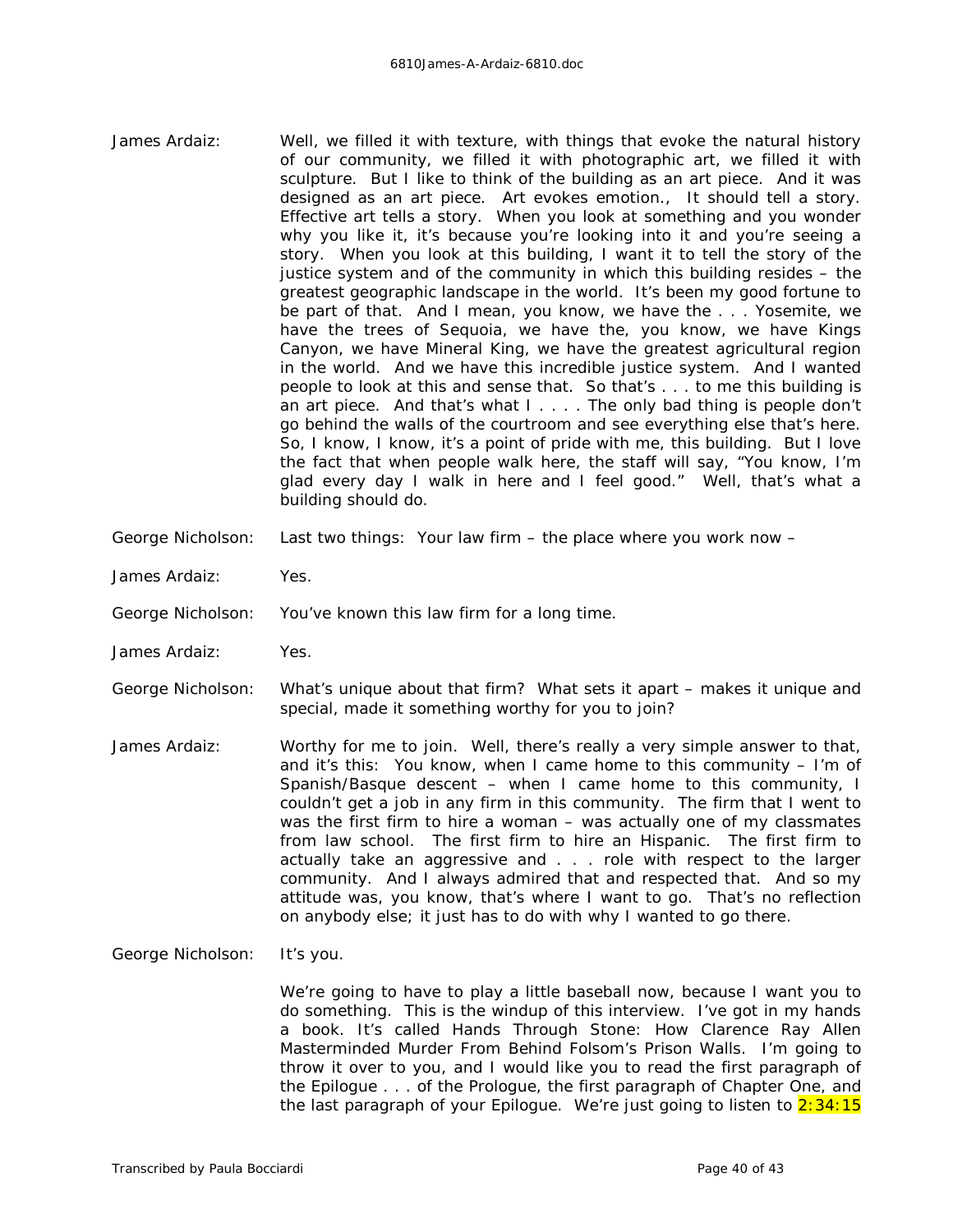- James Ardaiz: Well, we filled it with texture, with things that evoke the natural history of our community, we filled it with photographic art, we filled it with sculpture. But I like to think of the building as an art piece. And it was designed as an art piece. Art evokes emotion., It should tell a story. Effective art tells a story. When you look at something and you wonder why you like it, it's because you're looking into it and you're seeing a story. When you look at this building, I want it to tell the story of the justice system and of the community in which this building resides – the greatest geographic landscape in the world. It's been my good fortune to be part of that. And I mean, you know, we have the . . . Yosemite, we have the trees of Sequoia, we have the, you know, we have Kings Canyon, we have Mineral King, we have the greatest agricultural region in the world. And we have this incredible justice system. And I wanted people to look at this and sense that. So that's . . . to me this building is an art piece. And that's what I . . . . The only bad thing is people don't go behind the walls of the courtroom and see everything else that's here. So, I know, I know, it's a point of pride with me, this building. But I love the fact that when people walk here, the staff will say, "You know, I'm glad every day I walk in here and I feel good." Well, that's what a building should do.
- George Nicholson: Last two things: Your law firm the place where you work now –
- James Ardaiz: Yes.
- George Nicholson: You've known this law firm for a long time.
- James Ardaiz: Yes.
- George Nicholson: What's unique about that firm? What sets it apart makes it unique and special, made it something worthy for you to join?
- James Ardaiz: Worthy for me to join. Well, there's really a very simple answer to that, and it's this: You know, when I came home to this community – I'm of Spanish/Basque descent – when I came home to this community, I couldn't get a job in any firm in this community. The firm that I went to was the first firm to hire a woman – was actually one of my classmates from law school. The first firm to hire an Hispanic. The first firm to actually take an aggressive and . . . role with respect to the larger community. And I always admired that and respected that. And so my attitude was, you know, that's where I want to go. That's no reflection on anybody else; it just has to do with why I wanted to go there.
- George Nicholson: It's you.

We're going to have to play a little baseball now, because I want you to do something. This is the windup of this interview. I've got in my hands a book. It's called *Hands Through Stone*: *How Clarence Ray Allen Masterminded Murder From Behind Folsom's Prison Walls*. I'm going to throw it over to you, and I would like you to read the first paragraph of the Epilogue . . . of the Prologue, the first paragraph of Chapter One, and the last paragraph of your Epilogue. We're just going to listen to  $2:34:15$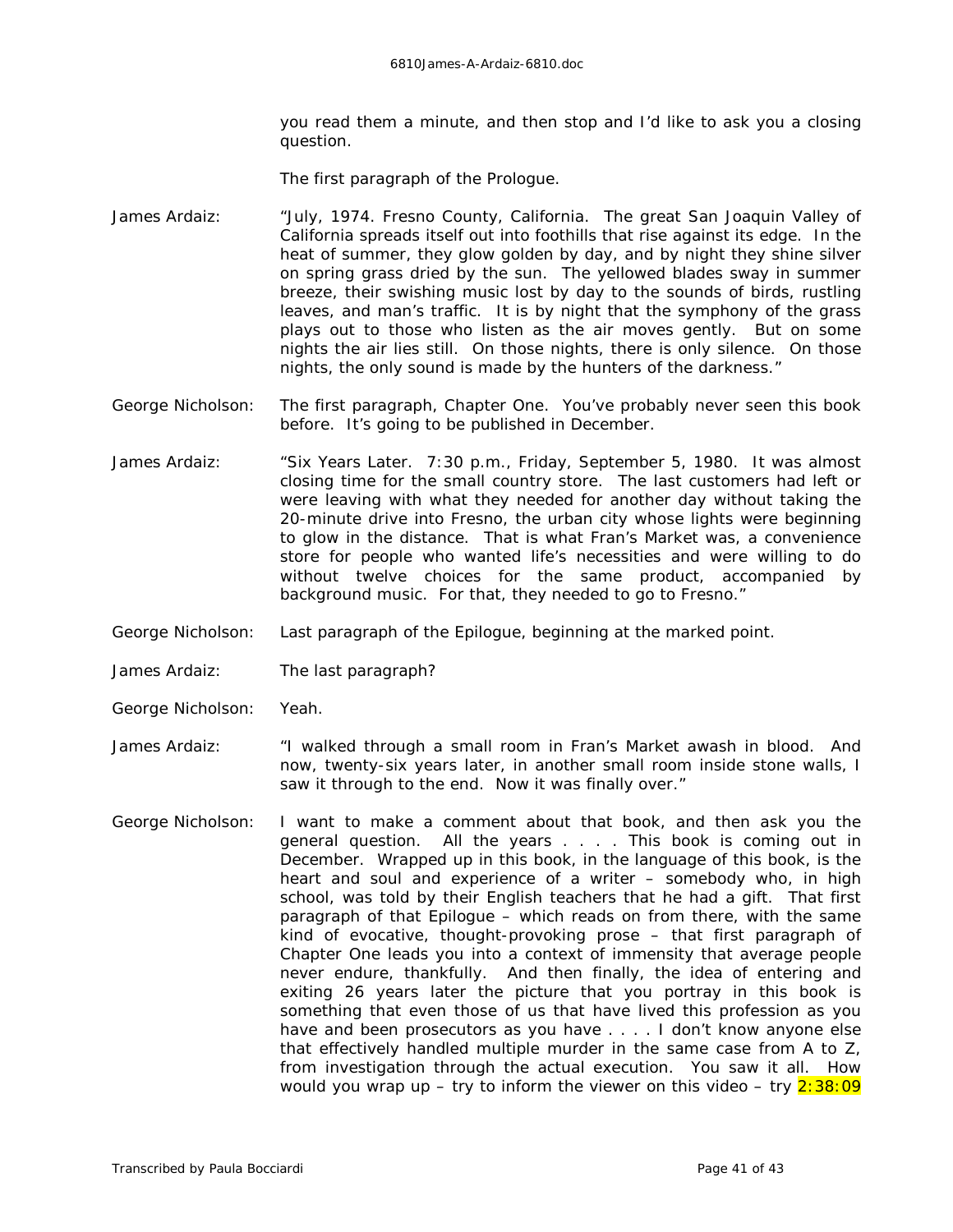you read them a minute, and then stop and I'd like to ask you a closing question.

The first paragraph of the Prologue.

- James Ardaiz: "July, 1974. Fresno County, California. The great San Joaquin Valley of California spreads itself out into foothills that rise against its edge. In the heat of summer, they glow golden by day, and by night they shine silver on spring grass dried by the sun. The yellowed blades sway in summer breeze, their swishing music lost by day to the sounds of birds, rustling leaves, and man's traffic. It is by night that the symphony of the grass plays out to those who listen as the air moves gently. But on some nights the air lies still. On those nights, there is only silence. On those nights, the only sound is made by the hunters of the darkness."
- George Nicholson: The first paragraph, Chapter One. You've probably never seen this book before. It's going to be published in December.
- James Ardaiz: "Six Years Later. 7:30 p.m., Friday, September 5, 1980. It was almost closing time for the small country store. The last customers had left or were leaving with what they needed for another day without taking the 20-minute drive into Fresno, the urban city whose lights were beginning to glow in the distance. That is what Fran's Market was, a convenience store for people who wanted life's necessities and were willing to do without twelve choices for the same product, accompanied by background music. For that, they needed to go to Fresno."
- George Nicholson: Last paragraph of the Epilogue, beginning at the marked point.
- James Ardaiz: The last paragraph?
- George Nicholson: Yeah.
- James Ardaiz: "I walked through a small room in Fran's Market awash in blood. And now, twenty-six years later, in another small room inside stone walls, I saw it through to the end. Now it was finally over."
- George Nicholson: I want to make a comment about that book, and then ask you the general question. All the years . . . . This book is coming out in December. Wrapped up in this book, in the language of this book, is the heart and soul and experience of a writer – somebody who, in high school, was told by their English teachers that he had a gift. That first paragraph of that Epilogue – which reads on from there, with the same kind of evocative, thought-provoking prose – that first paragraph of Chapter One leads you into a context of immensity that average people never endure, thankfully. And then finally, the idea of entering and exiting 26 years later the picture that you portray in this book is something that even those of us that have lived this profession as you have and been prosecutors as you have . . . . I don't know anyone else that effectively handled multiple murder in the same case from A to Z, from investigation through the actual execution. You saw it all. How would you wrap up – try to inform the viewer on this video – try  $2:38:09$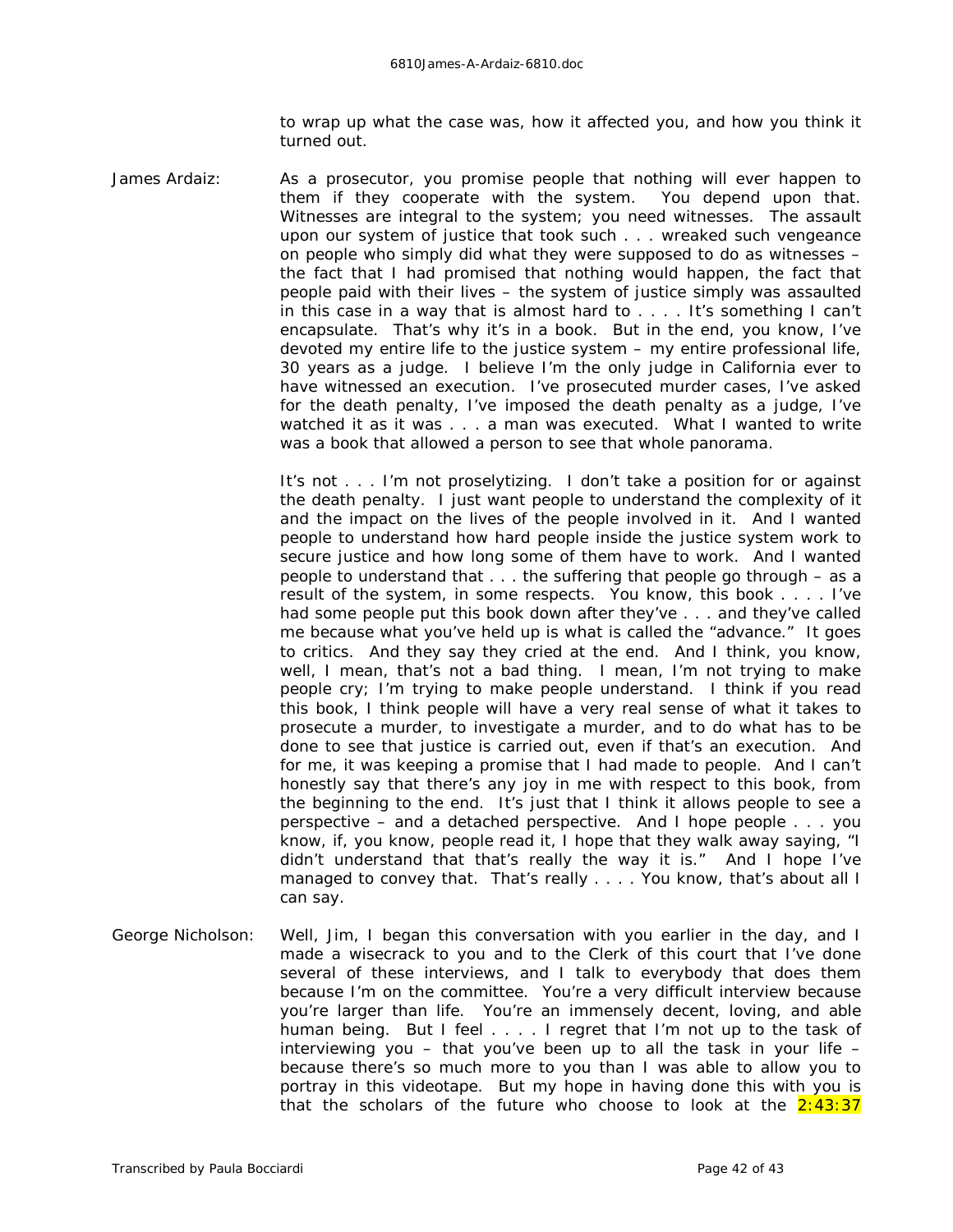to wrap up what the case was, how it affected you, and how you think it turned out.

James Ardaiz: As a prosecutor, you promise people that nothing will ever happen to them if they cooperate with the system. You depend upon that. Witnesses are integral to the system; you need witnesses. The assault upon our system of justice that took such . . . wreaked such vengeance on people who simply did what they were supposed to do as witnesses – the fact that I had promised that nothing would happen, the fact that people paid with their lives – the system of justice simply was assaulted in this case in a way that is almost hard to . . . . It's something I can't encapsulate. That's why it's in a book. But in the end, you know, I've devoted my entire *life* to the justice system – my entire professional life, 30 years as a judge. I believe I'm the only judge in California ever to have witnessed an execution. I've prosecuted murder cases, I've asked for the death penalty, I've imposed the death penalty as a judge, I've watched it as it was . . . a man was executed. What I wanted to write was a book that allowed a person to see that whole panorama.

> It's not . . . I'm not proselytizing. I don't take a position for or against the death penalty. I just want people to understand the complexity of it and the impact on the lives of the people involved in it. And I wanted people to understand how hard people inside the justice system work to secure justice and how long some of them have to work. And I wanted people to understand that . . . the suffering that people go through – as a *result* of the system, in some respects. You know, this book . . . . I've had some people put this book down after they've . . . and they've called me because what you've held up is what is called the "advance." It goes to critics. And they say they cried at the end. And I think, you know, well, I mean, that's not a bad thing. I mean, I'm not trying to make people cry; I'm trying to make people understand. I think if you read this book, I think people will have a very real sense of what it takes to prosecute a murder, to investigate a murder, and to do what has to be done to see that justice is carried out, even if that's an execution. And for me, it was keeping a promise that I had made to people. And I can't honestly say that there's any joy in me with respect to this book, from the beginning to the end. It's just that I think it allows people to see a perspective – and a detached perspective. And I hope people . . . you know, if, you know, people read it, I hope that they walk away saying, "I didn't understand that that's really the way it is." And I hope I've managed to convey that. That's really . . . . You know, that's about all I can say.

George Nicholson: Well, Jim, I began this conversation with you earlier in the day, and I made a wisecrack to you and to the Clerk of this court that I've done several of these interviews, and I talk to everybody that does them because I'm on the committee. You're a very difficult interview because you're larger than life. You're an immensely decent, loving, and able human being. But I feel . . . . I regret that I'm not up to the task of interviewing you – that you've been up to all the task in your life – because there's so much more to you than I was able to allow you to portray in this videotape. But my hope in having done this with you is that the scholars of the future who choose to look at the  $2:43:37$